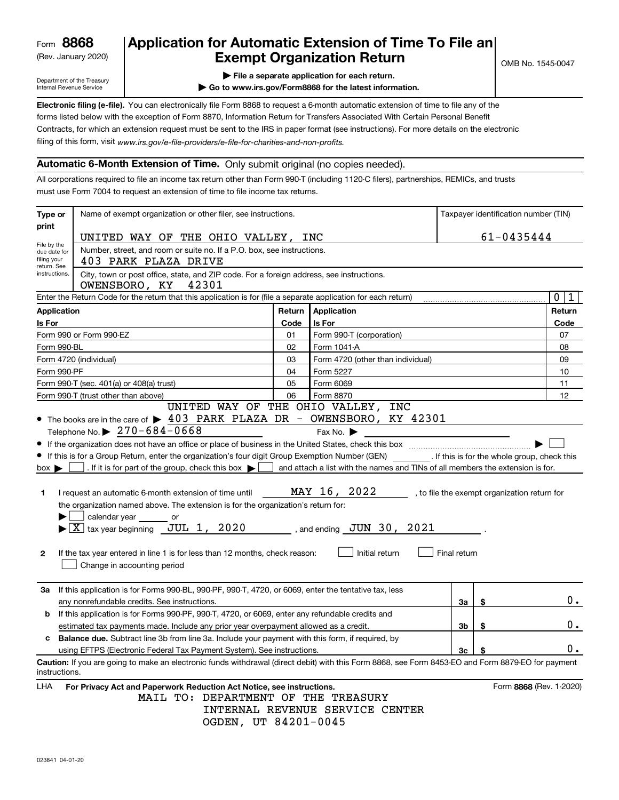(Rev. January 2020)

# **Application for Automatic Extension of Time To File an Exempt Organization Return**

Department of the Treasury Internal Revenue Service

**| File a separate application for each return.**

**| Go to www.irs.gov/Form8868 for the latest information.**

OMB No. 1545-0047

| Electronic filing (e-file). You can electronically file Form 8868 to request a 6-month automatic extension of time to file any of the    |
|------------------------------------------------------------------------------------------------------------------------------------------|
| forms listed below with the exception of Form 8870, Information Return for Transfers Associated With Certain Personal Benefit            |
| Contracts, for which an extension request must be sent to the IRS in paper format (see instructions). For more details on the electronic |
| filing of this form, visit www.irs.gov/e-file-providers/e-file-for-charities-and-non-profits.                                            |

# **Automatic 6-Month Extension of Time.** Only submit original (no copies needed).

All corporations required to file an income tax return other than Form 990-T (including 1120-C filers), partnerships, REMICs, and trusts must use Form 7004 to request an extension of time to file income tax returns.

| Type or                                                                                                                                            | Name of exempt organization or other filer, see instructions.                                                                                      |            |                                                                                |              |    | Taxpayer identification number (TIN)         |  |
|----------------------------------------------------------------------------------------------------------------------------------------------------|----------------------------------------------------------------------------------------------------------------------------------------------------|------------|--------------------------------------------------------------------------------|--------------|----|----------------------------------------------|--|
| print                                                                                                                                              | UNITED WAY OF THE OHIO VALLEY, INC                                                                                                                 | 61-0435444 |                                                                                |              |    |                                              |  |
| File by the<br>due date for<br>filing your                                                                                                         | Number, street, and room or suite no. If a P.O. box, see instructions.<br>403 PARK PLAZA DRIVE                                                     |            |                                                                                |              |    |                                              |  |
| return. See<br>City, town or post office, state, and ZIP code. For a foreign address, see instructions.<br>instructions.<br>OWENSBORO, KY<br>42301 |                                                                                                                                                    |            |                                                                                |              |    |                                              |  |
|                                                                                                                                                    | Enter the Return Code for the return that this application is for (file a separate application for each return)                                    |            |                                                                                |              |    | 0<br>1                                       |  |
| <b>Application</b>                                                                                                                                 |                                                                                                                                                    | Return     | Application                                                                    |              |    | Return                                       |  |
| Is For                                                                                                                                             |                                                                                                                                                    | Code       | Is For                                                                         |              |    | Code                                         |  |
|                                                                                                                                                    | Form 990 or Form 990-EZ                                                                                                                            | 01         | Form 990-T (corporation)                                                       |              |    | 07                                           |  |
| Form 990-BL                                                                                                                                        |                                                                                                                                                    | 02         | Form 1041-A                                                                    |              |    | 08                                           |  |
|                                                                                                                                                    | Form 4720 (individual)                                                                                                                             | 03         | Form 4720 (other than individual)                                              |              |    | 09                                           |  |
| Form 990-PF                                                                                                                                        |                                                                                                                                                    | 04         | Form 5227                                                                      |              |    |                                              |  |
|                                                                                                                                                    | Form 990-T (sec. 401(a) or 408(a) trust)                                                                                                           | 05         | Form 6069                                                                      |              |    | 11                                           |  |
|                                                                                                                                                    | Form 990-T (trust other than above)                                                                                                                | 06         | Form 8870                                                                      |              |    | 12                                           |  |
|                                                                                                                                                    | UNITED WAY OF THE OHIO VALLEY, INC<br>• The books are in the care of $\blacktriangleright$ 403 PARK PLAZA DR - OWENSBORO, KY 42301                 |            |                                                                                |              |    |                                              |  |
|                                                                                                                                                    | Telephone No. $\triangleright$ 270-684-0668                                                                                                        |            | Fax No. $\blacktriangleright$                                                  |              |    |                                              |  |
|                                                                                                                                                    |                                                                                                                                                    |            |                                                                                |              |    |                                              |  |
|                                                                                                                                                    | If this is for a Group Return, enter the organization's four digit Group Exemption Number (GEN) [If this is for the whole group, check this        |            |                                                                                |              |    |                                              |  |
| $box \blacktriangleright$                                                                                                                          | . If it is for part of the group, check this box $\blacktriangleright$                                                                             |            | and attach a list with the names and TINs of all members the extension is for. |              |    |                                              |  |
|                                                                                                                                                    |                                                                                                                                                    |            |                                                                                |              |    |                                              |  |
| 1                                                                                                                                                  | I request an automatic 6-month extension of time until                                                                                             |            | MAY 16, 2022                                                                   |              |    | , to file the exempt organization return for |  |
|                                                                                                                                                    | the organization named above. The extension is for the organization's return for:                                                                  |            |                                                                                |              |    |                                              |  |
|                                                                                                                                                    | calendar year<br>or                                                                                                                                |            |                                                                                |              |    |                                              |  |
|                                                                                                                                                    | $\blacktriangleright$ $\boxed{\text{X}}$ tax year beginning JUL 1, 2020                                                                            |            | , and ending $\,$ JUN $\,$ 30 , $\,$ 2021 $\,$                                 |              |    |                                              |  |
|                                                                                                                                                    |                                                                                                                                                    |            |                                                                                |              |    |                                              |  |
| 2                                                                                                                                                  | If the tax year entered in line 1 is for less than 12 months, check reason:<br>Change in accounting period                                         |            | Initial return                                                                 | Final return |    |                                              |  |
| За                                                                                                                                                 | If this application is for Forms 990-BL, 990-PF, 990-T, 4720, or 6069, enter the tentative tax, less                                               |            |                                                                                |              |    |                                              |  |
|                                                                                                                                                    | any nonrefundable credits. See instructions.                                                                                                       |            |                                                                                | За           | \$ | 0.                                           |  |
| b                                                                                                                                                  | If this application is for Forms 990-PF, 990-T, 4720, or 6069, enter any refundable credits and                                                    |            |                                                                                |              |    |                                              |  |
|                                                                                                                                                    | estimated tax payments made. Include any prior year overpayment allowed as a credit.                                                               |            |                                                                                | 3b           | \$ | 0.                                           |  |
|                                                                                                                                                    | <b>Balance due.</b> Subtract line 3b from line 3a. Include your payment with this form, if required, by                                            |            |                                                                                |              |    |                                              |  |
|                                                                                                                                                    | using EFTPS (Electronic Federal Tax Payment System). See instructions.                                                                             |            |                                                                                | Зc           |    | 0.                                           |  |
| instructions.                                                                                                                                      | Caution: If you are going to make an electronic funds withdrawal (direct debit) with this Form 8868, see Form 8453-EO and Form 8879-EO for payment |            |                                                                                |              |    |                                              |  |
|                                                                                                                                                    |                                                                                                                                                    |            |                                                                                |              |    |                                              |  |
| LHA                                                                                                                                                | For Privacy Act and Paperwork Reduction Act Notice, see instructions.<br>MAIL TO: DEPARTMENT OF THE TREASURY                                       |            |                                                                                |              |    | Form 8868 (Rev. 1-2020)                      |  |
|                                                                                                                                                    |                                                                                                                                                    |            | INTERNAL REVENUE SERVICE CENTER                                                |              |    |                                              |  |
|                                                                                                                                                    | OGDEN, UT 84201-0045                                                                                                                               |            |                                                                                |              |    |                                              |  |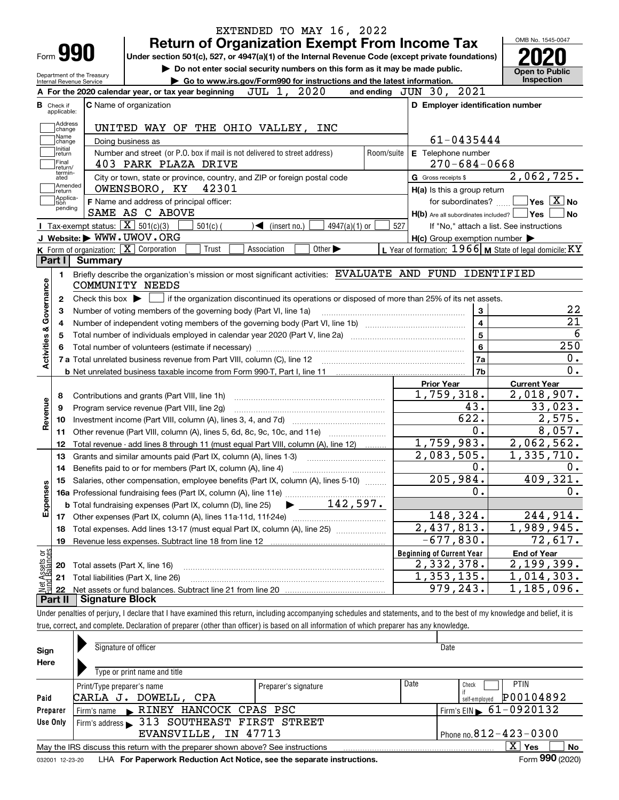| <b>Return of Organization Exempt From Income Tax</b><br>Form <b>990</b><br>Under section 501(c), 527, or 4947(a)(1) of the Internal Revenue Code (except private foundations)<br>Do not enter social security numbers on this form as it may be made public.<br>Department of the Treasury<br>Go to www.irs.gov/Form990 for instructions and the latest information.<br>Internal Revenue Service<br>JUL 1, 2020<br>A For the 2020 calendar year, or tax year beginning<br><b>C</b> Name of organization<br><b>B</b> Check if<br>applicable:<br>Address<br>UNITED WAY OF THE OHIO VALLEY, INC<br>change<br>Name<br>Doing business as<br>change<br>Initial<br>Number and street (or P.O. box if mail is not delivered to street address)<br>Room/suite<br>return<br> Final<br>403 PARK PLAZA DRIVE<br>return/<br>termin-<br>City or town, state or province, country, and ZIP or foreign postal code<br>ated<br>Amended<br>OWENSBORO, KY<br>42301<br>return<br> Applica-<br>F Name and address of principal officer:<br>tion<br>pending<br>SAME AS C ABOVE<br>Tax-exempt status: $\boxed{\mathbf{X}}$ 501(c)(3)<br>4947(a)(1) or<br>$501(c)$ (<br>527<br>$\blacktriangleright$<br>(insert no.)<br>J Website: WWW.UWOV.ORG<br>K Form of organization: X Corporation<br>Other $\blacktriangleright$<br>Trust<br>Association<br>Part I<br>Summary<br>Briefly describe the organization's mission or most significant activities: EVALUATE AND FUND IDENTIFIED<br>1.<br>COMMUNITY NEEDS<br>Check this box $\blacktriangleright$ $\Box$ if the organization discontinued its operations or disposed of more than 25% of its net assets.<br>$\mathbf{2}$<br>Number of voting members of the governing body (Part VI, line 1a) | 2021<br>and ending $JUN$ 30,<br>D Employer identification number<br>61-0435444<br>E Telephone number<br>$270 - 684 - 0668$<br>G Gross receipts \$<br>H(a) Is this a group return<br>for subordinates?<br>$H(b)$ Are all subordinates included? $\Box$ Yes  <br>If "No," attach a list. See instructions<br>$H(c)$ Group exemption number $\blacktriangleright$<br>L Year of formation: $1966$ M State of legal domicile: KY | <b>Open to Public</b><br>Inspection<br>2,062,725.<br>$Yes \ \boxed{X}$ No<br>No |  |  |  |  |  |  |  |
|-----------------------------------------------------------------------------------------------------------------------------------------------------------------------------------------------------------------------------------------------------------------------------------------------------------------------------------------------------------------------------------------------------------------------------------------------------------------------------------------------------------------------------------------------------------------------------------------------------------------------------------------------------------------------------------------------------------------------------------------------------------------------------------------------------------------------------------------------------------------------------------------------------------------------------------------------------------------------------------------------------------------------------------------------------------------------------------------------------------------------------------------------------------------------------------------------------------------------------------------------------------------------------------------------------------------------------------------------------------------------------------------------------------------------------------------------------------------------------------------------------------------------------------------------------------------------------------------------------------------------------------------------------------------------------------------------------------------------|-----------------------------------------------------------------------------------------------------------------------------------------------------------------------------------------------------------------------------------------------------------------------------------------------------------------------------------------------------------------------------------------------------------------------------|---------------------------------------------------------------------------------|--|--|--|--|--|--|--|
|                                                                                                                                                                                                                                                                                                                                                                                                                                                                                                                                                                                                                                                                                                                                                                                                                                                                                                                                                                                                                                                                                                                                                                                                                                                                                                                                                                                                                                                                                                                                                                                                                                                                                                                       |                                                                                                                                                                                                                                                                                                                                                                                                                             |                                                                                 |  |  |  |  |  |  |  |
|                                                                                                                                                                                                                                                                                                                                                                                                                                                                                                                                                                                                                                                                                                                                                                                                                                                                                                                                                                                                                                                                                                                                                                                                                                                                                                                                                                                                                                                                                                                                                                                                                                                                                                                       |                                                                                                                                                                                                                                                                                                                                                                                                                             |                                                                                 |  |  |  |  |  |  |  |
|                                                                                                                                                                                                                                                                                                                                                                                                                                                                                                                                                                                                                                                                                                                                                                                                                                                                                                                                                                                                                                                                                                                                                                                                                                                                                                                                                                                                                                                                                                                                                                                                                                                                                                                       |                                                                                                                                                                                                                                                                                                                                                                                                                             |                                                                                 |  |  |  |  |  |  |  |
|                                                                                                                                                                                                                                                                                                                                                                                                                                                                                                                                                                                                                                                                                                                                                                                                                                                                                                                                                                                                                                                                                                                                                                                                                                                                                                                                                                                                                                                                                                                                                                                                                                                                                                                       |                                                                                                                                                                                                                                                                                                                                                                                                                             |                                                                                 |  |  |  |  |  |  |  |
|                                                                                                                                                                                                                                                                                                                                                                                                                                                                                                                                                                                                                                                                                                                                                                                                                                                                                                                                                                                                                                                                                                                                                                                                                                                                                                                                                                                                                                                                                                                                                                                                                                                                                                                       |                                                                                                                                                                                                                                                                                                                                                                                                                             |                                                                                 |  |  |  |  |  |  |  |
|                                                                                                                                                                                                                                                                                                                                                                                                                                                                                                                                                                                                                                                                                                                                                                                                                                                                                                                                                                                                                                                                                                                                                                                                                                                                                                                                                                                                                                                                                                                                                                                                                                                                                                                       |                                                                                                                                                                                                                                                                                                                                                                                                                             |                                                                                 |  |  |  |  |  |  |  |
|                                                                                                                                                                                                                                                                                                                                                                                                                                                                                                                                                                                                                                                                                                                                                                                                                                                                                                                                                                                                                                                                                                                                                                                                                                                                                                                                                                                                                                                                                                                                                                                                                                                                                                                       |                                                                                                                                                                                                                                                                                                                                                                                                                             |                                                                                 |  |  |  |  |  |  |  |
|                                                                                                                                                                                                                                                                                                                                                                                                                                                                                                                                                                                                                                                                                                                                                                                                                                                                                                                                                                                                                                                                                                                                                                                                                                                                                                                                                                                                                                                                                                                                                                                                                                                                                                                       |                                                                                                                                                                                                                                                                                                                                                                                                                             |                                                                                 |  |  |  |  |  |  |  |
|                                                                                                                                                                                                                                                                                                                                                                                                                                                                                                                                                                                                                                                                                                                                                                                                                                                                                                                                                                                                                                                                                                                                                                                                                                                                                                                                                                                                                                                                                                                                                                                                                                                                                                                       |                                                                                                                                                                                                                                                                                                                                                                                                                             |                                                                                 |  |  |  |  |  |  |  |
|                                                                                                                                                                                                                                                                                                                                                                                                                                                                                                                                                                                                                                                                                                                                                                                                                                                                                                                                                                                                                                                                                                                                                                                                                                                                                                                                                                                                                                                                                                                                                                                                                                                                                                                       |                                                                                                                                                                                                                                                                                                                                                                                                                             |                                                                                 |  |  |  |  |  |  |  |
|                                                                                                                                                                                                                                                                                                                                                                                                                                                                                                                                                                                                                                                                                                                                                                                                                                                                                                                                                                                                                                                                                                                                                                                                                                                                                                                                                                                                                                                                                                                                                                                                                                                                                                                       |                                                                                                                                                                                                                                                                                                                                                                                                                             |                                                                                 |  |  |  |  |  |  |  |
|                                                                                                                                                                                                                                                                                                                                                                                                                                                                                                                                                                                                                                                                                                                                                                                                                                                                                                                                                                                                                                                                                                                                                                                                                                                                                                                                                                                                                                                                                                                                                                                                                                                                                                                       |                                                                                                                                                                                                                                                                                                                                                                                                                             |                                                                                 |  |  |  |  |  |  |  |
|                                                                                                                                                                                                                                                                                                                                                                                                                                                                                                                                                                                                                                                                                                                                                                                                                                                                                                                                                                                                                                                                                                                                                                                                                                                                                                                                                                                                                                                                                                                                                                                                                                                                                                                       |                                                                                                                                                                                                                                                                                                                                                                                                                             |                                                                                 |  |  |  |  |  |  |  |
|                                                                                                                                                                                                                                                                                                                                                                                                                                                                                                                                                                                                                                                                                                                                                                                                                                                                                                                                                                                                                                                                                                                                                                                                                                                                                                                                                                                                                                                                                                                                                                                                                                                                                                                       |                                                                                                                                                                                                                                                                                                                                                                                                                             |                                                                                 |  |  |  |  |  |  |  |
|                                                                                                                                                                                                                                                                                                                                                                                                                                                                                                                                                                                                                                                                                                                                                                                                                                                                                                                                                                                                                                                                                                                                                                                                                                                                                                                                                                                                                                                                                                                                                                                                                                                                                                                       |                                                                                                                                                                                                                                                                                                                                                                                                                             |                                                                                 |  |  |  |  |  |  |  |
|                                                                                                                                                                                                                                                                                                                                                                                                                                                                                                                                                                                                                                                                                                                                                                                                                                                                                                                                                                                                                                                                                                                                                                                                                                                                                                                                                                                                                                                                                                                                                                                                                                                                                                                       |                                                                                                                                                                                                                                                                                                                                                                                                                             |                                                                                 |  |  |  |  |  |  |  |
|                                                                                                                                                                                                                                                                                                                                                                                                                                                                                                                                                                                                                                                                                                                                                                                                                                                                                                                                                                                                                                                                                                                                                                                                                                                                                                                                                                                                                                                                                                                                                                                                                                                                                                                       |                                                                                                                                                                                                                                                                                                                                                                                                                             |                                                                                 |  |  |  |  |  |  |  |
|                                                                                                                                                                                                                                                                                                                                                                                                                                                                                                                                                                                                                                                                                                                                                                                                                                                                                                                                                                                                                                                                                                                                                                                                                                                                                                                                                                                                                                                                                                                                                                                                                                                                                                                       |                                                                                                                                                                                                                                                                                                                                                                                                                             |                                                                                 |  |  |  |  |  |  |  |
|                                                                                                                                                                                                                                                                                                                                                                                                                                                                                                                                                                                                                                                                                                                                                                                                                                                                                                                                                                                                                                                                                                                                                                                                                                                                                                                                                                                                                                                                                                                                                                                                                                                                                                                       |                                                                                                                                                                                                                                                                                                                                                                                                                             |                                                                                 |  |  |  |  |  |  |  |
|                                                                                                                                                                                                                                                                                                                                                                                                                                                                                                                                                                                                                                                                                                                                                                                                                                                                                                                                                                                                                                                                                                                                                                                                                                                                                                                                                                                                                                                                                                                                                                                                                                                                                                                       |                                                                                                                                                                                                                                                                                                                                                                                                                             |                                                                                 |  |  |  |  |  |  |  |
|                                                                                                                                                                                                                                                                                                                                                                                                                                                                                                                                                                                                                                                                                                                                                                                                                                                                                                                                                                                                                                                                                                                                                                                                                                                                                                                                                                                                                                                                                                                                                                                                                                                                                                                       | 22<br>3                                                                                                                                                                                                                                                                                                                                                                                                                     |                                                                                 |  |  |  |  |  |  |  |
|                                                                                                                                                                                                                                                                                                                                                                                                                                                                                                                                                                                                                                                                                                                                                                                                                                                                                                                                                                                                                                                                                                                                                                                                                                                                                                                                                                                                                                                                                                                                                                                                                                                                                                                       | $\overline{\mathbf{4}}$                                                                                                                                                                                                                                                                                                                                                                                                     | $\overline{21}$                                                                 |  |  |  |  |  |  |  |
|                                                                                                                                                                                                                                                                                                                                                                                                                                                                                                                                                                                                                                                                                                                                                                                                                                                                                                                                                                                                                                                                                                                                                                                                                                                                                                                                                                                                                                                                                                                                                                                                                                                                                                                       | 5                                                                                                                                                                                                                                                                                                                                                                                                                           |                                                                                 |  |  |  |  |  |  |  |
|                                                                                                                                                                                                                                                                                                                                                                                                                                                                                                                                                                                                                                                                                                                                                                                                                                                                                                                                                                                                                                                                                                                                                                                                                                                                                                                                                                                                                                                                                                                                                                                                                                                                                                                       | $\bf 6$                                                                                                                                                                                                                                                                                                                                                                                                                     | $\overline{250}$                                                                |  |  |  |  |  |  |  |
| 7 a Total unrelated business revenue from Part VIII, column (C), line 12                                                                                                                                                                                                                                                                                                                                                                                                                                                                                                                                                                                                                                                                                                                                                                                                                                                                                                                                                                                                                                                                                                                                                                                                                                                                                                                                                                                                                                                                                                                                                                                                                                              | 7a                                                                                                                                                                                                                                                                                                                                                                                                                          | 0.                                                                              |  |  |  |  |  |  |  |
| <b>b</b> Net unrelated business taxable income from Form 990-T, Part I, line 11 <b>manual contract to the U.S.</b> Net unrelated business taxable income from Form 990-T, Part I, line 11                                                                                                                                                                                                                                                                                                                                                                                                                                                                                                                                                                                                                                                                                                                                                                                                                                                                                                                                                                                                                                                                                                                                                                                                                                                                                                                                                                                                                                                                                                                             | 7b                                                                                                                                                                                                                                                                                                                                                                                                                          | 0.                                                                              |  |  |  |  |  |  |  |
|                                                                                                                                                                                                                                                                                                                                                                                                                                                                                                                                                                                                                                                                                                                                                                                                                                                                                                                                                                                                                                                                                                                                                                                                                                                                                                                                                                                                                                                                                                                                                                                                                                                                                                                       | <b>Prior Year</b>                                                                                                                                                                                                                                                                                                                                                                                                           | <b>Current Year</b>                                                             |  |  |  |  |  |  |  |
| Contributions and grants (Part VIII, line 1h)                                                                                                                                                                                                                                                                                                                                                                                                                                                                                                                                                                                                                                                                                                                                                                                                                                                                                                                                                                                                                                                                                                                                                                                                                                                                                                                                                                                                                                                                                                                                                                                                                                                                         | 1,759,318.                                                                                                                                                                                                                                                                                                                                                                                                                  | 2,018,907.                                                                      |  |  |  |  |  |  |  |
| Program service revenue (Part VIII, line 2g)                                                                                                                                                                                                                                                                                                                                                                                                                                                                                                                                                                                                                                                                                                                                                                                                                                                                                                                                                                                                                                                                                                                                                                                                                                                                                                                                                                                                                                                                                                                                                                                                                                                                          | 43.                                                                                                                                                                                                                                                                                                                                                                                                                         | 33,023.                                                                         |  |  |  |  |  |  |  |
| 10                                                                                                                                                                                                                                                                                                                                                                                                                                                                                                                                                                                                                                                                                                                                                                                                                                                                                                                                                                                                                                                                                                                                                                                                                                                                                                                                                                                                                                                                                                                                                                                                                                                                                                                    | 622.                                                                                                                                                                                                                                                                                                                                                                                                                        | 2,575.                                                                          |  |  |  |  |  |  |  |
| Other revenue (Part VIII, column (A), lines 5, 6d, 8c, 9c, 10c, and 11e)<br>11                                                                                                                                                                                                                                                                                                                                                                                                                                                                                                                                                                                                                                                                                                                                                                                                                                                                                                                                                                                                                                                                                                                                                                                                                                                                                                                                                                                                                                                                                                                                                                                                                                        | $0$ .                                                                                                                                                                                                                                                                                                                                                                                                                       | 8,057.                                                                          |  |  |  |  |  |  |  |
| Total revenue - add lines 8 through 11 (must equal Part VIII, column (A), line 12)<br>12                                                                                                                                                                                                                                                                                                                                                                                                                                                                                                                                                                                                                                                                                                                                                                                                                                                                                                                                                                                                                                                                                                                                                                                                                                                                                                                                                                                                                                                                                                                                                                                                                              | 1,759,983.                                                                                                                                                                                                                                                                                                                                                                                                                  | 2,062,562.                                                                      |  |  |  |  |  |  |  |
| Grants and similar amounts paid (Part IX, column (A), lines 1-3)<br>13                                                                                                                                                                                                                                                                                                                                                                                                                                                                                                                                                                                                                                                                                                                                                                                                                                                                                                                                                                                                                                                                                                                                                                                                                                                                                                                                                                                                                                                                                                                                                                                                                                                | 2,083,505.                                                                                                                                                                                                                                                                                                                                                                                                                  | 1,335,710.                                                                      |  |  |  |  |  |  |  |
| Benefits paid to or for members (Part IX, column (A), line 4)<br>14                                                                                                                                                                                                                                                                                                                                                                                                                                                                                                                                                                                                                                                                                                                                                                                                                                                                                                                                                                                                                                                                                                                                                                                                                                                                                                                                                                                                                                                                                                                                                                                                                                                   | 0.                                                                                                                                                                                                                                                                                                                                                                                                                          | 0.                                                                              |  |  |  |  |  |  |  |
| Salaries, other compensation, employee benefits (Part IX, column (A), lines 5-10)<br>15                                                                                                                                                                                                                                                                                                                                                                                                                                                                                                                                                                                                                                                                                                                                                                                                                                                                                                                                                                                                                                                                                                                                                                                                                                                                                                                                                                                                                                                                                                                                                                                                                               | 205,984.                                                                                                                                                                                                                                                                                                                                                                                                                    | 409,321.                                                                        |  |  |  |  |  |  |  |
|                                                                                                                                                                                                                                                                                                                                                                                                                                                                                                                                                                                                                                                                                                                                                                                                                                                                                                                                                                                                                                                                                                                                                                                                                                                                                                                                                                                                                                                                                                                                                                                                                                                                                                                       | $\mathbf{0}$ .                                                                                                                                                                                                                                                                                                                                                                                                              | 0.                                                                              |  |  |  |  |  |  |  |
|                                                                                                                                                                                                                                                                                                                                                                                                                                                                                                                                                                                                                                                                                                                                                                                                                                                                                                                                                                                                                                                                                                                                                                                                                                                                                                                                                                                                                                                                                                                                                                                                                                                                                                                       |                                                                                                                                                                                                                                                                                                                                                                                                                             |                                                                                 |  |  |  |  |  |  |  |
| 17                                                                                                                                                                                                                                                                                                                                                                                                                                                                                                                                                                                                                                                                                                                                                                                                                                                                                                                                                                                                                                                                                                                                                                                                                                                                                                                                                                                                                                                                                                                                                                                                                                                                                                                    | 148,324.                                                                                                                                                                                                                                                                                                                                                                                                                    | 244,914.                                                                        |  |  |  |  |  |  |  |
| Total expenses. Add lines 13-17 (must equal Part IX, column (A), line 25)<br>18                                                                                                                                                                                                                                                                                                                                                                                                                                                                                                                                                                                                                                                                                                                                                                                                                                                                                                                                                                                                                                                                                                                                                                                                                                                                                                                                                                                                                                                                                                                                                                                                                                       | $\overline{2,437,813}$ .                                                                                                                                                                                                                                                                                                                                                                                                    | 1,989,945.                                                                      |  |  |  |  |  |  |  |
| 19                                                                                                                                                                                                                                                                                                                                                                                                                                                                                                                                                                                                                                                                                                                                                                                                                                                                                                                                                                                                                                                                                                                                                                                                                                                                                                                                                                                                                                                                                                                                                                                                                                                                                                                    | $-677,830.$                                                                                                                                                                                                                                                                                                                                                                                                                 | 72,617.                                                                         |  |  |  |  |  |  |  |
|                                                                                                                                                                                                                                                                                                                                                                                                                                                                                                                                                                                                                                                                                                                                                                                                                                                                                                                                                                                                                                                                                                                                                                                                                                                                                                                                                                                                                                                                                                                                                                                                                                                                                                                       | <b>Beginning of Current Year</b>                                                                                                                                                                                                                                                                                                                                                                                            | <b>End of Year</b>                                                              |  |  |  |  |  |  |  |
| Total assets (Part X, line 16)<br>20                                                                                                                                                                                                                                                                                                                                                                                                                                                                                                                                                                                                                                                                                                                                                                                                                                                                                                                                                                                                                                                                                                                                                                                                                                                                                                                                                                                                                                                                                                                                                                                                                                                                                  | 2,332,378.                                                                                                                                                                                                                                                                                                                                                                                                                  | $\overline{2,199}$ , 399.                                                       |  |  |  |  |  |  |  |
| Total liabilities (Part X, line 26)<br>21                                                                                                                                                                                                                                                                                                                                                                                                                                                                                                                                                                                                                                                                                                                                                                                                                                                                                                                                                                                                                                                                                                                                                                                                                                                                                                                                                                                                                                                                                                                                                                                                                                                                             | $\overline{1,353,135}$ .                                                                                                                                                                                                                                                                                                                                                                                                    | 1,014,303.                                                                      |  |  |  |  |  |  |  |
| 22                                                                                                                                                                                                                                                                                                                                                                                                                                                                                                                                                                                                                                                                                                                                                                                                                                                                                                                                                                                                                                                                                                                                                                                                                                                                                                                                                                                                                                                                                                                                                                                                                                                                                                                    | 979,243.                                                                                                                                                                                                                                                                                                                                                                                                                    | 1,185,096.                                                                      |  |  |  |  |  |  |  |
| <b>Signature Block</b><br>Part II                                                                                                                                                                                                                                                                                                                                                                                                                                                                                                                                                                                                                                                                                                                                                                                                                                                                                                                                                                                                                                                                                                                                                                                                                                                                                                                                                                                                                                                                                                                                                                                                                                                                                     |                                                                                                                                                                                                                                                                                                                                                                                                                             |                                                                                 |  |  |  |  |  |  |  |
| Under penalties of perjury, I declare that I have examined this return, including accompanying schedules and statements, and to the best of my knowledge and belief, it is<br>true, correct, and complete. Declaration of preparer (other than officer) is based on all information of which preparer has any knowledge.                                                                                                                                                                                                                                                                                                                                                                                                                                                                                                                                                                                                                                                                                                                                                                                                                                                                                                                                                                                                                                                                                                                                                                                                                                                                                                                                                                                              |                                                                                                                                                                                                                                                                                                                                                                                                                             |                                                                                 |  |  |  |  |  |  |  |

| Sign     | Signature of officer                                                            |                      | Date                                   |
|----------|---------------------------------------------------------------------------------|----------------------|----------------------------------------|
| Here     |                                                                                 |                      |                                        |
|          | Type or print name and title                                                    |                      |                                        |
|          | Print/Type preparer's name                                                      | Preparer's signature | Date<br><b>PTIN</b><br>Check           |
| Paid     | CARLA J.<br>DOWELL, CPA                                                         |                      | P00104892<br>self-emploved             |
| Preparer | Firm's name RINEY HANCOCK CPAS PSC                                              |                      | Firm's EIN $\triangleright$ 61-0920132 |
| Use Only | Firm's address > 313 SOUTHEAST FIRST STREET                                     |                      |                                        |
|          | EVANSVILLE, IN 47713                                                            |                      | Phone no. $812 - 423 - 0300$           |
|          | May the IRS discuss this return with the preparer shown above? See instructions |                      | x<br>No<br>Yes                         |
|          |                                                                                 |                      | $000 \times 0.00$<br>-                 |

032001 12-23-20 LHA **For Paperwork Reduction Act Notice, see the separate instructions.** Form 990 (2020)

**990**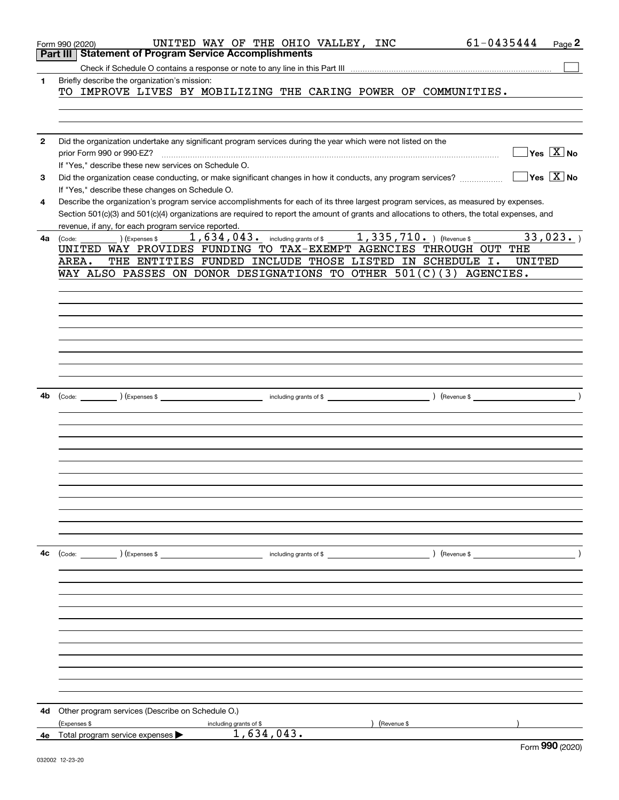|              | Form 990 (2020)                                              |  |                |  |                                                      |                        |            |                                   | UNITED WAY OF THE OHIO VALLEY, INC                                                                           |             |                                                                                      |                                                                                                              | 61-0435444                                                                                                                                   |                                        | Page 2 |
|--------------|--------------------------------------------------------------|--|----------------|--|------------------------------------------------------|------------------------|------------|-----------------------------------|--------------------------------------------------------------------------------------------------------------|-------------|--------------------------------------------------------------------------------------|--------------------------------------------------------------------------------------------------------------|----------------------------------------------------------------------------------------------------------------------------------------------|----------------------------------------|--------|
|              | <b>Part III Statement of Program Service Accomplishments</b> |  |                |  |                                                      |                        |            |                                   |                                                                                                              |             |                                                                                      |                                                                                                              |                                                                                                                                              |                                        |        |
|              |                                                              |  |                |  |                                                      |                        |            |                                   |                                                                                                              |             |                                                                                      |                                                                                                              |                                                                                                                                              |                                        |        |
| 1            | Briefly describe the organization's mission:                 |  |                |  |                                                      |                        |            |                                   |                                                                                                              |             |                                                                                      |                                                                                                              |                                                                                                                                              |                                        |        |
|              |                                                              |  |                |  |                                                      |                        |            |                                   |                                                                                                              |             |                                                                                      | TO IMPROVE LIVES BY MOBILIZING THE CARING POWER OF COMMUNITIES.                                              |                                                                                                                                              |                                        |        |
|              |                                                              |  |                |  |                                                      |                        |            |                                   |                                                                                                              |             |                                                                                      |                                                                                                              |                                                                                                                                              |                                        |        |
|              |                                                              |  |                |  |                                                      |                        |            |                                   |                                                                                                              |             |                                                                                      |                                                                                                              |                                                                                                                                              |                                        |        |
|              |                                                              |  |                |  |                                                      |                        |            |                                   | Did the organization undertake any significant program services during the year which were not listed on the |             |                                                                                      |                                                                                                              |                                                                                                                                              |                                        |        |
| $\mathbf{2}$ | prior Form 990 or 990-EZ?                                    |  |                |  |                                                      |                        |            |                                   |                                                                                                              |             |                                                                                      |                                                                                                              |                                                                                                                                              | $\sqrt{}$ Yes $\sqrt{X}$ No            |        |
|              |                                                              |  |                |  | If "Yes," describe these new services on Schedule O. |                        |            |                                   |                                                                                                              |             |                                                                                      |                                                                                                              |                                                                                                                                              |                                        |        |
| 3            |                                                              |  |                |  |                                                      |                        |            |                                   |                                                                                                              |             |                                                                                      | Did the organization cease conducting, or make significant changes in how it conducts, any program services? |                                                                                                                                              | $\sqrt{}$ Yes $\sqrt{}$ X $\sqrt{}$ No |        |
|              |                                                              |  |                |  | If "Yes," describe these changes on Schedule O.      |                        |            |                                   |                                                                                                              |             |                                                                                      |                                                                                                              |                                                                                                                                              |                                        |        |
| 4            |                                                              |  |                |  |                                                      |                        |            |                                   |                                                                                                              |             |                                                                                      |                                                                                                              | Describe the organization's program service accomplishments for each of its three largest program services, as measured by expenses.         |                                        |        |
|              |                                                              |  |                |  |                                                      |                        |            |                                   |                                                                                                              |             |                                                                                      |                                                                                                              | Section 501(c)(3) and 501(c)(4) organizations are required to report the amount of grants and allocations to others, the total expenses, and |                                        |        |
|              |                                                              |  |                |  | revenue, if any, for each program service reported.  |                        |            |                                   |                                                                                                              |             |                                                                                      |                                                                                                              |                                                                                                                                              |                                        |        |
| 4a           | (Code:                                                       |  | ) (Expenses \$ |  |                                                      |                        |            |                                   |                                                                                                              |             | 1, 634, 043. including grants of \$1, 335, 710. ) (Revenue \$                        |                                                                                                              |                                                                                                                                              | 33,023.                                |        |
|              |                                                              |  |                |  |                                                      |                        |            |                                   |                                                                                                              |             |                                                                                      | UNITED WAY PROVIDES FUNDING TO TAX-EXEMPT AGENCIES THROUGH OUT THE                                           |                                                                                                                                              |                                        |        |
|              | AREA.                                                        |  |                |  |                                                      |                        |            |                                   |                                                                                                              |             |                                                                                      | THE ENTITIES FUNDED INCLUDE THOSE LISTED IN SCHEDULE I.                                                      |                                                                                                                                              | UNITED                                 |        |
|              |                                                              |  |                |  | WAY ALSO PASSES ON DONOR DESIGNATIONS TO             |                        |            |                                   | <b>OTHER 501(</b>                                                                                            |             | $\mathcal{C}$ )<br>(3)                                                               | AGENCIES.                                                                                                    |                                                                                                                                              |                                        |        |
|              |                                                              |  |                |  |                                                      |                        |            |                                   |                                                                                                              |             |                                                                                      |                                                                                                              |                                                                                                                                              |                                        |        |
|              |                                                              |  |                |  |                                                      |                        |            |                                   |                                                                                                              |             |                                                                                      |                                                                                                              |                                                                                                                                              |                                        |        |
|              |                                                              |  |                |  |                                                      |                        |            |                                   |                                                                                                              |             |                                                                                      |                                                                                                              |                                                                                                                                              |                                        |        |
|              |                                                              |  |                |  |                                                      |                        |            |                                   |                                                                                                              |             |                                                                                      |                                                                                                              |                                                                                                                                              |                                        |        |
|              |                                                              |  |                |  |                                                      |                        |            |                                   |                                                                                                              |             |                                                                                      |                                                                                                              |                                                                                                                                              |                                        |        |
|              |                                                              |  |                |  |                                                      |                        |            |                                   |                                                                                                              |             |                                                                                      |                                                                                                              |                                                                                                                                              |                                        |        |
|              |                                                              |  |                |  |                                                      |                        |            |                                   |                                                                                                              |             |                                                                                      |                                                                                                              |                                                                                                                                              |                                        |        |
|              |                                                              |  |                |  |                                                      |                        |            |                                   |                                                                                                              |             |                                                                                      |                                                                                                              |                                                                                                                                              |                                        |        |
| 4b           | (Code:                                                       |  | (Expenses \$   |  |                                                      |                        |            | including grants of $\frac{1}{2}$ |                                                                                                              |             | ) (Revenue \$                                                                        |                                                                                                              |                                                                                                                                              |                                        |        |
|              |                                                              |  |                |  |                                                      |                        |            |                                   |                                                                                                              |             |                                                                                      |                                                                                                              |                                                                                                                                              |                                        |        |
|              |                                                              |  |                |  |                                                      |                        |            |                                   |                                                                                                              |             |                                                                                      |                                                                                                              |                                                                                                                                              |                                        |        |
|              |                                                              |  |                |  |                                                      |                        |            |                                   |                                                                                                              |             |                                                                                      |                                                                                                              |                                                                                                                                              |                                        |        |
|              |                                                              |  |                |  |                                                      |                        |            |                                   |                                                                                                              |             |                                                                                      |                                                                                                              |                                                                                                                                              |                                        |        |
|              |                                                              |  |                |  |                                                      |                        |            |                                   |                                                                                                              |             |                                                                                      |                                                                                                              |                                                                                                                                              |                                        |        |
|              |                                                              |  |                |  |                                                      |                        |            |                                   |                                                                                                              |             |                                                                                      |                                                                                                              |                                                                                                                                              |                                        |        |
|              |                                                              |  |                |  |                                                      |                        |            |                                   |                                                                                                              |             |                                                                                      |                                                                                                              |                                                                                                                                              |                                        |        |
|              |                                                              |  |                |  |                                                      |                        |            |                                   |                                                                                                              |             |                                                                                      |                                                                                                              |                                                                                                                                              |                                        |        |
|              |                                                              |  |                |  |                                                      |                        |            |                                   |                                                                                                              |             |                                                                                      |                                                                                                              |                                                                                                                                              |                                        |        |
|              |                                                              |  |                |  |                                                      |                        |            |                                   |                                                                                                              |             |                                                                                      |                                                                                                              |                                                                                                                                              |                                        |        |
|              |                                                              |  |                |  |                                                      |                        |            |                                   |                                                                                                              |             |                                                                                      |                                                                                                              |                                                                                                                                              |                                        |        |
|              |                                                              |  |                |  |                                                      |                        |            |                                   |                                                                                                              |             |                                                                                      |                                                                                                              |                                                                                                                                              |                                        |        |
| 4с           |                                                              |  |                |  |                                                      |                        |            |                                   |                                                                                                              |             | (Code: ) (Expenses \$ (Expenses \$ ) and the state of \$ ) (Revenue \$ ) (Revenue \$ |                                                                                                              |                                                                                                                                              |                                        |        |
|              |                                                              |  |                |  |                                                      |                        |            |                                   |                                                                                                              |             |                                                                                      |                                                                                                              |                                                                                                                                              |                                        |        |
|              |                                                              |  |                |  |                                                      |                        |            |                                   |                                                                                                              |             |                                                                                      |                                                                                                              |                                                                                                                                              |                                        |        |
|              |                                                              |  |                |  |                                                      |                        |            |                                   |                                                                                                              |             |                                                                                      |                                                                                                              |                                                                                                                                              |                                        |        |
|              |                                                              |  |                |  |                                                      |                        |            |                                   |                                                                                                              |             |                                                                                      |                                                                                                              |                                                                                                                                              |                                        |        |
|              |                                                              |  |                |  |                                                      |                        |            |                                   |                                                                                                              |             |                                                                                      |                                                                                                              |                                                                                                                                              |                                        |        |
|              |                                                              |  |                |  |                                                      |                        |            |                                   |                                                                                                              |             |                                                                                      |                                                                                                              |                                                                                                                                              |                                        |        |
|              |                                                              |  |                |  |                                                      |                        |            |                                   |                                                                                                              |             |                                                                                      |                                                                                                              |                                                                                                                                              |                                        |        |
|              |                                                              |  |                |  |                                                      |                        |            |                                   |                                                                                                              |             |                                                                                      |                                                                                                              |                                                                                                                                              |                                        |        |
|              |                                                              |  |                |  |                                                      |                        |            |                                   |                                                                                                              |             |                                                                                      |                                                                                                              |                                                                                                                                              |                                        |        |
|              |                                                              |  |                |  |                                                      |                        |            |                                   |                                                                                                              |             |                                                                                      |                                                                                                              |                                                                                                                                              |                                        |        |
|              |                                                              |  |                |  |                                                      |                        |            |                                   |                                                                                                              |             |                                                                                      |                                                                                                              |                                                                                                                                              |                                        |        |
| 4d           | Other program services (Describe on Schedule O.)             |  |                |  |                                                      |                        |            |                                   |                                                                                                              |             |                                                                                      |                                                                                                              |                                                                                                                                              |                                        |        |
|              | (Expenses \$                                                 |  |                |  |                                                      | including grants of \$ |            |                                   |                                                                                                              | (Revenue \$ |                                                                                      |                                                                                                              |                                                                                                                                              |                                        |        |
| 4e           | Total program service expenses                               |  |                |  |                                                      |                        | 1,634,043. |                                   |                                                                                                              |             |                                                                                      |                                                                                                              |                                                                                                                                              |                                        |        |
|              |                                                              |  |                |  |                                                      |                        |            |                                   |                                                                                                              |             |                                                                                      |                                                                                                              |                                                                                                                                              | $F_{\text{arm}}$ 990 (2020)            |        |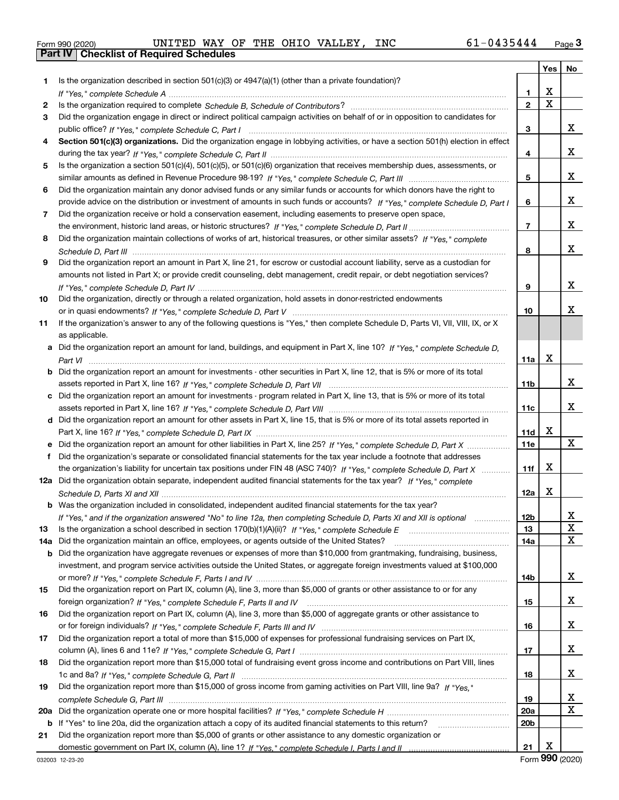|  | Form 990 (2020) |
|--|-----------------|

Form 990 (2020) UNITED WAY OF THE OHIO VALLEY, INC 61–0435444 <sub>Page</sub> 3<br>**Part IV | Checklist of Required Schedules** 

|     |                                                                                                                                       |                 | Yes         | No |
|-----|---------------------------------------------------------------------------------------------------------------------------------------|-----------------|-------------|----|
| 1   | Is the organization described in section $501(c)(3)$ or $4947(a)(1)$ (other than a private foundation)?                               |                 |             |    |
|     |                                                                                                                                       | 1.              | х           |    |
| 2   |                                                                                                                                       | $\overline{2}$  | $\mathbf X$ |    |
| 3   | Did the organization engage in direct or indirect political campaign activities on behalf of or in opposition to candidates for       |                 |             |    |
|     |                                                                                                                                       | 3               |             | x  |
| 4   | Section 501(c)(3) organizations. Did the organization engage in lobbying activities, or have a section 501(h) election in effect      |                 |             |    |
|     |                                                                                                                                       | 4               |             | x  |
| 5   | Is the organization a section 501(c)(4), 501(c)(5), or 501(c)(6) organization that receives membership dues, assessments, or          |                 |             |    |
|     |                                                                                                                                       | 5               |             | x  |
| 6   | Did the organization maintain any donor advised funds or any similar funds or accounts for which donors have the right to             |                 |             |    |
|     | provide advice on the distribution or investment of amounts in such funds or accounts? If "Yes," complete Schedule D, Part I          | 6               |             | x  |
| 7   | Did the organization receive or hold a conservation easement, including easements to preserve open space,                             |                 |             |    |
|     |                                                                                                                                       | $\overline{7}$  |             | x  |
| 8   | Did the organization maintain collections of works of art, historical treasures, or other similar assets? If "Yes," complete          |                 |             |    |
|     |                                                                                                                                       | 8               |             | x  |
| 9   | Did the organization report an amount in Part X, line 21, for escrow or custodial account liability, serve as a custodian for         |                 |             |    |
|     | amounts not listed in Part X; or provide credit counseling, debt management, credit repair, or debt negotiation services?             |                 |             |    |
|     |                                                                                                                                       | 9               |             | x  |
| 10  | Did the organization, directly or through a related organization, hold assets in donor-restricted endowments                          |                 |             |    |
|     |                                                                                                                                       | 10              |             | x  |
| 11  | If the organization's answer to any of the following questions is "Yes," then complete Schedule D, Parts VI, VII, VIII, IX, or X      |                 |             |    |
|     | as applicable.                                                                                                                        |                 |             |    |
|     | a Did the organization report an amount for land, buildings, and equipment in Part X, line 10? If "Yes." complete Schedule D.         |                 |             |    |
|     |                                                                                                                                       | 11a             | х           |    |
|     | <b>b</b> Did the organization report an amount for investments - other securities in Part X, line 12, that is 5% or more of its total |                 |             |    |
|     |                                                                                                                                       | 11 <sub>b</sub> |             | x  |
|     | c Did the organization report an amount for investments - program related in Part X, line 13, that is 5% or more of its total         |                 |             |    |
|     |                                                                                                                                       | 11c             |             | x  |
|     | d Did the organization report an amount for other assets in Part X, line 15, that is 5% or more of its total assets reported in       |                 |             |    |
|     |                                                                                                                                       | 11d             | х           |    |
|     |                                                                                                                                       | <b>11e</b>      |             | X  |
| f   | Did the organization's separate or consolidated financial statements for the tax year include a footnote that addresses               |                 |             |    |
|     | the organization's liability for uncertain tax positions under FIN 48 (ASC 740)? If "Yes," complete Schedule D, Part X                | 11f             | X           |    |
|     | 12a Did the organization obtain separate, independent audited financial statements for the tax year? If "Yes," complete               |                 |             |    |
|     |                                                                                                                                       | 12a             | x           |    |
|     | <b>b</b> Was the organization included in consolidated, independent audited financial statements for the tax year?                    |                 |             |    |
|     | If "Yes," and if the organization answered "No" to line 12a, then completing Schedule D, Parts XI and XII is optional                 | 12 <sub>b</sub> |             | 47 |
| 13  |                                                                                                                                       | 13              |             | X  |
| 14a | Did the organization maintain an office, employees, or agents outside of the United States?                                           | 14a             |             | X  |
| b   | Did the organization have aggregate revenues or expenses of more than \$10,000 from grantmaking, fundraising, business,               |                 |             |    |
|     | investment, and program service activities outside the United States, or aggregate foreign investments valued at \$100,000            |                 |             |    |
|     |                                                                                                                                       | 14b             |             | x  |
| 15  | Did the organization report on Part IX, column (A), line 3, more than \$5,000 of grants or other assistance to or for any             |                 |             |    |
|     |                                                                                                                                       | 15              |             | x  |
| 16  | Did the organization report on Part IX, column (A), line 3, more than \$5,000 of aggregate grants or other assistance to              |                 |             |    |
|     |                                                                                                                                       | 16              |             | x  |
| 17  | Did the organization report a total of more than \$15,000 of expenses for professional fundraising services on Part IX,               |                 |             |    |
|     |                                                                                                                                       | 17              |             | x  |
| 18  | Did the organization report more than \$15,000 total of fundraising event gross income and contributions on Part VIII, lines          |                 |             |    |
|     |                                                                                                                                       | 18              |             | x  |
| 19  | Did the organization report more than \$15,000 of gross income from gaming activities on Part VIII, line 9a? If "Yes."                |                 |             |    |
|     |                                                                                                                                       | 19              |             | X  |
| 20a |                                                                                                                                       | <b>20a</b>      |             | X  |
|     | b If "Yes" to line 20a, did the organization attach a copy of its audited financial statements to this return?                        | 20 <sub>b</sub> |             |    |
| 21  | Did the organization report more than \$5,000 of grants or other assistance to any domestic organization or                           |                 |             |    |
|     |                                                                                                                                       | 21              | х           |    |

Form (2020) **990**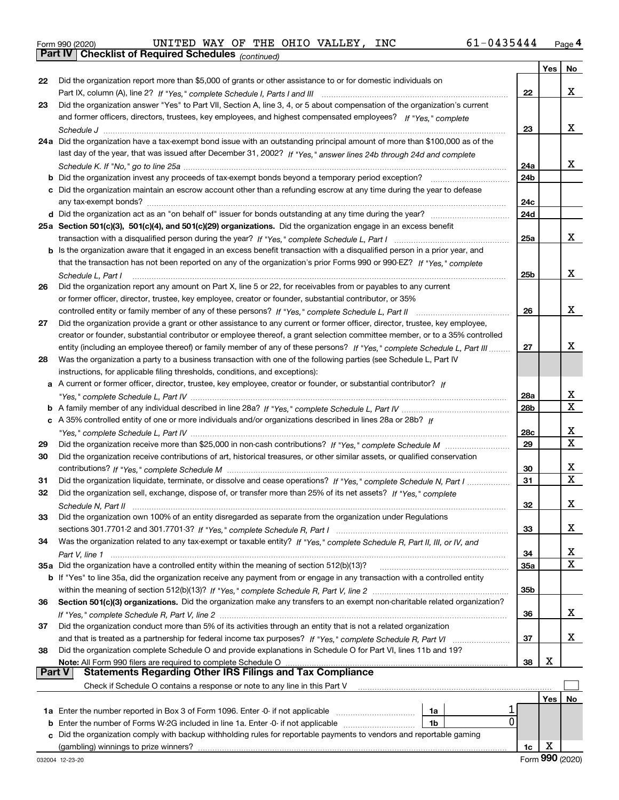|  | Form 990 (2020) |
|--|-----------------|
|  |                 |

Form 990 (2020) UNITED WAY OF THE OHIO VALLEY, INC 61–0435444 <sub>Page</sub> 4<br>**Part IV | Checklist of Required Schedules** <sub>(continued)</sub>

*(continued)*

|               |                                                                                                                                    |                 | Yes | No          |
|---------------|------------------------------------------------------------------------------------------------------------------------------------|-----------------|-----|-------------|
| 22            | Did the organization report more than \$5,000 of grants or other assistance to or for domestic individuals on                      |                 |     |             |
|               |                                                                                                                                    | 22              |     | х           |
| 23            | Did the organization answer "Yes" to Part VII, Section A, line 3, 4, or 5 about compensation of the organization's current         |                 |     |             |
|               | and former officers, directors, trustees, key employees, and highest compensated employees? If "Yes," complete                     |                 |     |             |
|               |                                                                                                                                    | 23              |     | х           |
|               | 24a Did the organization have a tax-exempt bond issue with an outstanding principal amount of more than \$100,000 as of the        |                 |     |             |
|               | last day of the year, that was issued after December 31, 2002? If "Yes," answer lines 24b through 24d and complete                 |                 |     |             |
|               |                                                                                                                                    | 24a             |     | х           |
|               | b Did the organization invest any proceeds of tax-exempt bonds beyond a temporary period exception?                                | 24 <sub>b</sub> |     |             |
|               | c Did the organization maintain an escrow account other than a refunding escrow at any time during the year to defease             |                 |     |             |
|               |                                                                                                                                    | 24c             |     |             |
|               |                                                                                                                                    | 24d             |     |             |
|               | 25a Section 501(c)(3), 501(c)(4), and 501(c)(29) organizations. Did the organization engage in an excess benefit                   |                 |     |             |
|               |                                                                                                                                    | 25a             |     | х           |
|               | b Is the organization aware that it engaged in an excess benefit transaction with a disqualified person in a prior year, and       |                 |     |             |
|               | that the transaction has not been reported on any of the organization's prior Forms 990 or 990-EZ? If "Yes," complete              |                 |     | х           |
|               | Schedule L, Part I                                                                                                                 | 25b             |     |             |
| 26            | Did the organization report any amount on Part X, line 5 or 22, for receivables from or payables to any current                    |                 |     |             |
|               | or former officer, director, trustee, key employee, creator or founder, substantial contributor, or 35%                            |                 |     | х           |
|               |                                                                                                                                    | 26              |     |             |
| 27            | Did the organization provide a grant or other assistance to any current or former officer, director, trustee, key employee,        |                 |     |             |
|               | creator or founder, substantial contributor or employee thereof, a grant selection committee member, or to a 35% controlled        |                 |     | х           |
|               | entity (including an employee thereof) or family member of any of these persons? If "Yes," complete Schedule L, Part III           | 27              |     |             |
| 28            | Was the organization a party to a business transaction with one of the following parties (see Schedule L, Part IV                  |                 |     |             |
|               | instructions, for applicable filing thresholds, conditions, and exceptions):                                                       |                 |     |             |
|               | a A current or former officer, director, trustee, key employee, creator or founder, or substantial contributor? If                 | 28a             |     | х           |
|               |                                                                                                                                    | 28b             |     | $\mathbf x$ |
|               | c A 35% controlled entity of one or more individuals and/or organizations described in lines 28a or 28b? If                        |                 |     |             |
|               |                                                                                                                                    | 28c             |     | x           |
| 29            |                                                                                                                                    | 29              |     | $\mathbf x$ |
| 30            | Did the organization receive contributions of art, historical treasures, or other similar assets, or qualified conservation        |                 |     |             |
|               |                                                                                                                                    | 30              |     | x           |
| 31            | Did the organization liquidate, terminate, or dissolve and cease operations? If "Yes," complete Schedule N, Part I                 | 31              |     | X           |
| 32            | Did the organization sell, exchange, dispose of, or transfer more than 25% of its net assets? If "Yes," complete                   |                 |     |             |
|               | Schedule N. Part II (1990) continuum control control de la control de la control de la control de la control d                     | 32              |     | х           |
| 33            | Did the organization own 100% of an entity disregarded as separate from the organization under Regulations                         |                 |     |             |
|               |                                                                                                                                    | 33              |     | х           |
| 34            | Was the organization related to any tax-exempt or taxable entity? If "Yes," complete Schedule R, Part II, III, or IV, and          |                 |     |             |
|               |                                                                                                                                    | 34              |     | x           |
|               | 35a Did the organization have a controlled entity within the meaning of section 512(b)(13)?                                        | <b>35a</b>      |     | X           |
|               | <b>b</b> If "Yes" to line 35a, did the organization receive any payment from or engage in any transaction with a controlled entity |                 |     |             |
|               |                                                                                                                                    | 35b             |     |             |
| 36            | Section 501(c)(3) organizations. Did the organization make any transfers to an exempt non-charitable related organization?         |                 |     |             |
|               |                                                                                                                                    | 36              |     | x           |
| 37            | Did the organization conduct more than 5% of its activities through an entity that is not a related organization                   |                 |     |             |
|               | and that is treated as a partnership for federal income tax purposes? If "Yes," complete Schedule R, Part VI                       | 37              |     | х           |
| 38            | Did the organization complete Schedule O and provide explanations in Schedule O for Part VI, lines 11b and 19?                     |                 |     |             |
|               | Note: All Form 990 filers are required to complete Schedule O                                                                      | 38              | X   |             |
| <b>Part V</b> | <b>Statements Regarding Other IRS Filings and Tax Compliance</b>                                                                   |                 |     |             |
|               | Check if Schedule O contains a response or note to any line in this Part V                                                         |                 |     |             |
|               |                                                                                                                                    |                 | Yes | No          |
|               | 1a Enter the number reported in Box 3 of Form 1096. Enter -0- if not applicable<br>1a                                              |                 |     |             |
| b             | 0<br>Enter the number of Forms W-2G included in line 1a. Enter -0- if not applicable<br>1b                                         |                 |     |             |
| c             | Did the organization comply with backup withholding rules for reportable payments to vendors and reportable gaming                 |                 |     |             |
|               | (gambling) winnings to prize winners?                                                                                              | 1c              | х   |             |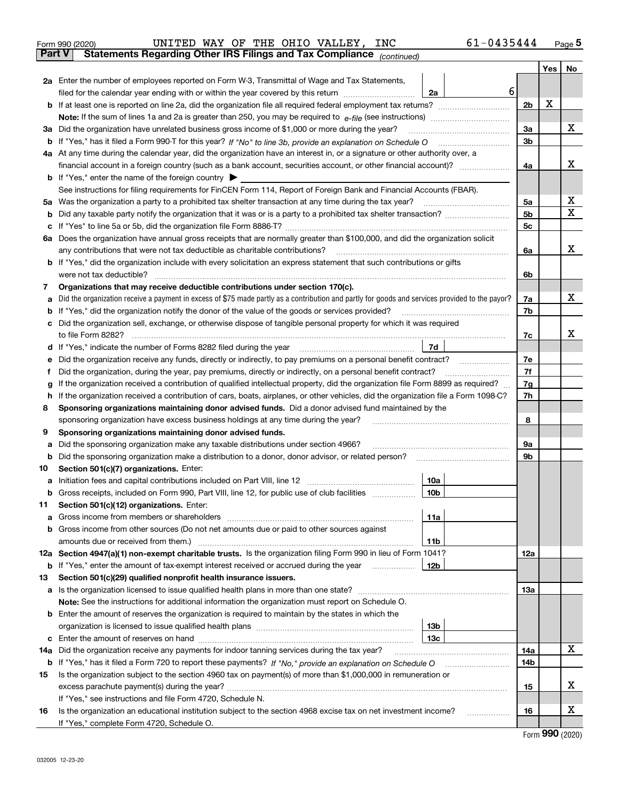|        | UNITED WAY OF THE OHIO VALLEY,<br>INC<br>Form 990 (2020)                                                                                                                                                                                       | 61-0435444     |   | Page 5   |
|--------|------------------------------------------------------------------------------------------------------------------------------------------------------------------------------------------------------------------------------------------------|----------------|---|----------|
| Part V | Statements Regarding Other IRS Filings and Tax Compliance (continued)                                                                                                                                                                          |                |   |          |
|        |                                                                                                                                                                                                                                                |                |   | Yes   No |
|        | 2a Enter the number of employees reported on Form W-3, Transmittal of Wage and Tax Statements,                                                                                                                                                 |                |   |          |
|        | filed for the calendar year ending with or within the year covered by this return<br>2a                                                                                                                                                        | 6              |   |          |
|        |                                                                                                                                                                                                                                                | 2 <sub>b</sub> | х |          |
|        |                                                                                                                                                                                                                                                |                |   |          |
|        | 3a Did the organization have unrelated business gross income of \$1,000 or more during the year?                                                                                                                                               | 3a             |   | х        |
|        |                                                                                                                                                                                                                                                | 3b             |   |          |
|        | 4a At any time during the calendar year, did the organization have an interest in, or a signature or other authority over, a                                                                                                                   |                |   |          |
|        | financial account in a foreign country (such as a bank account, securities account, or other financial account)?                                                                                                                               | 4a             |   | x        |
|        | <b>b</b> If "Yes," enter the name of the foreign country $\blacktriangleright$                                                                                                                                                                 |                |   |          |
|        | See instructions for filing requirements for FinCEN Form 114, Report of Foreign Bank and Financial Accounts (FBAR).                                                                                                                            |                |   |          |
| 5a     | Was the organization a party to a prohibited tax shelter transaction at any time during the tax year?                                                                                                                                          | 5a             |   | x        |
| b      |                                                                                                                                                                                                                                                | 5 <sub>b</sub> |   | х        |
| с      |                                                                                                                                                                                                                                                | 5c             |   |          |
|        | 6a Does the organization have annual gross receipts that are normally greater than \$100,000, and did the organization solicit                                                                                                                 |                |   |          |
|        | any contributions that were not tax deductible as charitable contributions?                                                                                                                                                                    | 6a             |   | x        |
|        | <b>b</b> If "Yes," did the organization include with every solicitation an express statement that such contributions or gifts                                                                                                                  |                |   |          |
|        | were not tax deductible?                                                                                                                                                                                                                       | 6b             |   |          |
| 7      | Organizations that may receive deductible contributions under section 170(c).                                                                                                                                                                  |                |   | x        |
| a      | Did the organization receive a payment in excess of \$75 made partly as a contribution and partly for goods and services provided to the payor?                                                                                                | 7a             |   |          |
| b      | If "Yes," did the organization notify the donor of the value of the goods or services provided?                                                                                                                                                | 7b             |   |          |
|        | Did the organization sell, exchange, or otherwise dispose of tangible personal property for which it was required                                                                                                                              | 7c             |   | x        |
| d      | 7d                                                                                                                                                                                                                                             |                |   |          |
| е      | Did the organization receive any funds, directly or indirectly, to pay premiums on a personal benefit contract?                                                                                                                                | 7e             |   |          |
| f      | Did the organization, during the year, pay premiums, directly or indirectly, on a personal benefit contract?                                                                                                                                   | 7f             |   |          |
| g      | If the organization received a contribution of qualified intellectual property, did the organization file Form 8899 as required?                                                                                                               | 7g             |   |          |
| h.     | If the organization received a contribution of cars, boats, airplanes, or other vehicles, did the organization file a Form 1098-C?                                                                                                             | 7h             |   |          |
| 8      | Sponsoring organizations maintaining donor advised funds. Did a donor advised fund maintained by the                                                                                                                                           |                |   |          |
|        | sponsoring organization have excess business holdings at any time during the year?                                                                                                                                                             | 8              |   |          |
| 9      | Sponsoring organizations maintaining donor advised funds.                                                                                                                                                                                      |                |   |          |
| a      | Did the sponsoring organization make any taxable distributions under section 4966?                                                                                                                                                             | 9а             |   |          |
| b      | Did the sponsoring organization make a distribution to a donor, donor advisor, or related person?                                                                                                                                              | 9b             |   |          |
| 10     | Section 501(c)(7) organizations. Enter:                                                                                                                                                                                                        |                |   |          |
|        | 10a                                                                                                                                                                                                                                            |                |   |          |
|        | 10b <br>Gross receipts, included on Form 990, Part VIII, line 12, for public use of club facilities                                                                                                                                            |                |   |          |
| 11     | Section 501(c)(12) organizations. Enter:                                                                                                                                                                                                       |                |   |          |
| a      | Gross income from members or shareholders<br>11a                                                                                                                                                                                               |                |   |          |
| b      | Gross income from other sources (Do not net amounts due or paid to other sources against                                                                                                                                                       |                |   |          |
|        | amounts due or received from them.)<br>11b                                                                                                                                                                                                     |                |   |          |
|        | 12a Section 4947(a)(1) non-exempt charitable trusts. Is the organization filing Form 990 in lieu of Form 1041?                                                                                                                                 | 12a            |   |          |
|        | 12b<br><b>b</b> If "Yes," enter the amount of tax-exempt interest received or accrued during the year <i>manument</i> of the set of the set of the set of the set of the set of the set of the set of the set of the set of the set of the set |                |   |          |
| 13     | Section 501(c)(29) qualified nonprofit health insurance issuers.                                                                                                                                                                               |                |   |          |
|        | a Is the organization licensed to issue qualified health plans in more than one state?                                                                                                                                                         | 13a            |   |          |
|        | Note: See the instructions for additional information the organization must report on Schedule O.                                                                                                                                              |                |   |          |
|        | <b>b</b> Enter the amount of reserves the organization is required to maintain by the states in which the                                                                                                                                      |                |   |          |
|        | 13b                                                                                                                                                                                                                                            |                |   |          |
| c      | 13с                                                                                                                                                                                                                                            |                |   |          |
| 14a    | Did the organization receive any payments for indoor tanning services during the tax year?                                                                                                                                                     | 14a            |   | x        |
|        | <b>b</b> If "Yes," has it filed a Form 720 to report these payments? If "No," provide an explanation on Schedule O                                                                                                                             | 14b            |   |          |
| 15     | Is the organization subject to the section 4960 tax on payment(s) of more than \$1,000,000 in remuneration or                                                                                                                                  |                |   |          |
|        |                                                                                                                                                                                                                                                | 15             |   | х        |
|        | If "Yes," see instructions and file Form 4720, Schedule N.                                                                                                                                                                                     |                |   |          |
| 16     | Is the organization an educational institution subject to the section 4968 excise tax on net investment income?                                                                                                                                | 16             |   | х        |
|        | If "Yes," complete Form 4720, Schedule O.                                                                                                                                                                                                      |                |   |          |

Form (2020) **990**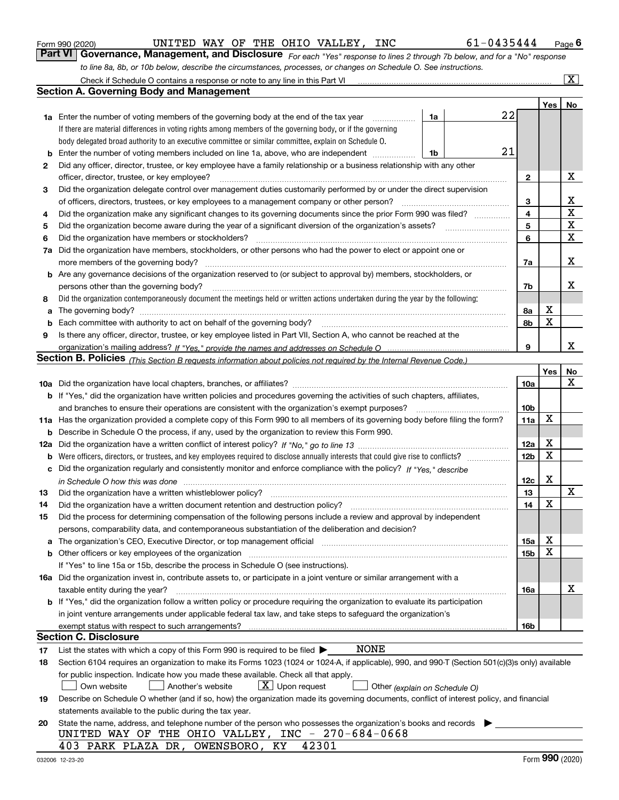|  | Form 990 (2020) |
|--|-----------------|
|  |                 |

UNITED WAY OF THE OHIO VALLEY, INC 61-0435444

*For each "Yes" response to lines 2 through 7b below, and for a "No" response to line 8a, 8b, or 10b below, describe the circumstances, processes, or changes on Schedule O. See instructions.* Form 990 (2020) **CONVICTED WAY OF THE OHIO VALLEY, INC** 61-0435444 Page 6<br>**Part VI Governance, Management, and Disclosure** For each "Yes" response to lines 2 through 7b below, and for a "No" response Check if Schedule O contains a response or note to any line in this Part VI

|     | Check if Schedule O contains a response or note to any line in this Part VI                                                                                                                                                   |                               |    |                 |     | X           |
|-----|-------------------------------------------------------------------------------------------------------------------------------------------------------------------------------------------------------------------------------|-------------------------------|----|-----------------|-----|-------------|
|     | Section A. Governing Body and Management                                                                                                                                                                                      |                               |    |                 |     |             |
|     |                                                                                                                                                                                                                               |                               |    |                 | Yes | No          |
|     | <b>1a</b> Enter the number of voting members of the governing body at the end of the tax year                                                                                                                                 | 1a                            | 22 |                 |     |             |
|     | If there are material differences in voting rights among members of the governing body, or if the governing                                                                                                                   |                               |    |                 |     |             |
|     | body delegated broad authority to an executive committee or similar committee, explain on Schedule O.                                                                                                                         |                               |    |                 |     |             |
| b   | Enter the number of voting members included on line 1a, above, who are independent                                                                                                                                            | 1b                            | 21 |                 |     |             |
| 2   | Did any officer, director, trustee, or key employee have a family relationship or a business relationship with any other                                                                                                      |                               |    |                 |     |             |
|     | officer, director, trustee, or key employee?                                                                                                                                                                                  |                               |    | $\mathbf{2}$    |     | х           |
| 3   | Did the organization delegate control over management duties customarily performed by or under the direct supervision                                                                                                         |                               |    |                 |     |             |
|     | of officers, directors, trustees, or key employees to a management company or other person?                                                                                                                                   |                               |    | 3               |     | х           |
| 4   | Did the organization make any significant changes to its governing documents since the prior Form 990 was filed?                                                                                                              |                               |    | 4               |     | $\mathbf X$ |
| 5   |                                                                                                                                                                                                                               |                               |    | 5               |     | X           |
| 6   | Did the organization have members or stockholders?                                                                                                                                                                            |                               |    | 6               |     | X           |
| 7a  | Did the organization have members, stockholders, or other persons who had the power to elect or appoint one or                                                                                                                |                               |    |                 |     |             |
|     | more members of the governing body?                                                                                                                                                                                           |                               |    | 7a              |     | х           |
|     | <b>b</b> Are any governance decisions of the organization reserved to (or subject to approval by) members, stockholders, or                                                                                                   |                               |    |                 |     |             |
|     | persons other than the governing body?                                                                                                                                                                                        |                               |    | 7b              |     | x           |
| 8   | Did the organization contemporaneously document the meetings held or written actions undertaken during the year by the following:                                                                                             |                               |    |                 |     |             |
| a   |                                                                                                                                                                                                                               |                               |    | 8а              | х   |             |
| b   |                                                                                                                                                                                                                               |                               |    | 8b              | X   |             |
| 9   | Is there any officer, director, trustee, or key employee listed in Part VII, Section A, who cannot be reached at the                                                                                                          |                               |    |                 |     |             |
|     |                                                                                                                                                                                                                               |                               |    | 9               |     | х           |
|     | <b>Section B. Policies</b> (This Section B requests information about policies not required by the Internal Revenue Code.)                                                                                                    |                               |    |                 |     |             |
|     |                                                                                                                                                                                                                               |                               |    |                 | Yes | No          |
|     |                                                                                                                                                                                                                               |                               |    | 10a             |     | x           |
|     | <b>b</b> If "Yes," did the organization have written policies and procedures governing the activities of such chapters, affiliates,                                                                                           |                               |    |                 |     |             |
|     | and branches to ensure their operations are consistent with the organization's exempt purposes?                                                                                                                               |                               |    | 10 <sub>b</sub> |     |             |
|     | 11a Has the organization provided a complete copy of this Form 990 to all members of its governing body before filing the form?                                                                                               |                               |    | 11a             | X   |             |
| b   | Describe in Schedule O the process, if any, used by the organization to review this Form 990.                                                                                                                                 |                               |    |                 |     |             |
| 12a |                                                                                                                                                                                                                               |                               |    | 12a             | X   |             |
| b   |                                                                                                                                                                                                                               |                               |    | 12 <sub>b</sub> | X   |             |
|     | c Did the organization regularly and consistently monitor and enforce compliance with the policy? If "Yes." describe                                                                                                          |                               |    |                 |     |             |
|     | in Schedule O how this was done www.communication.com/www.communications.com/www.communications.com/                                                                                                                          |                               |    | 12c             | х   |             |
| 13  | Did the organization have a written whistleblower policy?                                                                                                                                                                     |                               |    | 13              |     | $\mathbf X$ |
| 14  | Did the organization have a written document retention and destruction policy?                                                                                                                                                |                               |    | 14              | х   |             |
| 15  | Did the process for determining compensation of the following persons include a review and approval by independent                                                                                                            |                               |    |                 |     |             |
|     | persons, comparability data, and contemporaneous substantiation of the deliberation and decision?                                                                                                                             |                               |    |                 |     |             |
| a   | The organization's CEO, Executive Director, or top management official manufactured content content of the organization's CEO, Executive Director, or top management official manufactured content of the organization's CEO, |                               |    | 15a             | х   |             |
|     | <b>b</b> Other officers or key employees of the organization                                                                                                                                                                  |                               |    | 15b             | х   |             |
|     | If "Yes" to line 15a or 15b, describe the process in Schedule O (see instructions).                                                                                                                                           |                               |    |                 |     |             |
|     | 16a Did the organization invest in, contribute assets to, or participate in a joint venture or similar arrangement with a                                                                                                     |                               |    |                 |     |             |
|     | taxable entity during the year?                                                                                                                                                                                               |                               |    | 16a             |     | х           |
|     | b If "Yes," did the organization follow a written policy or procedure requiring the organization to evaluate its participation                                                                                                |                               |    |                 |     |             |
|     | in joint venture arrangements under applicable federal tax law, and take steps to safeguard the organization's                                                                                                                |                               |    |                 |     |             |
|     | exempt status with respect to such arrangements?                                                                                                                                                                              |                               |    | 16b             |     |             |
|     | Section C. Disclosure                                                                                                                                                                                                         |                               |    |                 |     |             |
| 17  | NONE<br>List the states with which a copy of this Form 990 is required to be filed $\blacktriangleright$                                                                                                                      |                               |    |                 |     |             |
| 18  | Section 6104 requires an organization to make its Forms 1023 (1024 or 1024-A, if applicable), 990, and 990-T (Section 501(c)(3)s only) available                                                                              |                               |    |                 |     |             |
|     | for public inspection. Indicate how you made these available. Check all that apply.                                                                                                                                           |                               |    |                 |     |             |
|     | $\lfloor x \rfloor$ Upon request<br>Own website<br>Another's website                                                                                                                                                          | Other (explain on Schedule O) |    |                 |     |             |
| 19  | Describe on Schedule O whether (and if so, how) the organization made its governing documents, conflict of interest policy, and financial                                                                                     |                               |    |                 |     |             |
|     | statements available to the public during the tax year.                                                                                                                                                                       |                               |    |                 |     |             |
| 20  | State the name, address, and telephone number of the person who possesses the organization's books and records                                                                                                                |                               |    |                 |     |             |
|     | UNITED WAY OF THE OHIO VALLEY, INC - 270-684-0668                                                                                                                                                                             |                               |    |                 |     |             |
|     | 42301<br>403 PARK PLAZA DR, OWENSBORO, KY                                                                                                                                                                                     |                               |    |                 |     |             |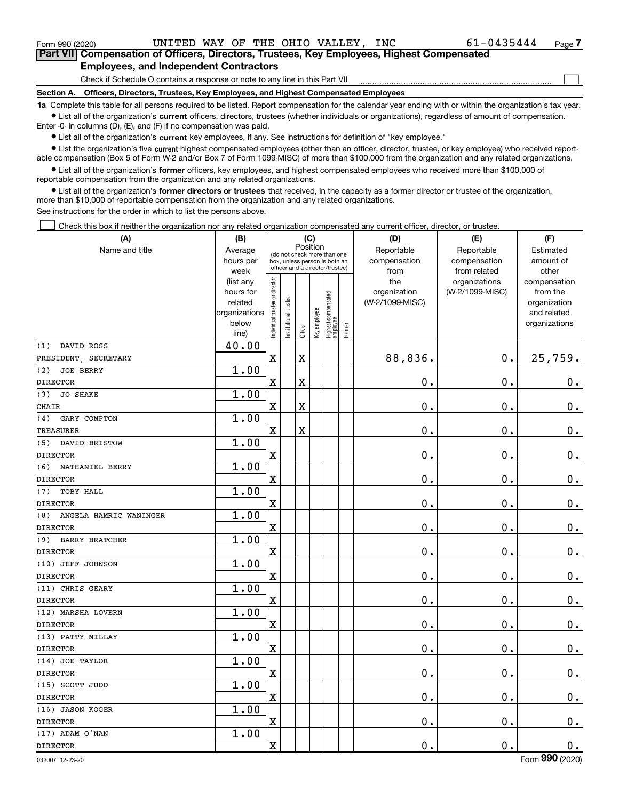<code>Form</code> 990 (2020) UNITED <code>WAY OF THE OHIO VALLEY</code> , INC 61-0435444 Page

 $\mathcal{L}^{\text{max}}$ 

**7Part VII Compensation of Officers, Directors, Trustees, Key Employees, Highest Compensated Employees, and Independent Contractors**

Check if Schedule O contains a response or note to any line in this Part VII

**Section A. Officers, Directors, Trustees, Key Employees, and Highest Compensated Employees**

**1a**  Complete this table for all persons required to be listed. Report compensation for the calendar year ending with or within the organization's tax year. **•** List all of the organization's current officers, directors, trustees (whether individuals or organizations), regardless of amount of compensation.

Enter -0- in columns (D), (E), and (F) if no compensation was paid.

 $\bullet$  List all of the organization's  $\,$ current key employees, if any. See instructions for definition of "key employee."

**•** List the organization's five current highest compensated employees (other than an officer, director, trustee, or key employee) who received reportable compensation (Box 5 of Form W-2 and/or Box 7 of Form 1099-MISC) of more than \$100,000 from the organization and any related organizations.

**•** List all of the organization's former officers, key employees, and highest compensated employees who received more than \$100,000 of reportable compensation from the organization and any related organizations.

**former directors or trustees**  ¥ List all of the organization's that received, in the capacity as a former director or trustee of the organization, more than \$10,000 of reportable compensation from the organization and any related organizations.

See instructions for the order in which to list the persons above.

Check this box if neither the organization nor any related organization compensated any current officer, director, or trustee.  $\mathcal{L}^{\text{max}}$ 

| (A)                           | (B)                                                                  |                                |                                                                                                             | (C)                     |                                    |                                            |                                 | (D)                                    | (E)                              | (F)                                                                      |
|-------------------------------|----------------------------------------------------------------------|--------------------------------|-------------------------------------------------------------------------------------------------------------|-------------------------|------------------------------------|--------------------------------------------|---------------------------------|----------------------------------------|----------------------------------|--------------------------------------------------------------------------|
| Name and title                | Average<br>hours per<br>week                                         |                                | Position<br>(do not check more than one<br>box, unless person is both an<br>officer and a director/trustee) |                         | Reportable<br>compensation<br>from | Reportable<br>compensation<br>from related | Estimated<br>amount of<br>other |                                        |                                  |                                                                          |
|                               | (list any<br>hours for<br>related<br>organizations<br>below<br>line) | Individual trustee or director | Institutional trustee                                                                                       | Officer                 | Key employee                       | Highest compensated<br>  employee          | Former                          | the<br>organization<br>(W-2/1099-MISC) | organizations<br>(W-2/1099-MISC) | compensation<br>from the<br>organization<br>and related<br>organizations |
| DAVID ROSS<br>(1)             | 40.00                                                                |                                |                                                                                                             |                         |                                    |                                            |                                 |                                        |                                  |                                                                          |
| PRESIDENT, SECRETARY          |                                                                      | $\mathbf X$                    |                                                                                                             | $\overline{\textbf{X}}$ |                                    |                                            |                                 | 88,836.                                | $\mathbf 0$ .                    | 25,759.                                                                  |
| (2)<br><b>JOE BERRY</b>       | 1.00                                                                 |                                |                                                                                                             |                         |                                    |                                            |                                 |                                        |                                  |                                                                          |
| <b>DIRECTOR</b>               |                                                                      | X                              |                                                                                                             | $\overline{\textbf{X}}$ |                                    |                                            |                                 | 0.                                     | $\mathbf 0$ .                    | $0_{.}$                                                                  |
| <b>JO SHAKE</b><br>(3)        | 1.00                                                                 |                                |                                                                                                             |                         |                                    |                                            |                                 |                                        |                                  |                                                                          |
| <b>CHAIR</b>                  |                                                                      | $\mathbf X$                    |                                                                                                             | $\overline{\textbf{X}}$ |                                    |                                            |                                 | 0.                                     | $\mathbf 0$ .                    | $0_{\cdot}$                                                              |
| (4)<br>GARY COMPTON           | 1.00                                                                 |                                |                                                                                                             |                         |                                    |                                            |                                 |                                        |                                  |                                                                          |
| <b>TREASURER</b>              |                                                                      | X                              |                                                                                                             | $\overline{\textbf{X}}$ |                                    |                                            |                                 | 0.                                     | 0.                               | $\mathbf 0$ .                                                            |
| (5) DAVID BRISTOW             | 1.00                                                                 |                                |                                                                                                             |                         |                                    |                                            |                                 |                                        |                                  |                                                                          |
| <b>DIRECTOR</b>               |                                                                      | $\overline{\textbf{X}}$        |                                                                                                             |                         |                                    |                                            |                                 | 0.                                     | 0.                               | $0_{.}$                                                                  |
| (6)<br>NATHANIEL BERRY        | 1.00                                                                 |                                |                                                                                                             |                         |                                    |                                            |                                 |                                        |                                  |                                                                          |
| <b>DIRECTOR</b>               |                                                                      | $\overline{\textbf{X}}$        |                                                                                                             |                         |                                    |                                            |                                 | 0.                                     | $\mathbf 0$ .                    | $\mathbf 0$ .                                                            |
| <b>TOBY HALL</b><br>(7)       | 1.00                                                                 |                                |                                                                                                             |                         |                                    |                                            |                                 |                                        |                                  |                                                                          |
| <b>DIRECTOR</b>               |                                                                      | $\mathbf X$                    |                                                                                                             |                         |                                    |                                            |                                 | 0.                                     | 0.                               | $0_{\cdot}$                                                              |
| (8)<br>ANGELA HAMRIC WANINGER | 1.00                                                                 |                                |                                                                                                             |                         |                                    |                                            |                                 |                                        |                                  |                                                                          |
| <b>DIRECTOR</b>               |                                                                      | $\overline{\textbf{X}}$        |                                                                                                             |                         |                                    |                                            |                                 | 0.                                     | 0.                               | $0_{\cdot}$                                                              |
| <b>BARRY BRATCHER</b><br>(9)  | 1.00                                                                 |                                |                                                                                                             |                         |                                    |                                            |                                 |                                        |                                  |                                                                          |
| <b>DIRECTOR</b>               |                                                                      | $\rm X$                        |                                                                                                             |                         |                                    |                                            |                                 | 0.                                     | 0.                               | $0_{.}$                                                                  |
| (10) JEFF JOHNSON             | 1.00                                                                 |                                |                                                                                                             |                         |                                    |                                            |                                 |                                        |                                  |                                                                          |
| <b>DIRECTOR</b>               |                                                                      | $\overline{\textbf{X}}$        |                                                                                                             |                         |                                    |                                            |                                 | 0.                                     | 0.                               | $\mathbf 0$ .                                                            |
| (11) CHRIS GEARY              | 1.00                                                                 |                                |                                                                                                             |                         |                                    |                                            |                                 |                                        |                                  |                                                                          |
| <b>DIRECTOR</b>               |                                                                      | $\rm X$                        |                                                                                                             |                         |                                    |                                            |                                 | 0.                                     | 0.                               | $\mathbf 0$ .                                                            |
| (12) MARSHA LOVERN            | 1.00                                                                 |                                |                                                                                                             |                         |                                    |                                            |                                 |                                        |                                  |                                                                          |
| <b>DIRECTOR</b>               |                                                                      | X                              |                                                                                                             |                         |                                    |                                            |                                 | 0.                                     | 0.                               | $0_{.}$                                                                  |
| (13) PATTY MILLAY             | 1.00                                                                 |                                |                                                                                                             |                         |                                    |                                            |                                 |                                        |                                  |                                                                          |
| <b>DIRECTOR</b>               |                                                                      | X                              |                                                                                                             |                         |                                    |                                            |                                 | 0.                                     | $\mathbf 0$ .                    | $0_{.}$                                                                  |
| (14) JOE TAYLOR               | 1.00                                                                 |                                |                                                                                                             |                         |                                    |                                            |                                 |                                        |                                  |                                                                          |
| <b>DIRECTOR</b>               |                                                                      | X                              |                                                                                                             |                         |                                    |                                            |                                 | 0.                                     | $\mathbf 0$ .                    | $\mathbf 0$ .                                                            |
| (15) SCOTT JUDD               | 1.00                                                                 |                                |                                                                                                             |                         |                                    |                                            |                                 |                                        |                                  |                                                                          |
| <b>DIRECTOR</b>               |                                                                      | X                              |                                                                                                             |                         |                                    |                                            |                                 | 0.                                     | $\mathbf 0$ .                    | $\mathbf 0$ .                                                            |
| (16) JASON KOGER              | 1.00                                                                 |                                |                                                                                                             |                         |                                    |                                            |                                 |                                        |                                  |                                                                          |
| <b>DIRECTOR</b>               |                                                                      | X                              |                                                                                                             |                         |                                    |                                            |                                 | 0.                                     | $\mathbf 0$ .                    | $\mathbf 0$ .                                                            |
| (17) ADAM O'NAN               | 1.00                                                                 |                                |                                                                                                             |                         |                                    |                                            |                                 |                                        |                                  |                                                                          |
| <b>DIRECTOR</b>               |                                                                      | $\rm X$                        |                                                                                                             |                         |                                    |                                            |                                 | 0.                                     | $\mathbf 0$ .                    | $\mathbf 0$ .                                                            |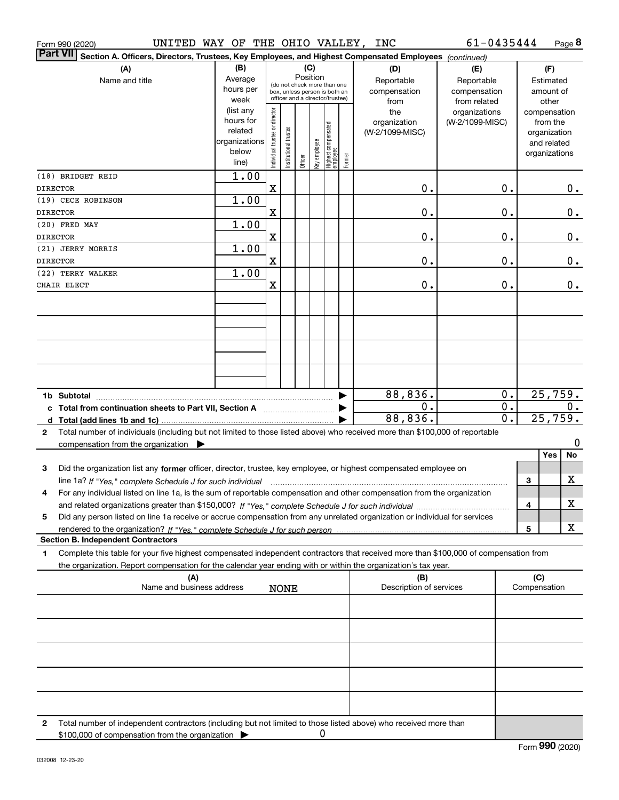| UNITED WAY OF THE OHIO VALLEY, INC<br>Form 990 (2020)                                                                                                                                                                                                                                 |                                                                      |                                                                                                                                                          |                      |         |              |                                 |        |                                        | 61-0435444                       |                                                   |                                                                          | Page $8$      |                                        |
|---------------------------------------------------------------------------------------------------------------------------------------------------------------------------------------------------------------------------------------------------------------------------------------|----------------------------------------------------------------------|----------------------------------------------------------------------------------------------------------------------------------------------------------|----------------------|---------|--------------|---------------------------------|--------|----------------------------------------|----------------------------------|---------------------------------------------------|--------------------------------------------------------------------------|---------------|----------------------------------------|
| <b>Part VII</b><br>Section A. Officers, Directors, Trustees, Key Employees, and Highest Compensated Employees (continued)                                                                                                                                                             |                                                                      |                                                                                                                                                          |                      |         |              |                                 |        |                                        |                                  |                                                   |                                                                          |               |                                        |
| (A)<br>Name and title                                                                                                                                                                                                                                                                 | (B)<br>Average<br>hours per<br>week                                  | (D)<br>Position<br>Reportable<br>(do not check more than one<br>compensation<br>box, unless person is both an<br>officer and a director/trustee)<br>from |                      | (C)     |              |                                 |        |                                        |                                  | (E)<br>Reportable<br>compensation<br>from related |                                                                          |               | (F)<br>Estimated<br>amount of<br>other |
|                                                                                                                                                                                                                                                                                       | (list any<br>hours for<br>related<br>organizations<br>below<br>line) | Individual trustee or director                                                                                                                           | nstitutional trustee | Officer | Key employee | Highest compensated<br>employee | Former | the<br>organization<br>(W-2/1099-MISC) | organizations<br>(W-2/1099-MISC) |                                                   | compensation<br>from the<br>organization<br>and related<br>organizations |               |                                        |
| (18) BRIDGET REID<br><b>DIRECTOR</b>                                                                                                                                                                                                                                                  | 1.00                                                                 | X                                                                                                                                                        |                      |         |              |                                 |        | 0.                                     |                                  | Ο.                                                |                                                                          | 0.            |                                        |
| (19) CECE ROBINSON<br><b>DIRECTOR</b>                                                                                                                                                                                                                                                 | 1.00                                                                 | $\mathbf X$                                                                                                                                              |                      |         |              |                                 |        | Ο.                                     |                                  | Ο.                                                |                                                                          | 0.            |                                        |
| (20) FRED MAY                                                                                                                                                                                                                                                                         | 1.00                                                                 |                                                                                                                                                          |                      |         |              |                                 |        |                                        |                                  |                                                   |                                                                          |               |                                        |
| <b>DIRECTOR</b><br>(21) JERRY MORRIS                                                                                                                                                                                                                                                  | 1.00                                                                 | $\mathbf X$                                                                                                                                              |                      |         |              |                                 |        | Ο.                                     |                                  | Ο.                                                |                                                                          | 0.            |                                        |
| <b>DIRECTOR</b>                                                                                                                                                                                                                                                                       |                                                                      | $\mathbf X$                                                                                                                                              |                      |         |              |                                 |        | Ο.                                     |                                  | Ο.                                                |                                                                          | 0.            |                                        |
| (22) TERRY WALKER<br>CHAIR ELECT                                                                                                                                                                                                                                                      | 1.00                                                                 | X                                                                                                                                                        |                      |         |              |                                 |        | Ο.                                     |                                  | Ο.                                                |                                                                          | 0.            |                                        |
|                                                                                                                                                                                                                                                                                       |                                                                      |                                                                                                                                                          |                      |         |              |                                 |        |                                        |                                  |                                                   |                                                                          |               |                                        |
|                                                                                                                                                                                                                                                                                       |                                                                      |                                                                                                                                                          |                      |         |              |                                 |        |                                        |                                  |                                                   |                                                                          |               |                                        |
|                                                                                                                                                                                                                                                                                       |                                                                      |                                                                                                                                                          |                      |         |              |                                 |        |                                        |                                  |                                                   |                                                                          |               |                                        |
|                                                                                                                                                                                                                                                                                       |                                                                      |                                                                                                                                                          |                      |         |              |                                 |        |                                        |                                  |                                                   |                                                                          |               |                                        |
| 1b Subtotal                                                                                                                                                                                                                                                                           |                                                                      |                                                                                                                                                          |                      |         |              |                                 | ▶      | 88,836.                                |                                  | 0.                                                |                                                                          | 25,759.       |                                        |
| Total from continuation sheets to Part VII, Section A<br>c                                                                                                                                                                                                                            |                                                                      |                                                                                                                                                          |                      |         |              |                                 |        | 0.<br>88,836.                          |                                  | 0.<br>0.                                          |                                                                          | 0.<br>25,759. |                                        |
| Total number of individuals (including but not limited to those listed above) who received more than \$100,000 of reportable<br>2<br>compensation from the organization $\blacktriangleright$                                                                                         |                                                                      |                                                                                                                                                          |                      |         |              |                                 |        |                                        |                                  |                                                   |                                                                          | 0             |                                        |
|                                                                                                                                                                                                                                                                                       |                                                                      |                                                                                                                                                          |                      |         |              |                                 |        |                                        |                                  |                                                   | Yes                                                                      | No            |                                        |
| Did the organization list any former officer, director, trustee, key employee, or highest compensated employee on<br>3                                                                                                                                                                |                                                                      |                                                                                                                                                          |                      |         |              |                                 |        |                                        |                                  |                                                   | З                                                                        | х             |                                        |
| line 1a? If "Yes," complete Schedule J for such individual manufactured contained and the line 1a? If "Yes," complete Schedule J for such individual<br>For any individual listed on line 1a, is the sum of reportable compensation and other compensation from the organization<br>4 |                                                                      |                                                                                                                                                          |                      |         |              |                                 |        |                                        |                                  |                                                   |                                                                          |               |                                        |
| Did any person listed on line 1a receive or accrue compensation from any unrelated organization or individual for services<br>5                                                                                                                                                       |                                                                      |                                                                                                                                                          |                      |         |              |                                 |        |                                        |                                  |                                                   | 4                                                                        | x             |                                        |
|                                                                                                                                                                                                                                                                                       |                                                                      |                                                                                                                                                          |                      |         |              |                                 |        |                                        |                                  |                                                   | 5                                                                        | X             |                                        |
| <b>Section B. Independent Contractors</b><br>Complete this table for your five highest compensated independent contractors that received more than \$100,000 of compensation from                                                                                                     |                                                                      |                                                                                                                                                          |                      |         |              |                                 |        |                                        |                                  |                                                   |                                                                          |               |                                        |
| 1<br>the organization. Report compensation for the calendar year ending with or within the organization's tax year.                                                                                                                                                                   |                                                                      |                                                                                                                                                          |                      |         |              |                                 |        |                                        |                                  |                                                   |                                                                          |               |                                        |
| (A)<br>Name and business address                                                                                                                                                                                                                                                      |                                                                      |                                                                                                                                                          | <b>NONE</b>          |         |              |                                 |        | (B)<br>Description of services         |                                  |                                                   | (C)<br>Compensation                                                      |               |                                        |
|                                                                                                                                                                                                                                                                                       |                                                                      |                                                                                                                                                          |                      |         |              |                                 |        |                                        |                                  |                                                   |                                                                          |               |                                        |
|                                                                                                                                                                                                                                                                                       |                                                                      |                                                                                                                                                          |                      |         |              |                                 |        |                                        |                                  |                                                   |                                                                          |               |                                        |
|                                                                                                                                                                                                                                                                                       |                                                                      |                                                                                                                                                          |                      |         |              |                                 |        |                                        |                                  |                                                   |                                                                          |               |                                        |
|                                                                                                                                                                                                                                                                                       |                                                                      |                                                                                                                                                          |                      |         |              |                                 |        |                                        |                                  |                                                   |                                                                          |               |                                        |
|                                                                                                                                                                                                                                                                                       |                                                                      |                                                                                                                                                          |                      |         |              |                                 |        |                                        |                                  |                                                   |                                                                          |               |                                        |
| Total number of independent contractors (including but not limited to those listed above) who received more than<br>2<br>\$100,000 of compensation from the organization                                                                                                              |                                                                      |                                                                                                                                                          |                      |         | 0            |                                 |        |                                        |                                  |                                                   |                                                                          |               |                                        |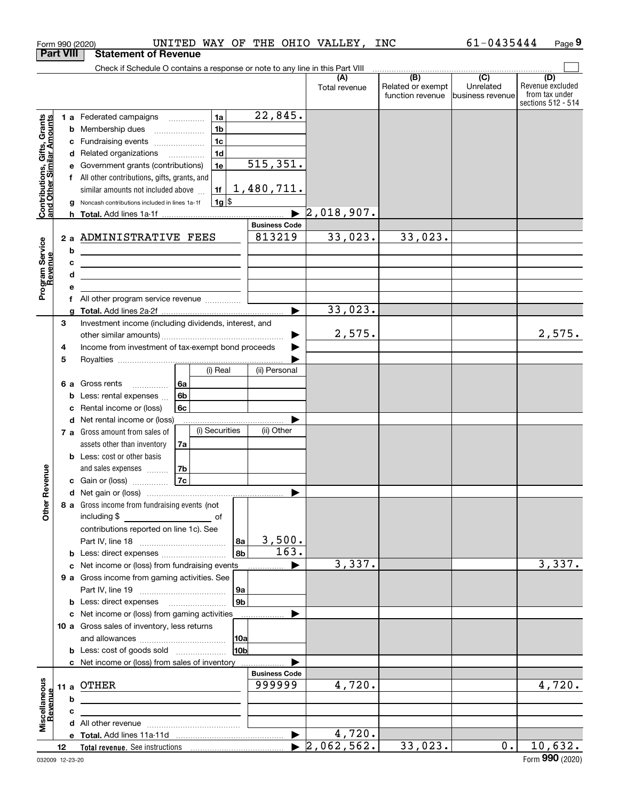|                                                           |                  | UNITED WAY OF THE OHIO VALLEY,<br>Form 990 (2020)                                  |                                      |                                  | <b>INC</b>                                                                                                                             | 61-0435444                    | Page 9                                                          |
|-----------------------------------------------------------|------------------|------------------------------------------------------------------------------------|--------------------------------------|----------------------------------|----------------------------------------------------------------------------------------------------------------------------------------|-------------------------------|-----------------------------------------------------------------|
|                                                           | <b>Part VIII</b> | <b>Statement of Revenue</b>                                                        |                                      |                                  |                                                                                                                                        |                               |                                                                 |
|                                                           |                  | Check if Schedule O contains a response or note to any line in this Part VIII      |                                      |                                  |                                                                                                                                        |                               |                                                                 |
|                                                           |                  |                                                                                    |                                      | (A)<br>Total revenue             | $\begin{array}{ c c c c }\hline \textbf{(B)} & \textbf{(C)} & \textbf{(D)}\hline \end{array}$<br>Related or exempt<br>function revenue | Unrelated<br>business revenue | (D)<br>Revenue excluded<br>from tax under<br>sections 512 - 514 |
|                                                           |                  | 1a<br>1 a Federated campaigns                                                      | 22,845.                              |                                  |                                                                                                                                        |                               |                                                                 |
|                                                           |                  | 1 <sub>b</sub><br><b>b</b> Membership dues<br>$\ldots \ldots \ldots \ldots \ldots$ |                                      |                                  |                                                                                                                                        |                               |                                                                 |
|                                                           | с                | 1 <sub>c</sub><br>Fundraising events                                               |                                      |                                  |                                                                                                                                        |                               |                                                                 |
|                                                           |                  | 1 <sub>d</sub><br>d Related organizations                                          |                                      |                                  |                                                                                                                                        |                               |                                                                 |
|                                                           | е                | 1e<br>Government grants (contributions)                                            | 515, 351.                            |                                  |                                                                                                                                        |                               |                                                                 |
|                                                           |                  | f All other contributions, gifts, grants, and                                      |                                      |                                  |                                                                                                                                        |                               |                                                                 |
| Contributions, Gifts, Grants<br>and Other Similar Amounts |                  | similar amounts not included above<br>1f                                           | 1,480,711.                           |                                  |                                                                                                                                        |                               |                                                                 |
|                                                           | g                | $1g$ \$<br>Noncash contributions included in lines 1a-1f                           |                                      |                                  |                                                                                                                                        |                               |                                                                 |
|                                                           |                  |                                                                                    |                                      | 2,018,907.                       |                                                                                                                                        |                               |                                                                 |
|                                                           |                  |                                                                                    | <b>Business Code</b>                 |                                  |                                                                                                                                        |                               |                                                                 |
| Program Service<br>Revenue                                |                  | 2 a ADMINISTRATIVE FEES                                                            | 813219                               | 33,023.                          | 33,023.                                                                                                                                |                               |                                                                 |
|                                                           | b                | <u> 1989 - Johann Barbara, martxa alemaniar a</u>                                  |                                      |                                  |                                                                                                                                        |                               |                                                                 |
|                                                           | c                |                                                                                    |                                      |                                  |                                                                                                                                        |                               |                                                                 |
|                                                           | d<br>е           | <u> 1989 - Johann Stoff, Amerikaansk politiker († 1908)</u>                        |                                      |                                  |                                                                                                                                        |                               |                                                                 |
|                                                           | f                | All other program service revenue                                                  |                                      |                                  |                                                                                                                                        |                               |                                                                 |
|                                                           | a                |                                                                                    |                                      | 33,023.                          |                                                                                                                                        |                               |                                                                 |
|                                                           | 3                | Investment income (including dividends, interest, and                              |                                      |                                  |                                                                                                                                        |                               |                                                                 |
|                                                           |                  |                                                                                    |                                      | 2,575.                           |                                                                                                                                        |                               | 2,575.                                                          |
|                                                           | 4                | Income from investment of tax-exempt bond proceeds                                 |                                      |                                  |                                                                                                                                        |                               |                                                                 |
|                                                           | 5                |                                                                                    |                                      |                                  |                                                                                                                                        |                               |                                                                 |
|                                                           |                  | (i) Real                                                                           | (ii) Personal                        |                                  |                                                                                                                                        |                               |                                                                 |
|                                                           |                  | 6a<br>6 a Gross rents                                                              |                                      |                                  |                                                                                                                                        |                               |                                                                 |
|                                                           | b                | 6b<br>Less: rental expenses                                                        |                                      |                                  |                                                                                                                                        |                               |                                                                 |
|                                                           | c                | Rental income or (loss)<br>6c                                                      |                                      |                                  |                                                                                                                                        |                               |                                                                 |
|                                                           |                  | d Net rental income or (loss)                                                      |                                      |                                  |                                                                                                                                        |                               |                                                                 |
|                                                           |                  | (i) Securities<br>7 a Gross amount from sales of                                   | (ii) Other                           |                                  |                                                                                                                                        |                               |                                                                 |
|                                                           |                  | assets other than inventory<br>7a                                                  |                                      |                                  |                                                                                                                                        |                               |                                                                 |
|                                                           |                  | <b>b</b> Less: cost or other basis                                                 |                                      |                                  |                                                                                                                                        |                               |                                                                 |
| evenue                                                    |                  | 7b<br>and sales expenses<br>7c                                                     |                                      |                                  |                                                                                                                                        |                               |                                                                 |
|                                                           |                  | c Gain or (loss)                                                                   |                                      |                                  |                                                                                                                                        |                               |                                                                 |
|                                                           |                  | 8 a Gross income from fundraising events (not                                      |                                      |                                  |                                                                                                                                        |                               |                                                                 |
| Other <sub>R</sub>                                        |                  | including \$                                                                       |                                      |                                  |                                                                                                                                        |                               |                                                                 |
|                                                           |                  | contributions reported on line 1c). See                                            |                                      |                                  |                                                                                                                                        |                               |                                                                 |
|                                                           |                  |                                                                                    | 3,500.<br> 8a                        |                                  |                                                                                                                                        |                               |                                                                 |
|                                                           |                  | <b>b</b> Less: direct expenses                                                     | $\overline{1}$ 63.<br>8 <sub>b</sub> |                                  |                                                                                                                                        |                               |                                                                 |
|                                                           |                  | c Net income or (loss) from fundraising events                                     | ▶                                    | 3,337.                           |                                                                                                                                        |                               | 3,337.                                                          |
|                                                           |                  | 9 a Gross income from gaming activities. See                                       |                                      |                                  |                                                                                                                                        |                               |                                                                 |
|                                                           |                  |                                                                                    | 9a                                   |                                  |                                                                                                                                        |                               |                                                                 |
|                                                           |                  | <b>b</b> Less: direct expenses <b>manually</b>                                     | 9 <sub>b</sub>                       |                                  |                                                                                                                                        |                               |                                                                 |
|                                                           |                  | c Net income or (loss) from gaming activities                                      |                                      |                                  |                                                                                                                                        |                               |                                                                 |
|                                                           |                  | 10 a Gross sales of inventory, less returns                                        |                                      |                                  |                                                                                                                                        |                               |                                                                 |
|                                                           |                  |                                                                                    | 10a                                  |                                  |                                                                                                                                        |                               |                                                                 |
|                                                           |                  | <b>b</b> Less: cost of goods sold                                                  | 10 <sub>b</sub>                      |                                  |                                                                                                                                        |                               |                                                                 |
|                                                           |                  | c Net income or (loss) from sales of inventory                                     |                                      |                                  |                                                                                                                                        |                               |                                                                 |
|                                                           |                  | 11 a OTHER                                                                         | <b>Business Code</b><br>999999       | 4,720.                           |                                                                                                                                        |                               | 4,720.                                                          |
| Miscellaneous<br>Revenue                                  | b                |                                                                                    |                                      |                                  |                                                                                                                                        |                               |                                                                 |
|                                                           | c                |                                                                                    |                                      |                                  |                                                                                                                                        |                               |                                                                 |
|                                                           |                  |                                                                                    |                                      |                                  |                                                                                                                                        |                               |                                                                 |
|                                                           |                  |                                                                                    | $\blacktriangleright$                | 4,720.                           |                                                                                                                                        |                               |                                                                 |
|                                                           | 12               |                                                                                    |                                      | $\blacktriangleright$ 2,062,562. | 33,023.                                                                                                                                | $0$ .                         | 10,632.                                                         |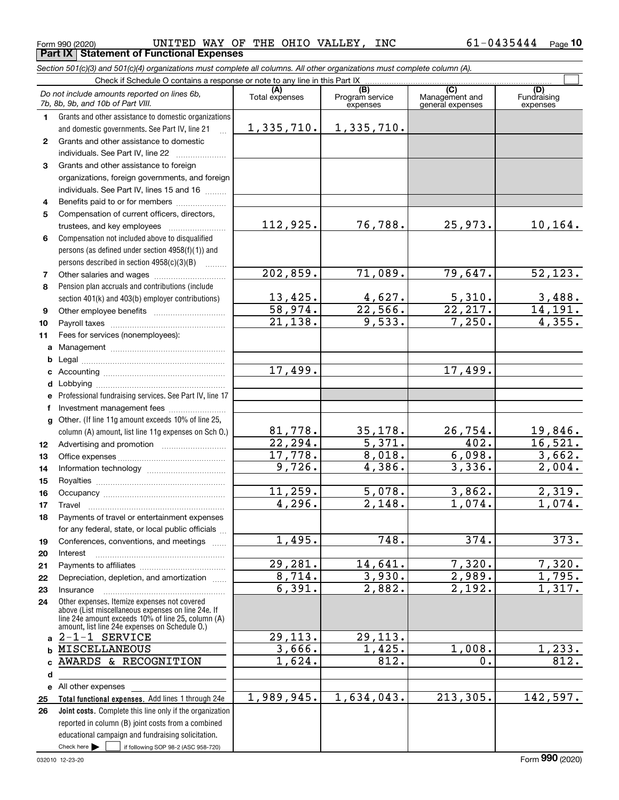**10**

| Section 501(c)(3) and 501(c)(4) organizations must complete all columns. All other organizations must complete column (A). |  |  |  |
|----------------------------------------------------------------------------------------------------------------------------|--|--|--|
|                                                                                                                            |  |  |  |

|              | Do not include amounts reported on lines 6b,<br>7b, 8b, 9b, and 10b of Part VIII.                                                                                                                          | (A)<br>Total expenses | (B)<br>Program service<br>expenses | $\overline{C}$<br>Management and<br>general expenses | (D)<br>Fundraising<br>expenses |
|--------------|------------------------------------------------------------------------------------------------------------------------------------------------------------------------------------------------------------|-----------------------|------------------------------------|------------------------------------------------------|--------------------------------|
| 1.           | Grants and other assistance to domestic organizations                                                                                                                                                      |                       |                                    |                                                      |                                |
|              | and domestic governments. See Part IV, line 21                                                                                                                                                             | 1,335,710.            | 1,335,710.                         |                                                      |                                |
| $\mathbf{2}$ | Grants and other assistance to domestic                                                                                                                                                                    |                       |                                    |                                                      |                                |
|              | individuals. See Part IV, line 22                                                                                                                                                                          |                       |                                    |                                                      |                                |
| 3            | Grants and other assistance to foreign                                                                                                                                                                     |                       |                                    |                                                      |                                |
|              | organizations, foreign governments, and foreign                                                                                                                                                            |                       |                                    |                                                      |                                |
|              | individuals. See Part IV, lines 15 and 16                                                                                                                                                                  |                       |                                    |                                                      |                                |
| 4            | Benefits paid to or for members                                                                                                                                                                            |                       |                                    |                                                      |                                |
| 5            | Compensation of current officers, directors,                                                                                                                                                               |                       |                                    |                                                      |                                |
|              | trustees, and key employees                                                                                                                                                                                | 112,925.              | 76,788.                            | 25,973.                                              | 10, 164.                       |
| 6            | Compensation not included above to disqualified                                                                                                                                                            |                       |                                    |                                                      |                                |
|              | persons (as defined under section 4958(f)(1)) and                                                                                                                                                          |                       |                                    |                                                      |                                |
|              | persons described in section 4958(c)(3)(B)                                                                                                                                                                 |                       |                                    |                                                      |                                |
| 7            | Other salaries and wages                                                                                                                                                                                   | 202,859.              | 71,089.                            | 79,647.                                              | 52, 123.                       |
| 8            | Pension plan accruals and contributions (include                                                                                                                                                           |                       |                                    |                                                      |                                |
|              | section 401(k) and 403(b) employer contributions)                                                                                                                                                          | 13,425.               | $\frac{4,627}{22,566}$             | 5,310.                                               | 3,488.                         |
| 9            |                                                                                                                                                                                                            | $\overline{58,974.}$  |                                    | $\overline{22,217}$ .                                | 14,191.                        |
| 10           |                                                                                                                                                                                                            | 21, 138.              | 9,533.                             | 7,250.                                               | 4,355.                         |
| 11           | Fees for services (nonemployees):                                                                                                                                                                          |                       |                                    |                                                      |                                |
| a            |                                                                                                                                                                                                            |                       |                                    |                                                      |                                |
| b            |                                                                                                                                                                                                            |                       |                                    |                                                      |                                |
| c            |                                                                                                                                                                                                            | 17,499.               |                                    | 17,499.                                              |                                |
| d            |                                                                                                                                                                                                            |                       |                                    |                                                      |                                |
| e            | Professional fundraising services. See Part IV, line 17                                                                                                                                                    |                       |                                    |                                                      |                                |
| f            | Investment management fees                                                                                                                                                                                 |                       |                                    |                                                      |                                |
| g            | Other. (If line 11g amount exceeds 10% of line 25,                                                                                                                                                         |                       |                                    |                                                      |                                |
|              | column (A) amount, list line 11g expenses on Sch O.)                                                                                                                                                       | 81,778.               | 35,178.                            | 26,754.                                              | 19,846.                        |
| 12           |                                                                                                                                                                                                            | 22, 294.              | 5,371.                             | $\overline{402}$ .                                   | 16,521.                        |
| 13           |                                                                                                                                                                                                            | 17,778.               | 8,018.                             | 6,098.                                               | 3,662.                         |
| 14           |                                                                                                                                                                                                            | 9,726.                | 4,386.                             | 3,336.                                               | $\overline{2,004}$ .           |
| 15           |                                                                                                                                                                                                            |                       |                                    |                                                      |                                |
| 16           |                                                                                                                                                                                                            | 11,259.               | 5,078.                             | 3,862.                                               | 2,319.                         |
| 17           | Travel                                                                                                                                                                                                     | 4,296.                | $\overline{2,148}$ .               | 1,074.                                               | 1,074.                         |
| 18           | Payments of travel or entertainment expenses                                                                                                                                                               |                       |                                    |                                                      |                                |
|              | for any federal, state, or local public officials                                                                                                                                                          |                       |                                    |                                                      |                                |
| 19           | Conferences, conventions, and meetings                                                                                                                                                                     | $\overline{1,495}$ .  | 748.                               | 374.                                                 | 373.                           |
| 20           | Interest                                                                                                                                                                                                   |                       |                                    |                                                      |                                |
| 21           |                                                                                                                                                                                                            | 29,281.               | 14,641.                            | 7,320.                                               | 7,320.                         |
| 22           | Depreciation, depletion, and amortization                                                                                                                                                                  | 8,714.                | 3,930.                             | $\overline{2,989}$ .                                 | 1,795.                         |
| 23           | Insurance                                                                                                                                                                                                  | 6,391.                | 2,882.                             | $\overline{2,192}$ .                                 | 1,317.                         |
| 24           | Other expenses. Itemize expenses not covered<br>above (List miscellaneous expenses on line 24e. If<br>line 24e amount exceeds 10% of line 25, column (A)<br>amount, list line 24e expenses on Schedule O.) |                       |                                    |                                                      |                                |
|              | $a$ 2-1-1 SERVICE                                                                                                                                                                                          | 29,113.               | 29,113.                            |                                                      |                                |
| $\mathbf b$  | MISCELLANEOUS                                                                                                                                                                                              | 3,666.                | 1,425.                             | 1,008.                                               | 1,233.                         |
| C            | AWARDS & RECOGNITION                                                                                                                                                                                       | $\overline{1,624}$ .  | 812.                               | 0.                                                   | 812.                           |
| d            |                                                                                                                                                                                                            |                       |                                    |                                                      |                                |
| е            | All other expenses                                                                                                                                                                                         |                       |                                    |                                                      |                                |
| 25           | Total functional expenses. Add lines 1 through 24e                                                                                                                                                         | 1,989,945.            | 1,634,043.                         | 213,305.                                             | 142,597.                       |
| 26           | Joint costs. Complete this line only if the organization                                                                                                                                                   |                       |                                    |                                                      |                                |
|              | reported in column (B) joint costs from a combined                                                                                                                                                         |                       |                                    |                                                      |                                |
|              | educational campaign and fundraising solicitation.                                                                                                                                                         |                       |                                    |                                                      |                                |
|              | Check here $\blacktriangleright$<br>if following SOP 98-2 (ASC 958-720)                                                                                                                                    |                       |                                    |                                                      |                                |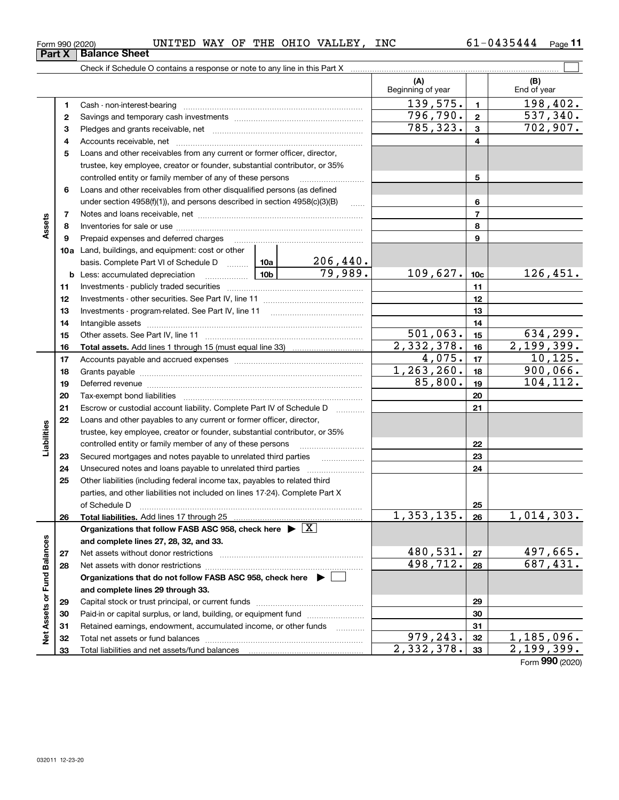| Form 990 (2020) | UNITED | WAY<br>ОF | THE | OHIO<br>VALLEY | INC | . 4 4 A<br>$\overline{ }$ | Page |
|-----------------|--------|-----------|-----|----------------|-----|---------------------------|------|
|                 |        |           |     |                |     |                           |      |

|                             |    |                                                                                                                                                                                                                                |                                                                                         |                          | (A)<br>Beginning of year |                 | (B)<br>End of year       |
|-----------------------------|----|--------------------------------------------------------------------------------------------------------------------------------------------------------------------------------------------------------------------------------|-----------------------------------------------------------------------------------------|--------------------------|--------------------------|-----------------|--------------------------|
|                             | 1  |                                                                                                                                                                                                                                |                                                                                         |                          | 139,575.                 | $\mathbf{1}$    | 198, 402.                |
|                             | 2  |                                                                                                                                                                                                                                |                                                                                         |                          | 796, 790.                | $\mathbf{2}$    | 537,340.                 |
|                             | 3  |                                                                                                                                                                                                                                |                                                                                         |                          | 785, 323.                | $\mathbf{3}$    | 702,907.                 |
|                             | 4  |                                                                                                                                                                                                                                |                                                                                         |                          |                          | 4               |                          |
|                             | 5  | Loans and other receivables from any current or former officer, director,                                                                                                                                                      |                                                                                         |                          |                          |                 |                          |
|                             |    | trustee, key employee, creator or founder, substantial contributor, or 35%                                                                                                                                                     |                                                                                         |                          |                          |                 |                          |
|                             |    | controlled entity or family member of any of these persons                                                                                                                                                                     |                                                                                         |                          |                          | 5               |                          |
|                             | 6  | Loans and other receivables from other disqualified persons (as defined                                                                                                                                                        |                                                                                         |                          |                          |                 |                          |
|                             |    |                                                                                                                                                                                                                                | under section $4958(f)(1)$ , and persons described in section $4958(c)(3)(B)$<br>$\sim$ |                          |                          |                 |                          |
|                             | 7  |                                                                                                                                                                                                                                |                                                                                         | $\overline{7}$           |                          |                 |                          |
| Assets                      | 8  |                                                                                                                                                                                                                                |                                                                                         | 8                        |                          |                 |                          |
|                             | 9  | Prepaid expenses and deferred charges                                                                                                                                                                                          |                                                                                         | 9                        |                          |                 |                          |
|                             |    | 10a Land, buildings, and equipment: cost or other                                                                                                                                                                              |                                                                                         |                          |                          |                 |                          |
|                             |    | basis. Complete Part VI of Schedule D  10a                                                                                                                                                                                     |                                                                                         | 206,440.                 |                          |                 |                          |
|                             |    | <b>b</b> Less: accumulated depreciation<br>. 1                                                                                                                                                                                 | 10 <sub>b</sub>                                                                         | 79,989.                  | 109,627.                 | 10 <sub>c</sub> | 126,451.                 |
|                             | 11 |                                                                                                                                                                                                                                |                                                                                         |                          |                          | 11              |                          |
|                             | 12 |                                                                                                                                                                                                                                |                                                                                         | 12                       |                          |                 |                          |
|                             | 13 |                                                                                                                                                                                                                                |                                                                                         | 13                       |                          |                 |                          |
|                             | 14 |                                                                                                                                                                                                                                |                                                                                         |                          |                          | 14              |                          |
|                             | 15 |                                                                                                                                                                                                                                |                                                                                         |                          | 501,063.                 | 15              | 634,299.                 |
|                             | 16 |                                                                                                                                                                                                                                |                                                                                         |                          | 2,332,378.               | 16              | 2,199,399.               |
|                             | 17 |                                                                                                                                                                                                                                |                                                                                         |                          | $\overline{4,075}$ .     | 17              | 10, 125.                 |
|                             | 18 |                                                                                                                                                                                                                                |                                                                                         |                          | 1, 263, 260.             | 18              | 900,066.                 |
|                             | 19 | Deferred revenue manual contracts and contracts are all the contracts and contracts are contracted and contracts are contracted and contract are contracted and contract are contracted and contract are contracted and contra |                                                                                         |                          | 85,800.                  | 19              | 104, 112.                |
|                             | 20 |                                                                                                                                                                                                                                |                                                                                         |                          |                          | 20              |                          |
|                             | 21 | Escrow or custodial account liability. Complete Part IV of Schedule D                                                                                                                                                          |                                                                                         | $\overline{\phantom{a}}$ |                          | 21              |                          |
|                             | 22 | Loans and other payables to any current or former officer, director,                                                                                                                                                           |                                                                                         |                          |                          |                 |                          |
|                             |    | trustee, key employee, creator or founder, substantial contributor, or 35%                                                                                                                                                     |                                                                                         |                          |                          |                 |                          |
| Liabilities                 |    | controlled entity or family member of any of these persons                                                                                                                                                                     |                                                                                         |                          |                          | 22              |                          |
|                             | 23 | Secured mortgages and notes payable to unrelated third parties                                                                                                                                                                 |                                                                                         |                          |                          | 23              |                          |
|                             | 24 |                                                                                                                                                                                                                                |                                                                                         |                          |                          | 24              |                          |
|                             | 25 | Other liabilities (including federal income tax, payables to related third                                                                                                                                                     |                                                                                         |                          |                          |                 |                          |
|                             |    | parties, and other liabilities not included on lines 17-24). Complete Part X                                                                                                                                                   |                                                                                         |                          |                          |                 |                          |
|                             |    | of Schedule D                                                                                                                                                                                                                  |                                                                                         |                          |                          | 25              |                          |
|                             | 26 | Total liabilities. Add lines 17 through 25                                                                                                                                                                                     |                                                                                         |                          | 1,353,135.               | 26              | $\overline{1,014,303}$ . |
|                             |    | Organizations that follow FASB ASC 958, check here $\blacktriangleright \lfloor X \rfloor$                                                                                                                                     |                                                                                         |                          |                          |                 |                          |
|                             |    | and complete lines 27, 28, 32, and 33.                                                                                                                                                                                         |                                                                                         |                          |                          |                 |                          |
|                             | 27 |                                                                                                                                                                                                                                |                                                                                         |                          | 480,531.                 | 27              | 497,665.                 |
|                             | 28 |                                                                                                                                                                                                                                |                                                                                         |                          | 498,712.                 | 28              | 687,431.                 |
|                             |    | Organizations that do not follow FASB ASC 958, check here $\blacktriangleright$                                                                                                                                                |                                                                                         |                          |                          |                 |                          |
|                             |    | and complete lines 29 through 33.                                                                                                                                                                                              |                                                                                         |                          |                          |                 |                          |
|                             | 29 |                                                                                                                                                                                                                                |                                                                                         |                          |                          | 29              |                          |
| Net Assets or Fund Balances | 30 | Paid-in or capital surplus, or land, building, or equipment fund                                                                                                                                                               |                                                                                         |                          |                          | 30              |                          |
|                             | 31 | Retained earnings, endowment, accumulated income, or other funds                                                                                                                                                               |                                                                                         |                          |                          | 31              |                          |
|                             | 32 |                                                                                                                                                                                                                                |                                                                                         |                          | $\overline{979,243}$ .   | 32              | 1,185,096.               |
|                             | 33 |                                                                                                                                                                                                                                |                                                                                         |                          | 2,332,378.               | 33              | 2,199,399.               |

Form (2020) **990**

## **Part X Balance Sheet**

| Form 990 (2020 |  |
|----------------|--|
|                |  |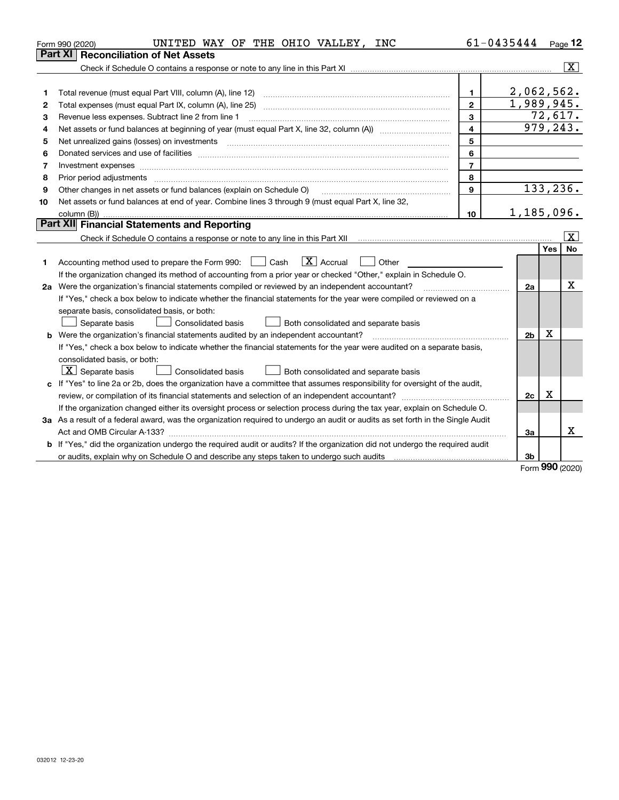|                                                                                                                   | UNITED WAY OF THE OHIO VALLEY, INC<br>Form 990 (2020)                                                                                                                                                                               |              | 61-0435444     |         | Page 12                 |  |  |
|-------------------------------------------------------------------------------------------------------------------|-------------------------------------------------------------------------------------------------------------------------------------------------------------------------------------------------------------------------------------|--------------|----------------|---------|-------------------------|--|--|
|                                                                                                                   | <b>Reconciliation of Net Assets</b><br>Part XI                                                                                                                                                                                      |              |                |         |                         |  |  |
|                                                                                                                   |                                                                                                                                                                                                                                     |              |                |         | $\overline{\mathtt{x}}$ |  |  |
|                                                                                                                   |                                                                                                                                                                                                                                     |              |                |         |                         |  |  |
| 1                                                                                                                 |                                                                                                                                                                                                                                     | 1.           | 2,062,562.     |         |                         |  |  |
| 2                                                                                                                 |                                                                                                                                                                                                                                     | $\mathbf{2}$ | 1,989,945.     | 72,617. |                         |  |  |
| З                                                                                                                 | 3<br>Revenue less expenses. Subtract line 2 from line 1                                                                                                                                                                             |              |                |         |                         |  |  |
| 4                                                                                                                 | $\overline{4}$                                                                                                                                                                                                                      |              |                |         |                         |  |  |
| 5                                                                                                                 | 5                                                                                                                                                                                                                                   |              |                |         |                         |  |  |
| 6                                                                                                                 | 6<br>Donated services and use of facilities [111] processes and the service of facilities [11] processes and use of facilities [11] processes and the service of facilities [11] processes and the service of the service of the se |              |                |         |                         |  |  |
| 7                                                                                                                 | $\overline{7}$<br>Investment expenses www.communication.com/www.communication.com/www.communication.com/www.com                                                                                                                     |              |                |         |                         |  |  |
| 8                                                                                                                 | Prior period adjustments                                                                                                                                                                                                            | 8            |                |         |                         |  |  |
| 9                                                                                                                 | Other changes in net assets or fund balances (explain on Schedule O)                                                                                                                                                                | 9            | 133,236.       |         |                         |  |  |
| 10                                                                                                                | Net assets or fund balances at end of year. Combine lines 3 through 9 (must equal Part X, line 32,                                                                                                                                  |              |                |         |                         |  |  |
|                                                                                                                   |                                                                                                                                                                                                                                     | 10           | 1,185,096.     |         |                         |  |  |
|                                                                                                                   | Part XII Financial Statements and Reporting                                                                                                                                                                                         |              |                |         |                         |  |  |
|                                                                                                                   |                                                                                                                                                                                                                                     |              |                |         | $\overline{\mathbf{X}}$ |  |  |
|                                                                                                                   |                                                                                                                                                                                                                                     |              |                | Yes     | <b>No</b>               |  |  |
| 1                                                                                                                 | $\boxed{\text{X}}$ Accrual<br>Accounting method used to prepare the Form 990: <u>June</u> Cash<br>Other                                                                                                                             |              |                |         |                         |  |  |
| If the organization changed its method of accounting from a prior year or checked "Other," explain in Schedule O. |                                                                                                                                                                                                                                     |              |                |         |                         |  |  |
| 2a Were the organization's financial statements compiled or reviewed by an independent accountant?<br>2a          |                                                                                                                                                                                                                                     |              |                |         |                         |  |  |
|                                                                                                                   | If "Yes," check a box below to indicate whether the financial statements for the year were compiled or reviewed on a                                                                                                                |              |                |         |                         |  |  |
|                                                                                                                   | separate basis, consolidated basis, or both:                                                                                                                                                                                        |              |                |         |                         |  |  |
|                                                                                                                   | Separate basis<br>Both consolidated and separate basis<br>Consolidated basis                                                                                                                                                        |              |                |         |                         |  |  |
|                                                                                                                   | <b>b</b> Were the organization's financial statements audited by an independent accountant?                                                                                                                                         |              | 2 <sub>b</sub> | Х       |                         |  |  |
|                                                                                                                   | If "Yes," check a box below to indicate whether the financial statements for the year were audited on a separate basis,                                                                                                             |              |                |         |                         |  |  |
|                                                                                                                   | consolidated basis, or both:                                                                                                                                                                                                        |              |                |         |                         |  |  |
|                                                                                                                   | $\lfloor x \rfloor$ Separate basis<br><b>Consolidated basis</b><br>Both consolidated and separate basis                                                                                                                             |              |                |         |                         |  |  |
|                                                                                                                   | c If "Yes" to line 2a or 2b, does the organization have a committee that assumes responsibility for oversight of the audit,                                                                                                         |              |                |         |                         |  |  |
|                                                                                                                   |                                                                                                                                                                                                                                     |              | 2c             | x       |                         |  |  |
|                                                                                                                   | If the organization changed either its oversight process or selection process during the tax year, explain on Schedule O.                                                                                                           |              |                |         |                         |  |  |
|                                                                                                                   | 3a As a result of a federal award, was the organization required to undergo an audit or audits as set forth in the Single Audit                                                                                                     |              |                |         |                         |  |  |
|                                                                                                                   |                                                                                                                                                                                                                                     |              | За             |         | x                       |  |  |
|                                                                                                                   | <b>b</b> If "Yes," did the organization undergo the required audit or audits? If the organization did not undergo the required audit                                                                                                |              |                |         |                         |  |  |
|                                                                                                                   |                                                                                                                                                                                                                                     |              | 3 <sub>b</sub> |         |                         |  |  |

Form (2020) **990**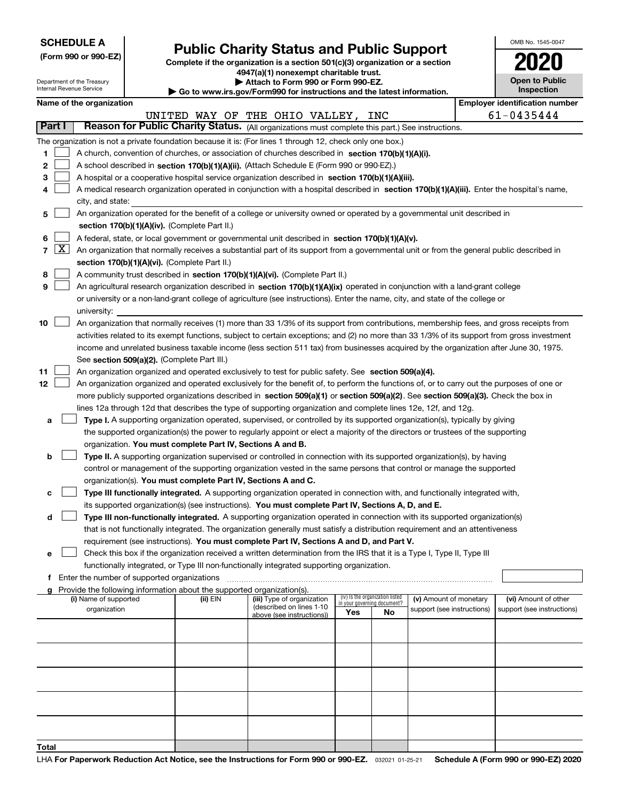| <b>SCHEDULE A</b> |  |  |  |  |  |  |
|-------------------|--|--|--|--|--|--|
|-------------------|--|--|--|--|--|--|

Department of the Treasury Internal Revenue Service

| (Form 990 or 990-EZ) |  |  |  |  |
|----------------------|--|--|--|--|
|----------------------|--|--|--|--|

# **Public Charity Status and Public Support**

**Complete if the organization is a section 501(c)(3) organization or a section 4947(a)(1) nonexempt charitable trust. | Attach to Form 990 or Form 990-EZ.** 

| <b>P</b> Allach to Form 330 or Form 330-LZ.                              |  |
|--------------------------------------------------------------------------|--|
| ► Go to www.irs.gov/Form990 for instructions and the latest information. |  |
|                                                                          |  |

| OMB No 1545-0047                    |
|-------------------------------------|
| 2020                                |
| <b>Open to Public</b><br>Inspection |

|  | Name of the organization |
|--|--------------------------|
|--|--------------------------|

|            | Name of the organization<br><b>Employer identification number</b> |                                                                                                                                                                                                                                                                                  |          |                                                        |                                 |    |                                                      |  |                                                    |
|------------|-------------------------------------------------------------------|----------------------------------------------------------------------------------------------------------------------------------------------------------------------------------------------------------------------------------------------------------------------------------|----------|--------------------------------------------------------|---------------------------------|----|------------------------------------------------------|--|----------------------------------------------------|
|            |                                                                   |                                                                                                                                                                                                                                                                                  |          | UNITED WAY OF THE OHIO VALLEY, INC                     |                                 |    |                                                      |  | 61-0435444                                         |
| Part I     |                                                                   | Reason for Public Charity Status. (All organizations must complete this part.) See instructions.                                                                                                                                                                                 |          |                                                        |                                 |    |                                                      |  |                                                    |
|            |                                                                   | The organization is not a private foundation because it is: (For lines 1 through 12, check only one box.)                                                                                                                                                                        |          |                                                        |                                 |    |                                                      |  |                                                    |
| 1          |                                                                   | A church, convention of churches, or association of churches described in section 170(b)(1)(A)(i).                                                                                                                                                                               |          |                                                        |                                 |    |                                                      |  |                                                    |
| 2          |                                                                   | A school described in section 170(b)(1)(A)(ii). (Attach Schedule E (Form 990 or 990-EZ).)                                                                                                                                                                                        |          |                                                        |                                 |    |                                                      |  |                                                    |
| з          |                                                                   | A hospital or a cooperative hospital service organization described in section 170(b)(1)(A)(iii).                                                                                                                                                                                |          |                                                        |                                 |    |                                                      |  |                                                    |
|            |                                                                   | A medical research organization operated in conjunction with a hospital described in section 170(b)(1)(A)(iii). Enter the hospital's name,                                                                                                                                       |          |                                                        |                                 |    |                                                      |  |                                                    |
|            |                                                                   | city, and state:                                                                                                                                                                                                                                                                 |          |                                                        |                                 |    |                                                      |  |                                                    |
| 5          |                                                                   | An organization operated for the benefit of a college or university owned or operated by a governmental unit described in                                                                                                                                                        |          |                                                        |                                 |    |                                                      |  |                                                    |
|            |                                                                   | section 170(b)(1)(A)(iv). (Complete Part II.)                                                                                                                                                                                                                                    |          |                                                        |                                 |    |                                                      |  |                                                    |
| 6          |                                                                   | A federal, state, or local government or governmental unit described in section 170(b)(1)(A)(v).                                                                                                                                                                                 |          |                                                        |                                 |    |                                                      |  |                                                    |
| $7 \times$ |                                                                   | An organization that normally receives a substantial part of its support from a governmental unit or from the general public described in                                                                                                                                        |          |                                                        |                                 |    |                                                      |  |                                                    |
|            |                                                                   | section 170(b)(1)(A)(vi). (Complete Part II.)                                                                                                                                                                                                                                    |          |                                                        |                                 |    |                                                      |  |                                                    |
| 8          |                                                                   | A community trust described in section 170(b)(1)(A)(vi). (Complete Part II.)                                                                                                                                                                                                     |          |                                                        |                                 |    |                                                      |  |                                                    |
| 9          |                                                                   | An agricultural research organization described in section 170(b)(1)(A)(ix) operated in conjunction with a land-grant college                                                                                                                                                    |          |                                                        |                                 |    |                                                      |  |                                                    |
|            |                                                                   | or university or a non-land-grant college of agriculture (see instructions). Enter the name, city, and state of the college or                                                                                                                                                   |          |                                                        |                                 |    |                                                      |  |                                                    |
|            |                                                                   | university:                                                                                                                                                                                                                                                                      |          |                                                        |                                 |    |                                                      |  |                                                    |
| 10         |                                                                   | An organization that normally receives (1) more than 33 1/3% of its support from contributions, membership fees, and gross receipts from                                                                                                                                         |          |                                                        |                                 |    |                                                      |  |                                                    |
|            |                                                                   | activities related to its exempt functions, subject to certain exceptions; and (2) no more than 33 1/3% of its support from gross investment                                                                                                                                     |          |                                                        |                                 |    |                                                      |  |                                                    |
|            |                                                                   | income and unrelated business taxable income (less section 511 tax) from businesses acquired by the organization after June 30, 1975.                                                                                                                                            |          |                                                        |                                 |    |                                                      |  |                                                    |
|            |                                                                   | See section 509(a)(2). (Complete Part III.)                                                                                                                                                                                                                                      |          |                                                        |                                 |    |                                                      |  |                                                    |
| 11         |                                                                   | An organization organized and operated exclusively to test for public safety. See section 509(a)(4).                                                                                                                                                                             |          |                                                        |                                 |    |                                                      |  |                                                    |
| 12         |                                                                   | An organization organized and operated exclusively for the benefit of, to perform the functions of, or to carry out the purposes of one or<br>more publicly supported organizations described in section 509(a)(1) or section 509(a)(2). See section 509(a)(3). Check the box in |          |                                                        |                                 |    |                                                      |  |                                                    |
|            |                                                                   | lines 12a through 12d that describes the type of supporting organization and complete lines 12e, 12f, and 12g.                                                                                                                                                                   |          |                                                        |                                 |    |                                                      |  |                                                    |
| а          |                                                                   | Type I. A supporting organization operated, supervised, or controlled by its supported organization(s), typically by giving                                                                                                                                                      |          |                                                        |                                 |    |                                                      |  |                                                    |
|            |                                                                   | the supported organization(s) the power to regularly appoint or elect a majority of the directors or trustees of the supporting                                                                                                                                                  |          |                                                        |                                 |    |                                                      |  |                                                    |
|            |                                                                   | organization. You must complete Part IV, Sections A and B.                                                                                                                                                                                                                       |          |                                                        |                                 |    |                                                      |  |                                                    |
| b          |                                                                   | Type II. A supporting organization supervised or controlled in connection with its supported organization(s), by having                                                                                                                                                          |          |                                                        |                                 |    |                                                      |  |                                                    |
|            |                                                                   | control or management of the supporting organization vested in the same persons that control or manage the supported                                                                                                                                                             |          |                                                        |                                 |    |                                                      |  |                                                    |
|            |                                                                   | organization(s). You must complete Part IV, Sections A and C.                                                                                                                                                                                                                    |          |                                                        |                                 |    |                                                      |  |                                                    |
| c          |                                                                   | Type III functionally integrated. A supporting organization operated in connection with, and functionally integrated with,                                                                                                                                                       |          |                                                        |                                 |    |                                                      |  |                                                    |
|            |                                                                   | its supported organization(s) (see instructions). You must complete Part IV, Sections A, D, and E.                                                                                                                                                                               |          |                                                        |                                 |    |                                                      |  |                                                    |
| d          |                                                                   | Type III non-functionally integrated. A supporting organization operated in connection with its supported organization(s)                                                                                                                                                        |          |                                                        |                                 |    |                                                      |  |                                                    |
|            |                                                                   | that is not functionally integrated. The organization generally must satisfy a distribution requirement and an attentiveness                                                                                                                                                     |          |                                                        |                                 |    |                                                      |  |                                                    |
|            |                                                                   | requirement (see instructions). You must complete Part IV, Sections A and D, and Part V.                                                                                                                                                                                         |          |                                                        |                                 |    |                                                      |  |                                                    |
| е          |                                                                   | Check this box if the organization received a written determination from the IRS that it is a Type I, Type II, Type III                                                                                                                                                          |          |                                                        |                                 |    |                                                      |  |                                                    |
|            |                                                                   | functionally integrated, or Type III non-functionally integrated supporting organization.                                                                                                                                                                                        |          |                                                        |                                 |    |                                                      |  |                                                    |
|            |                                                                   | f Enter the number of supported organizations                                                                                                                                                                                                                                    |          |                                                        |                                 |    |                                                      |  |                                                    |
|            |                                                                   | Provide the following information about the supported organization(s).                                                                                                                                                                                                           |          |                                                        | (iv) Is the organization listed |    |                                                      |  |                                                    |
|            |                                                                   | (i) Name of supported<br>organization                                                                                                                                                                                                                                            | (ii) EIN | (iii) Type of organization<br>(described on lines 1-10 | in your governing document?     |    | (v) Amount of monetary<br>support (see instructions) |  | (vi) Amount of other<br>support (see instructions) |
|            |                                                                   |                                                                                                                                                                                                                                                                                  |          | above (see instructions))                              | Yes                             | No |                                                      |  |                                                    |
|            |                                                                   |                                                                                                                                                                                                                                                                                  |          |                                                        |                                 |    |                                                      |  |                                                    |
|            |                                                                   |                                                                                                                                                                                                                                                                                  |          |                                                        |                                 |    |                                                      |  |                                                    |
|            |                                                                   |                                                                                                                                                                                                                                                                                  |          |                                                        |                                 |    |                                                      |  |                                                    |
|            |                                                                   |                                                                                                                                                                                                                                                                                  |          |                                                        |                                 |    |                                                      |  |                                                    |
|            |                                                                   |                                                                                                                                                                                                                                                                                  |          |                                                        |                                 |    |                                                      |  |                                                    |
|            |                                                                   |                                                                                                                                                                                                                                                                                  |          |                                                        |                                 |    |                                                      |  |                                                    |
|            |                                                                   |                                                                                                                                                                                                                                                                                  |          |                                                        |                                 |    |                                                      |  |                                                    |
|            |                                                                   |                                                                                                                                                                                                                                                                                  |          |                                                        |                                 |    |                                                      |  |                                                    |
|            |                                                                   |                                                                                                                                                                                                                                                                                  |          |                                                        |                                 |    |                                                      |  |                                                    |
| Total      |                                                                   |                                                                                                                                                                                                                                                                                  |          |                                                        |                                 |    |                                                      |  |                                                    |
|            |                                                                   |                                                                                                                                                                                                                                                                                  |          |                                                        |                                 |    |                                                      |  |                                                    |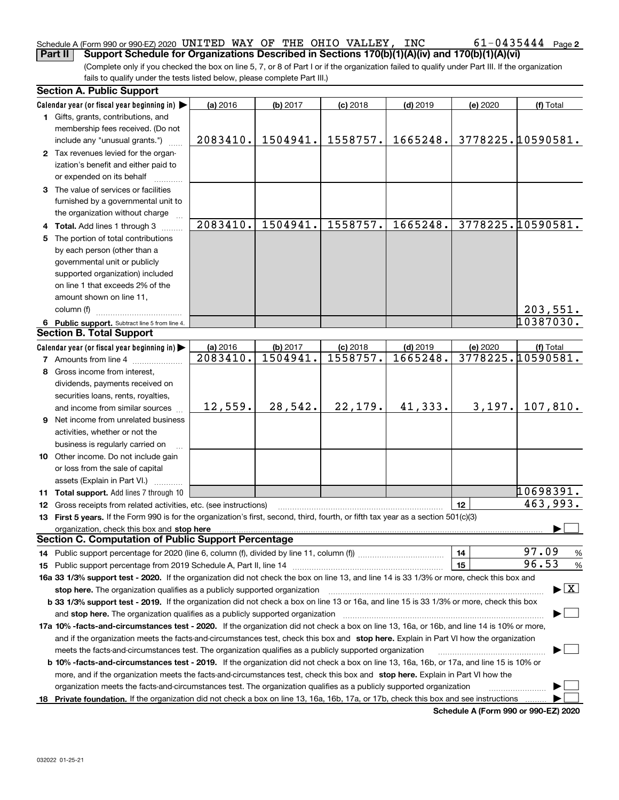### Schedule A (Form 990 or 990-EZ) 2020 <code>UNITED WAY OF THE OHIO VALLEY, INC  $61-0435444$  Page </code> **Part II Support Schedule for Organizations Described in Sections 170(b)(1)(A)(iv) and 170(b)(1)(A)(vi)**

(Complete only if you checked the box on line 5, 7, or 8 of Part I or if the organization failed to qualify under Part III. If the organization fails to qualify under the tests listed below, please complete Part III.)

| <b>Section A. Public Support</b>                                                                                                                                                                                               |          |          |            |            |          |                                          |
|--------------------------------------------------------------------------------------------------------------------------------------------------------------------------------------------------------------------------------|----------|----------|------------|------------|----------|------------------------------------------|
| Calendar year (or fiscal year beginning in)                                                                                                                                                                                    | (a) 2016 | (b) 2017 | $(c)$ 2018 | $(d)$ 2019 | (e) 2020 | (f) Total                                |
| 1 Gifts, grants, contributions, and                                                                                                                                                                                            |          |          |            |            |          |                                          |
| membership fees received. (Do not                                                                                                                                                                                              |          |          |            |            |          |                                          |
| include any "unusual grants.")                                                                                                                                                                                                 | 2083410. | 1504941. | 1558757.   | 1665248.   |          | 3778225.10590581.                        |
| 2 Tax revenues levied for the organ-                                                                                                                                                                                           |          |          |            |            |          |                                          |
| ization's benefit and either paid to                                                                                                                                                                                           |          |          |            |            |          |                                          |
| or expended on its behalf                                                                                                                                                                                                      |          |          |            |            |          |                                          |
| 3 The value of services or facilities                                                                                                                                                                                          |          |          |            |            |          |                                          |
| furnished by a governmental unit to                                                                                                                                                                                            |          |          |            |            |          |                                          |
| the organization without charge                                                                                                                                                                                                |          |          |            |            |          |                                          |
| 4 Total. Add lines 1 through 3                                                                                                                                                                                                 | 2083410. | 1504941. | 1558757.   | 1665248.   |          | 3778225.10590581.                        |
| 5 The portion of total contributions                                                                                                                                                                                           |          |          |            |            |          |                                          |
| by each person (other than a                                                                                                                                                                                                   |          |          |            |            |          |                                          |
| governmental unit or publicly                                                                                                                                                                                                  |          |          |            |            |          |                                          |
| supported organization) included                                                                                                                                                                                               |          |          |            |            |          |                                          |
| on line 1 that exceeds 2% of the                                                                                                                                                                                               |          |          |            |            |          |                                          |
| amount shown on line 11,                                                                                                                                                                                                       |          |          |            |            |          |                                          |
| column (f)                                                                                                                                                                                                                     |          |          |            |            |          | 203,551.                                 |
| 6 Public support. Subtract line 5 from line 4.                                                                                                                                                                                 |          |          |            |            |          | 10387030.                                |
| <b>Section B. Total Support</b>                                                                                                                                                                                                |          |          |            |            |          |                                          |
| Calendar year (or fiscal year beginning in)                                                                                                                                                                                    | (a) 2016 | (b) 2017 | $(c)$ 2018 | $(d)$ 2019 | (e) 2020 | (f) Total                                |
| <b>7</b> Amounts from line 4                                                                                                                                                                                                   | 2083410. | 1504941  | 1558757.   | 1665248.   |          | 3778225.10590581.                        |
| 8 Gross income from interest,                                                                                                                                                                                                  |          |          |            |            |          |                                          |
| dividends, payments received on                                                                                                                                                                                                |          |          |            |            |          |                                          |
| securities loans, rents, royalties,                                                                                                                                                                                            |          |          |            |            |          |                                          |
| and income from similar sources                                                                                                                                                                                                | 12,559.  | 28,542.  | 22,179.    | 41,333.    | 3,197.   | 107,810.                                 |
| 9 Net income from unrelated business                                                                                                                                                                                           |          |          |            |            |          |                                          |
| activities, whether or not the                                                                                                                                                                                                 |          |          |            |            |          |                                          |
| business is regularly carried on                                                                                                                                                                                               |          |          |            |            |          |                                          |
| 10 Other income. Do not include gain                                                                                                                                                                                           |          |          |            |            |          |                                          |
| or loss from the sale of capital                                                                                                                                                                                               |          |          |            |            |          |                                          |
| assets (Explain in Part VI.)                                                                                                                                                                                                   |          |          |            |            |          |                                          |
| 11 Total support. Add lines 7 through 10                                                                                                                                                                                       |          |          |            |            |          | 10698391.                                |
| 12 Gross receipts from related activities, etc. (see instructions)                                                                                                                                                             |          |          |            |            | 12       | 463,993.                                 |
| 13 First 5 years. If the Form 990 is for the organization's first, second, third, fourth, or fifth tax year as a section 501(c)(3)                                                                                             |          |          |            |            |          |                                          |
| organization, check this box and stop here manufactured and according to the state of the state of the state of the state of the state of the state of the state of the state of the state of the state of the state of the st |          |          |            |            |          |                                          |
| <b>Section C. Computation of Public Support Percentage</b>                                                                                                                                                                     |          |          |            |            |          |                                          |
| 14 Public support percentage for 2020 (line 6, column (f), divided by line 11, column (f) <i>mummumumum</i>                                                                                                                    |          |          |            |            | 14       | 97.09<br>%                               |
|                                                                                                                                                                                                                                |          |          |            |            | 15       | 96.53<br>%                               |
| 16a 33 1/3% support test - 2020. If the organization did not check the box on line 13, and line 14 is 33 1/3% or more, check this box and                                                                                      |          |          |            |            |          |                                          |
| stop here. The organization qualifies as a publicly supported organization                                                                                                                                                     |          |          |            |            |          | $\blacktriangleright$ $\boxed{\text{X}}$ |
| b 33 1/3% support test - 2019. If the organization did not check a box on line 13 or 16a, and line 15 is 33 1/3% or more, check this box                                                                                       |          |          |            |            |          |                                          |
| and stop here. The organization qualifies as a publicly supported organization                                                                                                                                                 |          |          |            |            |          |                                          |
| 17a 10% -facts-and-circumstances test - 2020. If the organization did not check a box on line 13, 16a, or 16b, and line 14 is 10% or more,                                                                                     |          |          |            |            |          |                                          |
| and if the organization meets the facts-and-circumstances test, check this box and stop here. Explain in Part VI how the organization                                                                                          |          |          |            |            |          |                                          |
| meets the facts-and-circumstances test. The organization qualifies as a publicly supported organization                                                                                                                        |          |          |            |            |          |                                          |
| <b>b 10% -facts-and-circumstances test - 2019.</b> If the organization did not check a box on line 13, 16a, 16b, or 17a, and line 15 is 10% or                                                                                 |          |          |            |            |          |                                          |
| more, and if the organization meets the facts-and-circumstances test, check this box and stop here. Explain in Part VI how the                                                                                                 |          |          |            |            |          |                                          |
| organization meets the facts-and-circumstances test. The organization qualifies as a publicly supported organization                                                                                                           |          |          |            |            |          |                                          |
| 18 Private foundation. If the organization did not check a box on line 13, 16a, 16b, 17a, or 17b, check this box and see instructions                                                                                          |          |          |            |            |          |                                          |
|                                                                                                                                                                                                                                |          |          |            |            |          |                                          |

**Schedule A (Form 990 or 990-EZ) 2020**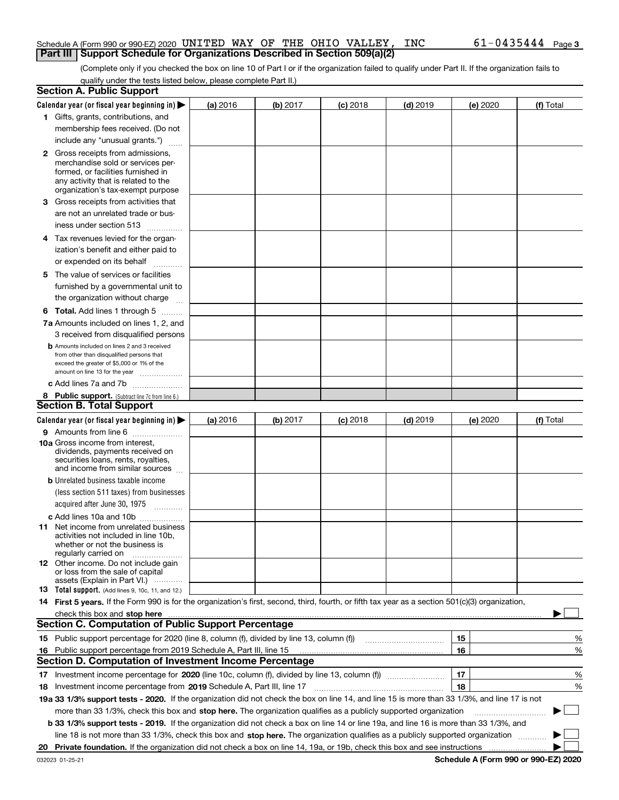## Schedule A (Form 990 or 990-EZ) 2020 <code>UNITED WAY OF THE OHIO VALLEY, INC  $61-0435444$  Page </code> **Part III Support Schedule for Organizations Described in Section 509(a)(2)**

(Complete only if you checked the box on line 10 of Part I or if the organization failed to qualify under Part II. If the organization fails to qualify under the tests listed below, please complete Part II.)

|     | <b>Section A. Public Support</b>                                                                                                                                                                                               |          |          |            |            |          |             |
|-----|--------------------------------------------------------------------------------------------------------------------------------------------------------------------------------------------------------------------------------|----------|----------|------------|------------|----------|-------------|
|     | Calendar year (or fiscal year beginning in) $\blacktriangleright$                                                                                                                                                              | (a) 2016 | (b) 2017 | $(c)$ 2018 | $(d)$ 2019 | (e) 2020 | (f) Total   |
|     | 1 Gifts, grants, contributions, and                                                                                                                                                                                            |          |          |            |            |          |             |
|     | membership fees received. (Do not                                                                                                                                                                                              |          |          |            |            |          |             |
|     | include any "unusual grants.")                                                                                                                                                                                                 |          |          |            |            |          |             |
|     | <b>2</b> Gross receipts from admissions,                                                                                                                                                                                       |          |          |            |            |          |             |
|     | merchandise sold or services per-                                                                                                                                                                                              |          |          |            |            |          |             |
|     | formed, or facilities furnished in                                                                                                                                                                                             |          |          |            |            |          |             |
|     | any activity that is related to the<br>organization's tax-exempt purpose                                                                                                                                                       |          |          |            |            |          |             |
|     | 3 Gross receipts from activities that                                                                                                                                                                                          |          |          |            |            |          |             |
|     | are not an unrelated trade or bus-                                                                                                                                                                                             |          |          |            |            |          |             |
|     | iness under section 513                                                                                                                                                                                                        |          |          |            |            |          |             |
|     |                                                                                                                                                                                                                                |          |          |            |            |          |             |
|     | 4 Tax revenues levied for the organ-                                                                                                                                                                                           |          |          |            |            |          |             |
|     | ization's benefit and either paid to                                                                                                                                                                                           |          |          |            |            |          |             |
|     | or expended on its behalf<br>.                                                                                                                                                                                                 |          |          |            |            |          |             |
|     | 5 The value of services or facilities                                                                                                                                                                                          |          |          |            |            |          |             |
|     | furnished by a governmental unit to                                                                                                                                                                                            |          |          |            |            |          |             |
|     | the organization without charge                                                                                                                                                                                                |          |          |            |            |          |             |
|     | <b>6 Total.</b> Add lines 1 through 5                                                                                                                                                                                          |          |          |            |            |          |             |
|     | 7a Amounts included on lines 1, 2, and                                                                                                                                                                                         |          |          |            |            |          |             |
|     | 3 received from disqualified persons                                                                                                                                                                                           |          |          |            |            |          |             |
|     | <b>b</b> Amounts included on lines 2 and 3 received                                                                                                                                                                            |          |          |            |            |          |             |
|     | from other than disqualified persons that<br>exceed the greater of \$5,000 or 1% of the                                                                                                                                        |          |          |            |            |          |             |
|     | amount on line 13 for the year                                                                                                                                                                                                 |          |          |            |            |          |             |
|     | c Add lines 7a and 7b                                                                                                                                                                                                          |          |          |            |            |          |             |
|     | 8 Public support. (Subtract line 7c from line 6.)                                                                                                                                                                              |          |          |            |            |          |             |
|     | <b>Section B. Total Support</b>                                                                                                                                                                                                |          |          |            |            |          |             |
|     | Calendar year (or fiscal year beginning in) $\blacktriangleright$                                                                                                                                                              | (a) 2016 | (b) 2017 | $(c)$ 2018 | $(d)$ 2019 | (e) 2020 | (f) Total   |
|     | 9 Amounts from line 6                                                                                                                                                                                                          |          |          |            |            |          |             |
|     | <b>10a</b> Gross income from interest,                                                                                                                                                                                         |          |          |            |            |          |             |
|     | dividends, payments received on                                                                                                                                                                                                |          |          |            |            |          |             |
|     | securities loans, rents, royalties,<br>and income from similar sources                                                                                                                                                         |          |          |            |            |          |             |
|     | <b>b</b> Unrelated business taxable income                                                                                                                                                                                     |          |          |            |            |          |             |
|     | (less section 511 taxes) from businesses                                                                                                                                                                                       |          |          |            |            |          |             |
|     | acquired after June 30, 1975                                                                                                                                                                                                   |          |          |            |            |          |             |
|     | c Add lines 10a and 10b                                                                                                                                                                                                        |          |          |            |            |          |             |
|     | 11 Net income from unrelated business                                                                                                                                                                                          |          |          |            |            |          |             |
|     | activities not included in line 10b,                                                                                                                                                                                           |          |          |            |            |          |             |
|     | whether or not the business is                                                                                                                                                                                                 |          |          |            |            |          |             |
|     | regularly carried on<br><b>12</b> Other income. Do not include gain                                                                                                                                                            |          |          |            |            |          |             |
|     | or loss from the sale of capital                                                                                                                                                                                               |          |          |            |            |          |             |
|     | assets (Explain in Part VI.)                                                                                                                                                                                                   |          |          |            |            |          |             |
|     | 13 Total support. (Add lines 9, 10c, 11, and 12.)                                                                                                                                                                              |          |          |            |            |          |             |
|     | 14 First 5 years. If the Form 990 is for the organization's first, second, third, fourth, or fifth tax year as a section 501(c)(3) organization,                                                                               |          |          |            |            |          |             |
|     | check this box and stop here measurements and contain the state of the state of the state of the state of the state of the state of the state of the state of the state of the state of the state of the state of the state of |          |          |            |            |          |             |
|     | <b>Section C. Computation of Public Support Percentage</b>                                                                                                                                                                     |          |          |            |            |          |             |
|     |                                                                                                                                                                                                                                |          |          |            |            | 15       | %           |
| 16. | Public support percentage from 2019 Schedule A, Part III, line 15<br><b>Section D. Computation of Investment Income Percentage</b>                                                                                             |          |          |            |            | 16       | %           |
|     |                                                                                                                                                                                                                                |          |          |            |            |          |             |
|     | 17 Investment income percentage for 2020 (line 10c, column (f), divided by line 13, column (f))                                                                                                                                |          |          |            |            | 17       | %           |
|     | 18 Investment income percentage from 2019 Schedule A, Part III, line 17                                                                                                                                                        |          |          |            |            | 18       | %           |
|     | 19a 33 1/3% support tests - 2020. If the organization did not check the box on line 14, and line 15 is more than 33 1/3%, and line 17 is not                                                                                   |          |          |            |            |          |             |
|     | more than 33 1/3%, check this box and stop here. The organization qualifies as a publicly supported organization                                                                                                               |          |          |            |            |          | $\sim$<br>▶ |
|     | b 33 1/3% support tests - 2019. If the organization did not check a box on line 14 or line 19a, and line 16 is more than 33 1/3%, and                                                                                          |          |          |            |            |          |             |
|     | line 18 is not more than 33 1/3%, check this box and stop here. The organization qualifies as a publicly supported organization                                                                                                |          |          |            |            |          |             |
| 20  |                                                                                                                                                                                                                                |          |          |            |            |          |             |

**Schedule A (Form 990 or 990-EZ) 2020**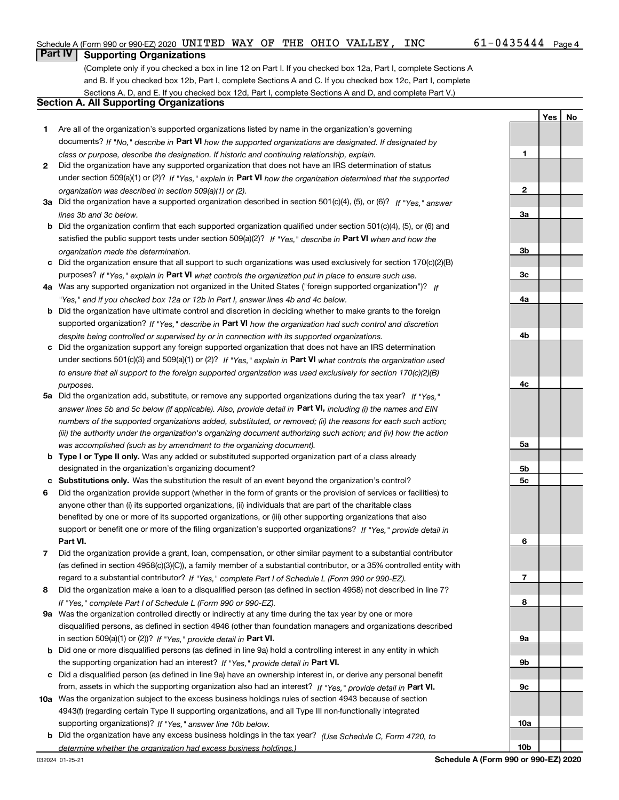**1**

**YesNo**

# **Part IV Supporting Organizations**

(Complete only if you checked a box in line 12 on Part I. If you checked box 12a, Part I, complete Sections A and B. If you checked box 12b, Part I, complete Sections A and C. If you checked box 12c, Part I, complete Sections A, D, and E. If you checked box 12d, Part I, complete Sections A and D, and complete Part V.)

## **Section A. All Supporting Organizations**

- **1** Are all of the organization's supported organizations listed by name in the organization's governing documents? If "No," describe in **Part VI** how the supported organizations are designated. If designated by *class or purpose, describe the designation. If historic and continuing relationship, explain.*
- **2** Did the organization have any supported organization that does not have an IRS determination of status under section 509(a)(1) or (2)? If "Yes," explain in Part VI how the organization determined that the supported *organization was described in section 509(a)(1) or (2).*
- **3a** Did the organization have a supported organization described in section 501(c)(4), (5), or (6)? If "Yes," answer *lines 3b and 3c below.*
- **b** Did the organization confirm that each supported organization qualified under section 501(c)(4), (5), or (6) and satisfied the public support tests under section 509(a)(2)? If "Yes," describe in **Part VI** when and how the *organization made the determination.*
- **c**Did the organization ensure that all support to such organizations was used exclusively for section 170(c)(2)(B) purposes? If "Yes," explain in **Part VI** what controls the organization put in place to ensure such use.
- **4a***If* Was any supported organization not organized in the United States ("foreign supported organization")? *"Yes," and if you checked box 12a or 12b in Part I, answer lines 4b and 4c below.*
- **b** Did the organization have ultimate control and discretion in deciding whether to make grants to the foreign supported organization? If "Yes," describe in **Part VI** how the organization had such control and discretion *despite being controlled or supervised by or in connection with its supported organizations.*
- **c** Did the organization support any foreign supported organization that does not have an IRS determination under sections 501(c)(3) and 509(a)(1) or (2)? If "Yes," explain in **Part VI** what controls the organization used *to ensure that all support to the foreign supported organization was used exclusively for section 170(c)(2)(B) purposes.*
- **5a***If "Yes,"* Did the organization add, substitute, or remove any supported organizations during the tax year? answer lines 5b and 5c below (if applicable). Also, provide detail in **Part VI,** including (i) the names and EIN *numbers of the supported organizations added, substituted, or removed; (ii) the reasons for each such action; (iii) the authority under the organization's organizing document authorizing such action; and (iv) how the action was accomplished (such as by amendment to the organizing document).*
- **b** Type I or Type II only. Was any added or substituted supported organization part of a class already designated in the organization's organizing document?
- **cSubstitutions only.**  Was the substitution the result of an event beyond the organization's control?
- **6** Did the organization provide support (whether in the form of grants or the provision of services or facilities) to **Part VI.** *If "Yes," provide detail in* support or benefit one or more of the filing organization's supported organizations? anyone other than (i) its supported organizations, (ii) individuals that are part of the charitable class benefited by one or more of its supported organizations, or (iii) other supporting organizations that also
- **7**Did the organization provide a grant, loan, compensation, or other similar payment to a substantial contributor *If "Yes," complete Part I of Schedule L (Form 990 or 990-EZ).* regard to a substantial contributor? (as defined in section 4958(c)(3)(C)), a family member of a substantial contributor, or a 35% controlled entity with
- **8** Did the organization make a loan to a disqualified person (as defined in section 4958) not described in line 7? *If "Yes," complete Part I of Schedule L (Form 990 or 990-EZ).*
- **9a** Was the organization controlled directly or indirectly at any time during the tax year by one or more in section 509(a)(1) or (2))? If "Yes," *provide detail in* <code>Part VI.</code> disqualified persons, as defined in section 4946 (other than foundation managers and organizations described
- **b** Did one or more disqualified persons (as defined in line 9a) hold a controlling interest in any entity in which the supporting organization had an interest? If "Yes," provide detail in P**art VI**.
- **c**Did a disqualified person (as defined in line 9a) have an ownership interest in, or derive any personal benefit from, assets in which the supporting organization also had an interest? If "Yes," provide detail in P**art VI.**
- **10a** Was the organization subject to the excess business holdings rules of section 4943 because of section supporting organizations)? If "Yes," answer line 10b below. 4943(f) (regarding certain Type II supporting organizations, and all Type III non-functionally integrated
- **b** Did the organization have any excess business holdings in the tax year? (Use Schedule C, Form 4720, to *determine whether the organization had excess business holdings.)*

**23a3b3c4a4b4c5a5b5c6789a 9b9c**

**10a**

**10b**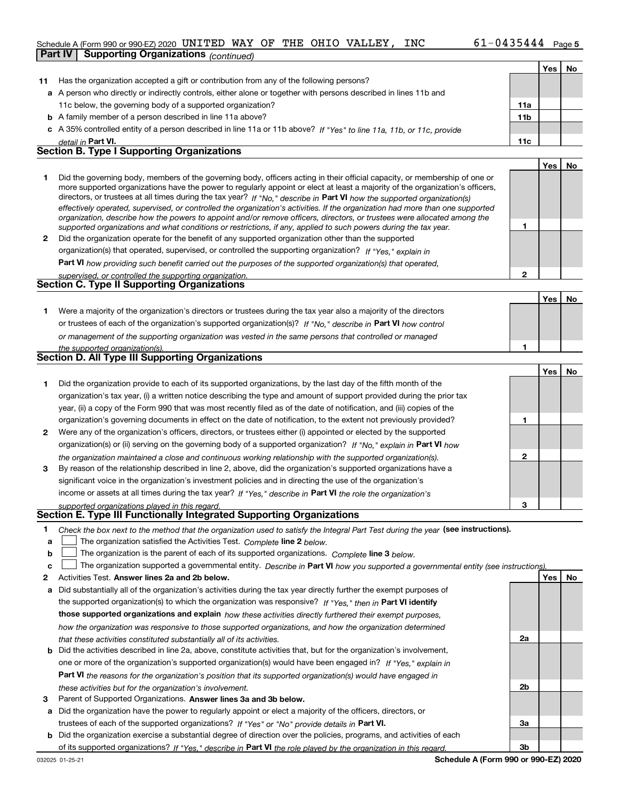# Schedule A (Form 990 or 990-EZ) 2020 <code>UNITED WAY OF THE OHIO VALLEY, INC  $61-0435444$  Page </code>

|             | <b>Supporting Organizations (continued)</b><br>Part IV                                                                                                                                                                                                                                                                                                                                                                                                                                                                                                                                                                                               |                 |       |    |
|-------------|------------------------------------------------------------------------------------------------------------------------------------------------------------------------------------------------------------------------------------------------------------------------------------------------------------------------------------------------------------------------------------------------------------------------------------------------------------------------------------------------------------------------------------------------------------------------------------------------------------------------------------------------------|-----------------|-------|----|
|             |                                                                                                                                                                                                                                                                                                                                                                                                                                                                                                                                                                                                                                                      |                 | Yes   | No |
| 11          | Has the organization accepted a gift or contribution from any of the following persons?                                                                                                                                                                                                                                                                                                                                                                                                                                                                                                                                                              |                 |       |    |
|             | a A person who directly or indirectly controls, either alone or together with persons described in lines 11b and                                                                                                                                                                                                                                                                                                                                                                                                                                                                                                                                     |                 |       |    |
|             | 11c below, the governing body of a supported organization?                                                                                                                                                                                                                                                                                                                                                                                                                                                                                                                                                                                           | 11a             |       |    |
|             | <b>b</b> A family member of a person described in line 11a above?                                                                                                                                                                                                                                                                                                                                                                                                                                                                                                                                                                                    | 11 <sub>b</sub> |       |    |
|             | c A 35% controlled entity of a person described in line 11a or 11b above? If "Yes" to line 11a, 11b, or 11c, provide                                                                                                                                                                                                                                                                                                                                                                                                                                                                                                                                 |                 |       |    |
|             | detail in Part VI.                                                                                                                                                                                                                                                                                                                                                                                                                                                                                                                                                                                                                                   | 11c             |       |    |
|             | <b>Section B. Type I Supporting Organizations</b>                                                                                                                                                                                                                                                                                                                                                                                                                                                                                                                                                                                                    |                 |       |    |
|             |                                                                                                                                                                                                                                                                                                                                                                                                                                                                                                                                                                                                                                                      |                 | Yes   | No |
| 1           | Did the governing body, members of the governing body, officers acting in their official capacity, or membership of one or<br>more supported organizations have the power to regularly appoint or elect at least a majority of the organization's officers,<br>directors, or trustees at all times during the tax year? If "No," describe in Part VI how the supported organization(s)<br>effectively operated, supervised, or controlled the organization's activities. If the organization had more than one supported<br>organization, describe how the powers to appoint and/or remove officers, directors, or trustees were allocated among the |                 |       |    |
|             | supported organizations and what conditions or restrictions, if any, applied to such powers during the tax year.                                                                                                                                                                                                                                                                                                                                                                                                                                                                                                                                     | 1               |       |    |
| 2           | Did the organization operate for the benefit of any supported organization other than the supported                                                                                                                                                                                                                                                                                                                                                                                                                                                                                                                                                  |                 |       |    |
|             | organization(s) that operated, supervised, or controlled the supporting organization? If "Yes," explain in                                                                                                                                                                                                                                                                                                                                                                                                                                                                                                                                           |                 |       |    |
|             | Part VI how providing such benefit carried out the purposes of the supported organization(s) that operated,                                                                                                                                                                                                                                                                                                                                                                                                                                                                                                                                          |                 |       |    |
|             | supervised, or controlled the supporting organization.                                                                                                                                                                                                                                                                                                                                                                                                                                                                                                                                                                                               | $\overline{2}$  |       |    |
|             | Section C. Type II Supporting Organizations                                                                                                                                                                                                                                                                                                                                                                                                                                                                                                                                                                                                          |                 |       |    |
|             |                                                                                                                                                                                                                                                                                                                                                                                                                                                                                                                                                                                                                                                      |                 | Yes   | No |
| 1.          | Were a majority of the organization's directors or trustees during the tax year also a majority of the directors                                                                                                                                                                                                                                                                                                                                                                                                                                                                                                                                     |                 |       |    |
|             | or trustees of each of the organization's supported organization(s)? If "No," describe in Part VI how control                                                                                                                                                                                                                                                                                                                                                                                                                                                                                                                                        |                 |       |    |
|             | or management of the supporting organization was vested in the same persons that controlled or managed                                                                                                                                                                                                                                                                                                                                                                                                                                                                                                                                               |                 |       |    |
|             | the supported organization(s).                                                                                                                                                                                                                                                                                                                                                                                                                                                                                                                                                                                                                       | 1               |       |    |
|             | Section D. All Type III Supporting Organizations                                                                                                                                                                                                                                                                                                                                                                                                                                                                                                                                                                                                     |                 |       |    |
|             |                                                                                                                                                                                                                                                                                                                                                                                                                                                                                                                                                                                                                                                      |                 | Yes   | No |
| 1           | Did the organization provide to each of its supported organizations, by the last day of the fifth month of the                                                                                                                                                                                                                                                                                                                                                                                                                                                                                                                                       |                 |       |    |
|             | organization's tax year, (i) a written notice describing the type and amount of support provided during the prior tax                                                                                                                                                                                                                                                                                                                                                                                                                                                                                                                                |                 |       |    |
|             | year, (ii) a copy of the Form 990 that was most recently filed as of the date of notification, and (iii) copies of the                                                                                                                                                                                                                                                                                                                                                                                                                                                                                                                               |                 |       |    |
|             | organization's governing documents in effect on the date of notification, to the extent not previously provided?                                                                                                                                                                                                                                                                                                                                                                                                                                                                                                                                     | 1               |       |    |
| 2           | Were any of the organization's officers, directors, or trustees either (i) appointed or elected by the supported                                                                                                                                                                                                                                                                                                                                                                                                                                                                                                                                     |                 |       |    |
|             | organization(s) or (ii) serving on the governing body of a supported organization? If "No," explain in Part VI how                                                                                                                                                                                                                                                                                                                                                                                                                                                                                                                                   |                 |       |    |
|             | the organization maintained a close and continuous working relationship with the supported organization(s).                                                                                                                                                                                                                                                                                                                                                                                                                                                                                                                                          | $\mathbf{2}$    |       |    |
| 3           | By reason of the relationship described in line 2, above, did the organization's supported organizations have a                                                                                                                                                                                                                                                                                                                                                                                                                                                                                                                                      |                 |       |    |
|             | significant voice in the organization's investment policies and in directing the use of the organization's                                                                                                                                                                                                                                                                                                                                                                                                                                                                                                                                           |                 |       |    |
|             | income or assets at all times during the tax year? If "Yes," describe in Part VI the role the organization's                                                                                                                                                                                                                                                                                                                                                                                                                                                                                                                                         |                 |       |    |
|             | supported organizations played in this regard.                                                                                                                                                                                                                                                                                                                                                                                                                                                                                                                                                                                                       | 3               |       |    |
|             | Section E. Type III Functionally Integrated Supporting Organizations                                                                                                                                                                                                                                                                                                                                                                                                                                                                                                                                                                                 |                 |       |    |
| 1<br>а<br>b | Check the box next to the method that the organization used to satisfy the Integral Part Test during the year (see instructions).<br>The organization satisfied the Activities Test. Complete line 2 below.<br>The organization is the parent of each of its supported organizations. Complete line 3 below.                                                                                                                                                                                                                                                                                                                                         |                 |       |    |
| с           | The organization supported a governmental entity. Describe in Part VI how you supported a governmental entity (see instructions)                                                                                                                                                                                                                                                                                                                                                                                                                                                                                                                     |                 |       |    |
| 2           | Activities Test. Answer lines 2a and 2b below.                                                                                                                                                                                                                                                                                                                                                                                                                                                                                                                                                                                                       |                 | $Yes$ | No |

- **ab** Did the activities described in line 2a, above, constitute activities that, but for the organization's involvement, the supported organization(s) to which the organization was responsive? If "Yes," then in **Part VI identify those supported organizations and explain**  *how these activities directly furthered their exempt purposes, how the organization was responsive to those supported organizations, and how the organization determined that these activities constituted substantially all of its activities.* one or more of the organization's supported organization(s) would have been engaged in? If "Yes," e*xplain in* Did substantially all of the organization's activities during the tax year directly further the exempt purposes of
	- **Part VI**  *the reasons for the organization's position that its supported organization(s) would have engaged in these activities but for the organization's involvement.*
- **3** Parent of Supported Organizations. Answer lines 3a and 3b below.
- **a** Did the organization have the power to regularly appoint or elect a majority of the officers, directors, or trustees of each of the supported organizations? If "Yes" or "No" provide details in **Part VI.**
- **b** Did the organization exercise a substantial degree of direction over the policies, programs, and activities of each of its supported organizations? If "Yes," describe in Part VI the role played by the organization in this regard.

**2a**

**2b**

**3a**

**3b**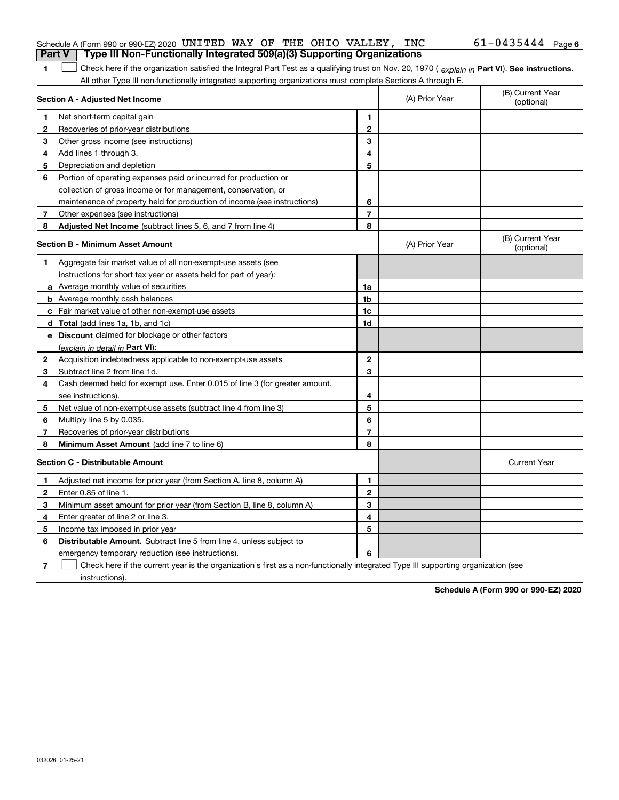|                                                                                     | Schedule A (Form 990 or 990-EZ) 2020 UNITED WAY OF THE OHIO VALLEY,<br>Type III Non-Functionally Integrated 509(a)(3) Supporting Organizations<br><b>Part V</b> |                | INC            | $61 - 0435444$ Page 6          |  |
|-------------------------------------------------------------------------------------|-----------------------------------------------------------------------------------------------------------------------------------------------------------------|----------------|----------------|--------------------------------|--|
| 1                                                                                   | Check here if the organization satisfied the Integral Part Test as a qualifying trust on Nov. 20, 1970 (explain in Part VI). See instructions.                  |                |                |                                |  |
|                                                                                     | All other Type III non-functionally integrated supporting organizations must complete Sections A through E.                                                     |                |                |                                |  |
| (B) Current Year<br>Section A - Adjusted Net Income<br>(A) Prior Year<br>(optional) |                                                                                                                                                                 |                |                |                                |  |
| 1                                                                                   | Net short-term capital gain                                                                                                                                     | 1              |                |                                |  |
| 2                                                                                   | Recoveries of prior-year distributions                                                                                                                          | $\overline{2}$ |                |                                |  |
| 3                                                                                   | Other gross income (see instructions)                                                                                                                           | 3              |                |                                |  |
| 4                                                                                   | Add lines 1 through 3.                                                                                                                                          | 4              |                |                                |  |
| 5                                                                                   | Depreciation and depletion                                                                                                                                      | 5              |                |                                |  |
| 6                                                                                   | Portion of operating expenses paid or incurred for production or                                                                                                |                |                |                                |  |
|                                                                                     | collection of gross income or for management, conservation, or                                                                                                  |                |                |                                |  |
|                                                                                     | maintenance of property held for production of income (see instructions)                                                                                        | 6              |                |                                |  |
| 7                                                                                   | Other expenses (see instructions)                                                                                                                               | 7              |                |                                |  |
| 8                                                                                   | Adjusted Net Income (subtract lines 5, 6, and 7 from line 4)                                                                                                    | 8              |                |                                |  |
|                                                                                     | Section B - Minimum Asset Amount                                                                                                                                |                | (A) Prior Year | (B) Current Year<br>(optional) |  |
| 1                                                                                   | Aggregate fair market value of all non-exempt-use assets (see                                                                                                   |                |                |                                |  |
|                                                                                     | instructions for short tax year or assets held for part of year):                                                                                               |                |                |                                |  |
|                                                                                     | a Average monthly value of securities                                                                                                                           | 1a             |                |                                |  |
|                                                                                     | <b>b</b> Average monthly cash balances                                                                                                                          | 1b             |                |                                |  |
|                                                                                     | c Fair market value of other non-exempt-use assets                                                                                                              | 1c             |                |                                |  |
|                                                                                     | d Total (add lines 1a, 1b, and 1c)                                                                                                                              | 1d             |                |                                |  |
|                                                                                     | e Discount claimed for blockage or other factors                                                                                                                |                |                |                                |  |
|                                                                                     | (explain in detail in Part VI):                                                                                                                                 |                |                |                                |  |
| 2                                                                                   | Acquisition indebtedness applicable to non-exempt-use assets                                                                                                    | $\overline{2}$ |                |                                |  |
| 3                                                                                   | Subtract line 2 from line 1d.                                                                                                                                   | 3              |                |                                |  |
| 4                                                                                   | Cash deemed held for exempt use. Enter 0.015 of line 3 (for greater amount,                                                                                     |                |                |                                |  |
|                                                                                     | see instructions)                                                                                                                                               | 4              |                |                                |  |
| 5                                                                                   | Net value of non-exempt-use assets (subtract line 4 from line 3)                                                                                                | 5              |                |                                |  |
| 6                                                                                   | Multiply line 5 by 0.035.                                                                                                                                       | 6              |                |                                |  |
| 7                                                                                   | Recoveries of prior-year distributions                                                                                                                          | $\overline{7}$ |                |                                |  |
| 8                                                                                   | Minimum Asset Amount (add line 7 to line 6)                                                                                                                     | 8              |                |                                |  |
|                                                                                     | <b>Section C - Distributable Amount</b>                                                                                                                         |                |                | <b>Current Year</b>            |  |
| 1                                                                                   | Adjusted net income for prior year (from Section A, line 8, column A)                                                                                           | 1              |                |                                |  |
| 2                                                                                   | Enter 0.85 of line 1.                                                                                                                                           | $\overline{2}$ |                |                                |  |
| 3                                                                                   | Minimum asset amount for prior year (from Section B, line 8, column A)                                                                                          | 3              |                |                                |  |
| 4                                                                                   | Enter greater of line 2 or line 3.                                                                                                                              | 4              |                |                                |  |
| 5                                                                                   | Income tax imposed in prior year                                                                                                                                | 5              |                |                                |  |
| 6                                                                                   | <b>Distributable Amount.</b> Subtract line 5 from line 4, unless subject to                                                                                     |                |                |                                |  |
|                                                                                     | emergency temporary reduction (see instructions).                                                                                                               | 6              |                |                                |  |

**7** Check here if the current year is the organization's first as a non-functionally integrated Type III supporting organization (see instructions).

**Schedule A (Form 990 or 990-EZ) 2020**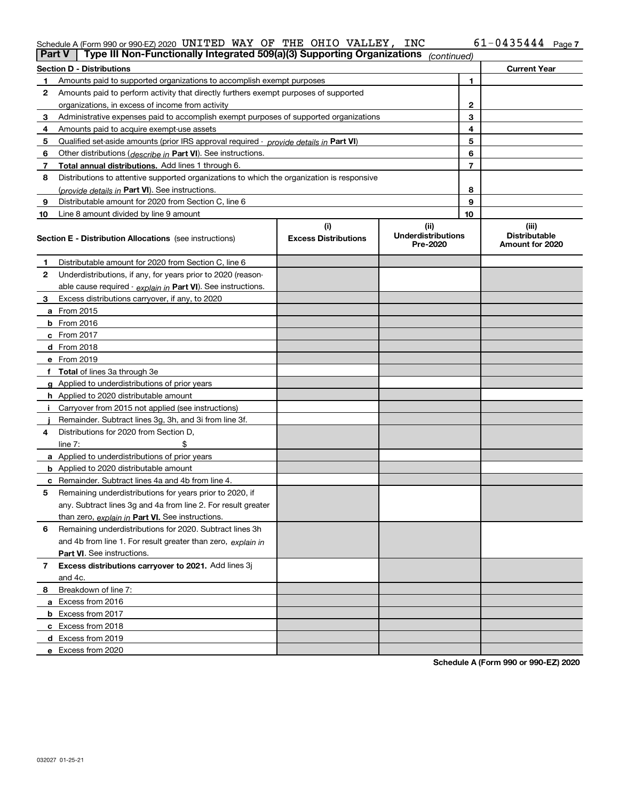### Schedule A (Form 990 or 990-EZ) 2020 UN L'I'ELD WA Y OF 'I'HE OH I O VALLLEY, I\_NC 6 L-U 4 3 5 4 4 4 Page UNITED WAY OF THE OHIO VALLEY, INC 61-0435444

| <b>Part V</b>  | Type III Non-Functionally Integrated 509(a)(3) Supporting Organizations                    |                             | (continued)                           |              |                                         |  |  |  |  |  |
|----------------|--------------------------------------------------------------------------------------------|-----------------------------|---------------------------------------|--------------|-----------------------------------------|--|--|--|--|--|
|                | <b>Section D - Distributions</b><br><b>Current Year</b>                                    |                             |                                       |              |                                         |  |  |  |  |  |
| 1.             | Amounts paid to supported organizations to accomplish exempt purposes                      |                             |                                       | 1            |                                         |  |  |  |  |  |
| 2              | Amounts paid to perform activity that directly furthers exempt purposes of supported       |                             |                                       |              |                                         |  |  |  |  |  |
|                | organizations, in excess of income from activity                                           |                             |                                       | $\mathbf{2}$ |                                         |  |  |  |  |  |
| 3              | Administrative expenses paid to accomplish exempt purposes of supported organizations      |                             |                                       | 3            |                                         |  |  |  |  |  |
| 4              | Amounts paid to acquire exempt-use assets                                                  |                             |                                       | 4            |                                         |  |  |  |  |  |
| 5              | Qualified set-aside amounts (prior IRS approval required - provide details in Part VI)     |                             |                                       | 5            |                                         |  |  |  |  |  |
| 6              | Other distributions ( <i>describe in</i> Part VI). See instructions.                       |                             |                                       | 6            |                                         |  |  |  |  |  |
| 7              | Total annual distributions. Add lines 1 through 6.                                         |                             |                                       | 7            |                                         |  |  |  |  |  |
| 8              | Distributions to attentive supported organizations to which the organization is responsive |                             |                                       |              |                                         |  |  |  |  |  |
|                | (provide details in Part VI). See instructions.                                            |                             |                                       | 8            |                                         |  |  |  |  |  |
| 9              | Distributable amount for 2020 from Section C, line 6                                       |                             |                                       | 9            |                                         |  |  |  |  |  |
| 10             | Line 8 amount divided by line 9 amount                                                     |                             |                                       | 10           |                                         |  |  |  |  |  |
|                |                                                                                            | (i)                         | (ii)                                  |              | (iii)                                   |  |  |  |  |  |
|                | <b>Section E - Distribution Allocations</b> (see instructions)                             | <b>Excess Distributions</b> | <b>Underdistributions</b><br>Pre-2020 |              | <b>Distributable</b><br>Amount for 2020 |  |  |  |  |  |
| 1              | Distributable amount for 2020 from Section C, line 6                                       |                             |                                       |              |                                         |  |  |  |  |  |
| 2              | Underdistributions, if any, for years prior to 2020 (reason-                               |                             |                                       |              |                                         |  |  |  |  |  |
|                | able cause required - explain in Part VI). See instructions.                               |                             |                                       |              |                                         |  |  |  |  |  |
| 3              | Excess distributions carryover, if any, to 2020                                            |                             |                                       |              |                                         |  |  |  |  |  |
|                | a From 2015                                                                                |                             |                                       |              |                                         |  |  |  |  |  |
|                | <b>b</b> From 2016                                                                         |                             |                                       |              |                                         |  |  |  |  |  |
|                | c From 2017                                                                                |                             |                                       |              |                                         |  |  |  |  |  |
|                | d From 2018                                                                                |                             |                                       |              |                                         |  |  |  |  |  |
|                | e From 2019                                                                                |                             |                                       |              |                                         |  |  |  |  |  |
|                | f Total of lines 3a through 3e                                                             |                             |                                       |              |                                         |  |  |  |  |  |
|                | g Applied to underdistributions of prior years                                             |                             |                                       |              |                                         |  |  |  |  |  |
|                | <b>h</b> Applied to 2020 distributable amount                                              |                             |                                       |              |                                         |  |  |  |  |  |
|                | Carryover from 2015 not applied (see instructions)                                         |                             |                                       |              |                                         |  |  |  |  |  |
|                | Remainder. Subtract lines 3g, 3h, and 3i from line 3f.                                     |                             |                                       |              |                                         |  |  |  |  |  |
| 4              | Distributions for 2020 from Section D.                                                     |                             |                                       |              |                                         |  |  |  |  |  |
|                | line $7:$                                                                                  |                             |                                       |              |                                         |  |  |  |  |  |
|                | a Applied to underdistributions of prior years                                             |                             |                                       |              |                                         |  |  |  |  |  |
|                | <b>b</b> Applied to 2020 distributable amount                                              |                             |                                       |              |                                         |  |  |  |  |  |
|                | c Remainder. Subtract lines 4a and 4b from line 4.                                         |                             |                                       |              |                                         |  |  |  |  |  |
| 5              | Remaining underdistributions for years prior to 2020, if                                   |                             |                                       |              |                                         |  |  |  |  |  |
|                | any. Subtract lines 3g and 4a from line 2. For result greater                              |                             |                                       |              |                                         |  |  |  |  |  |
|                | than zero, explain in Part VI. See instructions.                                           |                             |                                       |              |                                         |  |  |  |  |  |
| 6              | Remaining underdistributions for 2020. Subtract lines 3h                                   |                             |                                       |              |                                         |  |  |  |  |  |
|                | and 4b from line 1. For result greater than zero, explain in                               |                             |                                       |              |                                         |  |  |  |  |  |
|                | Part VI. See instructions.                                                                 |                             |                                       |              |                                         |  |  |  |  |  |
| $\overline{7}$ | Excess distributions carryover to 2021. Add lines 3j                                       |                             |                                       |              |                                         |  |  |  |  |  |
|                | and 4c.                                                                                    |                             |                                       |              |                                         |  |  |  |  |  |
| 8              | Breakdown of line 7:                                                                       |                             |                                       |              |                                         |  |  |  |  |  |
|                | a Excess from 2016                                                                         |                             |                                       |              |                                         |  |  |  |  |  |
|                | <b>b</b> Excess from 2017                                                                  |                             |                                       |              |                                         |  |  |  |  |  |
|                | c Excess from 2018                                                                         |                             |                                       |              |                                         |  |  |  |  |  |
|                | d Excess from 2019                                                                         |                             |                                       |              |                                         |  |  |  |  |  |
|                | e Excess from 2020                                                                         |                             |                                       |              |                                         |  |  |  |  |  |

**Schedule A (Form 990 or 990-EZ) 2020**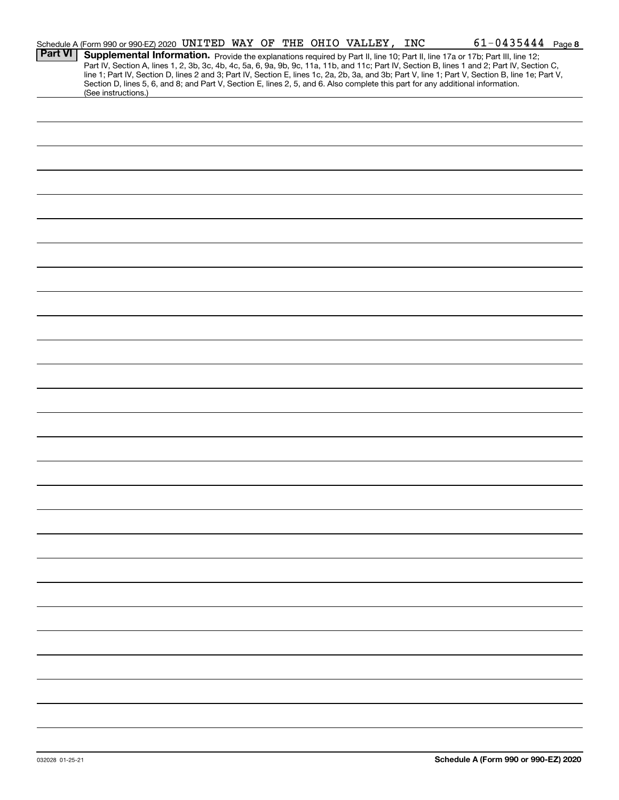|                | Schedule A (Form 990 or 990-EZ) 2020 UNITED WAY OF THE OHIO VALLEY, INC                                                                                                                                                                                                                 |  |  |  | $61 - 0435444$ Page 8                                                                                                                                                                                                                                                                            |
|----------------|-----------------------------------------------------------------------------------------------------------------------------------------------------------------------------------------------------------------------------------------------------------------------------------------|--|--|--|--------------------------------------------------------------------------------------------------------------------------------------------------------------------------------------------------------------------------------------------------------------------------------------------------|
| <b>Part VI</b> | Supplemental Information. Provide the explanations required by Part II, line 10; Part II, line 17a or 17b; Part III, line 12;<br>Section D, lines 5, 6, and 8; and Part V, Section E, lines 2, 5, and 6. Also complete this part for any additional information.<br>(See instructions.) |  |  |  | Part IV, Section A, lines 1, 2, 3b, 3c, 4b, 4c, 5a, 6, 9a, 9b, 9c, 11a, 11b, and 11c; Part IV, Section B, lines 1 and 2; Part IV, Section C,<br>line 1; Part IV, Section D, lines 2 and 3; Part IV, Section E, lines 1c, 2a, 2b, 3a, and 3b; Part V, line 1; Part V, Section B, line 1e; Part V, |
|                |                                                                                                                                                                                                                                                                                         |  |  |  |                                                                                                                                                                                                                                                                                                  |
|                |                                                                                                                                                                                                                                                                                         |  |  |  |                                                                                                                                                                                                                                                                                                  |
|                |                                                                                                                                                                                                                                                                                         |  |  |  |                                                                                                                                                                                                                                                                                                  |
|                |                                                                                                                                                                                                                                                                                         |  |  |  |                                                                                                                                                                                                                                                                                                  |
|                |                                                                                                                                                                                                                                                                                         |  |  |  |                                                                                                                                                                                                                                                                                                  |
|                |                                                                                                                                                                                                                                                                                         |  |  |  |                                                                                                                                                                                                                                                                                                  |
|                |                                                                                                                                                                                                                                                                                         |  |  |  |                                                                                                                                                                                                                                                                                                  |
|                |                                                                                                                                                                                                                                                                                         |  |  |  |                                                                                                                                                                                                                                                                                                  |
|                |                                                                                                                                                                                                                                                                                         |  |  |  |                                                                                                                                                                                                                                                                                                  |
|                |                                                                                                                                                                                                                                                                                         |  |  |  |                                                                                                                                                                                                                                                                                                  |
|                |                                                                                                                                                                                                                                                                                         |  |  |  |                                                                                                                                                                                                                                                                                                  |
|                |                                                                                                                                                                                                                                                                                         |  |  |  |                                                                                                                                                                                                                                                                                                  |
|                |                                                                                                                                                                                                                                                                                         |  |  |  |                                                                                                                                                                                                                                                                                                  |
|                |                                                                                                                                                                                                                                                                                         |  |  |  |                                                                                                                                                                                                                                                                                                  |
|                |                                                                                                                                                                                                                                                                                         |  |  |  |                                                                                                                                                                                                                                                                                                  |
|                |                                                                                                                                                                                                                                                                                         |  |  |  |                                                                                                                                                                                                                                                                                                  |
|                |                                                                                                                                                                                                                                                                                         |  |  |  |                                                                                                                                                                                                                                                                                                  |
|                |                                                                                                                                                                                                                                                                                         |  |  |  |                                                                                                                                                                                                                                                                                                  |
|                |                                                                                                                                                                                                                                                                                         |  |  |  |                                                                                                                                                                                                                                                                                                  |
|                |                                                                                                                                                                                                                                                                                         |  |  |  |                                                                                                                                                                                                                                                                                                  |
|                |                                                                                                                                                                                                                                                                                         |  |  |  |                                                                                                                                                                                                                                                                                                  |
|                |                                                                                                                                                                                                                                                                                         |  |  |  |                                                                                                                                                                                                                                                                                                  |
|                |                                                                                                                                                                                                                                                                                         |  |  |  |                                                                                                                                                                                                                                                                                                  |
|                |                                                                                                                                                                                                                                                                                         |  |  |  |                                                                                                                                                                                                                                                                                                  |
|                |                                                                                                                                                                                                                                                                                         |  |  |  |                                                                                                                                                                                                                                                                                                  |
|                |                                                                                                                                                                                                                                                                                         |  |  |  |                                                                                                                                                                                                                                                                                                  |
|                |                                                                                                                                                                                                                                                                                         |  |  |  |                                                                                                                                                                                                                                                                                                  |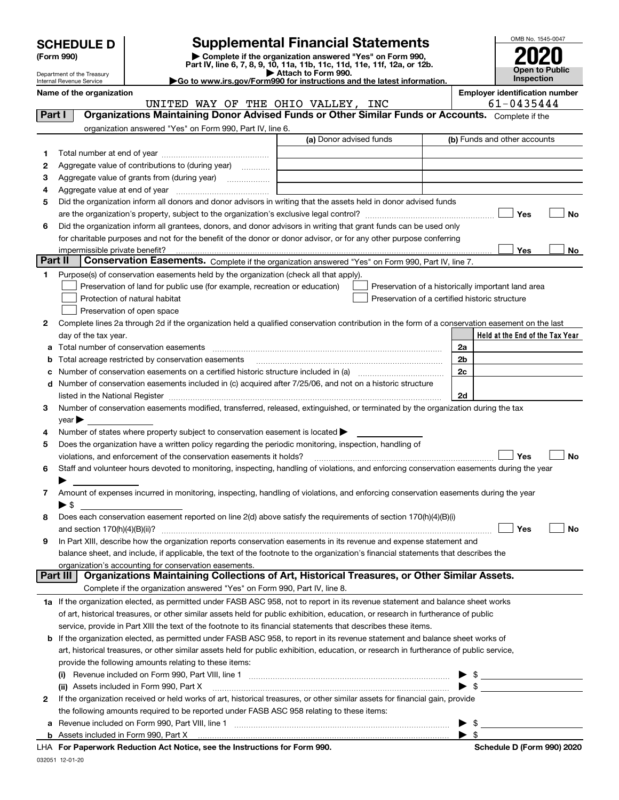| <b>SCHEDULE D</b> |  |
|-------------------|--|
|-------------------|--|

| (Form 990) |  |
|------------|--|
|------------|--|

# **SCHEDULE D Supplemental Financial Statements**

(Form 990)<br>
Pepartment of the Treasury<br>
Department of the Treasury<br>
Department of the Treasury<br>
Department of the Treasury<br> **Co to www.irs.gov/Form990 for instructions and the latest information.**<br> **Co to www.irs.gov/Form9** 



Department of the Treasury Internal Revenue Service

**Name of the organization Employer identification number**

UNITED WAY OF THE OHIO VALLEY, INC | 61-0435444

| Part I  |                            | <b>Organizations Maintaining Donor Advised Funds or Other Similar Funds or Accounts.</b> Complete if the                                       |                         |                                                    |
|---------|----------------------------|------------------------------------------------------------------------------------------------------------------------------------------------|-------------------------|----------------------------------------------------|
|         |                            | organization answered "Yes" on Form 990, Part IV, line 6.                                                                                      |                         |                                                    |
|         |                            |                                                                                                                                                | (a) Donor advised funds | (b) Funds and other accounts                       |
| 1       |                            |                                                                                                                                                |                         |                                                    |
| 2       |                            | Aggregate value of contributions to (during year)                                                                                              |                         |                                                    |
| з       |                            | Aggregate value of grants from (during year)                                                                                                   |                         |                                                    |
| 4       |                            |                                                                                                                                                |                         |                                                    |
| 5       |                            | Did the organization inform all donors and donor advisors in writing that the assets held in donor advised funds                               |                         |                                                    |
|         |                            |                                                                                                                                                |                         | Yes<br>No                                          |
| 6       |                            | Did the organization inform all grantees, donors, and donor advisors in writing that grant funds can be used only                              |                         |                                                    |
|         |                            | for charitable purposes and not for the benefit of the donor or donor advisor, or for any other purpose conferring                             |                         |                                                    |
| Part II |                            |                                                                                                                                                |                         | Yes<br>No                                          |
|         |                            | Conservation Easements. Complete if the organization answered "Yes" on Form 990, Part IV, line 7.                                              |                         |                                                    |
| 1       |                            | Purpose(s) of conservation easements held by the organization (check all that apply).                                                          |                         |                                                    |
|         |                            | Preservation of land for public use (for example, recreation or education)                                                                     |                         | Preservation of a historically important land area |
|         |                            | Protection of natural habitat                                                                                                                  |                         | Preservation of a certified historic structure     |
|         |                            | Preservation of open space                                                                                                                     |                         |                                                    |
| 2       |                            | Complete lines 2a through 2d if the organization held a qualified conservation contribution in the form of a conservation easement on the last |                         |                                                    |
|         |                            | day of the tax year.                                                                                                                           |                         | Held at the End of the Tax Year                    |
| a       |                            |                                                                                                                                                |                         | 2a                                                 |
| b       |                            | Total acreage restricted by conservation easements                                                                                             |                         | 2b                                                 |
| с       |                            |                                                                                                                                                |                         | 2c                                                 |
| d       |                            | Number of conservation easements included in (c) acquired after 7/25/06, and not on a historic structure                                       |                         |                                                    |
|         |                            | listed in the National Register [111] [12] The National Register [12] March 1999, March 1999, March 1999, Marc                                 |                         | 2d                                                 |
| 3       |                            | Number of conservation easements modified, transferred, released, extinguished, or terminated by the organization during the tax               |                         |                                                    |
|         | $year \blacktriangleright$ | Number of states where property subject to conservation easement is located $\blacktriangleright$                                              |                         |                                                    |
| 4       |                            | Does the organization have a written policy regarding the periodic monitoring, inspection, handling of                                         |                         |                                                    |
| 5       |                            | violations, and enforcement of the conservation easements it holds?                                                                            |                         | Yes<br>No                                          |
| 6       |                            | Staff and volunteer hours devoted to monitoring, inspecting, handling of violations, and enforcing conservation easements during the year      |                         |                                                    |
|         |                            |                                                                                                                                                |                         |                                                    |
| 7       |                            | Amount of expenses incurred in monitoring, inspecting, handling of violations, and enforcing conservation easements during the year            |                         |                                                    |
|         | $\blacktriangleright$ \$   |                                                                                                                                                |                         |                                                    |
| 8       |                            | Does each conservation easement reported on line 2(d) above satisfy the requirements of section 170(h)(4)(B)(i)                                |                         |                                                    |
|         |                            |                                                                                                                                                |                         | Yes<br>No                                          |
| 9       |                            | In Part XIII, describe how the organization reports conservation easements in its revenue and expense statement and                            |                         |                                                    |
|         |                            | balance sheet, and include, if applicable, the text of the footnote to the organization's financial statements that describes the              |                         |                                                    |
|         |                            | organization's accounting for conservation easements.                                                                                          |                         |                                                    |
|         | Part III                   | Organizations Maintaining Collections of Art, Historical Treasures, or Other Similar Assets.                                                   |                         |                                                    |
|         |                            | Complete if the organization answered "Yes" on Form 990, Part IV, line 8.                                                                      |                         |                                                    |
|         |                            | 1a If the organization elected, as permitted under FASB ASC 958, not to report in its revenue statement and balance sheet works                |                         |                                                    |
|         |                            | of art, historical treasures, or other similar assets held for public exhibition, education, or research in furtherance of public              |                         |                                                    |
|         |                            | service, provide in Part XIII the text of the footnote to its financial statements that describes these items.                                 |                         |                                                    |
|         |                            | <b>b</b> If the organization elected, as permitted under FASB ASC 958, to report in its revenue statement and balance sheet works of           |                         |                                                    |
|         |                            | art, historical treasures, or other similar assets held for public exhibition, education, or research in furtherance of public service,        |                         |                                                    |
|         |                            | provide the following amounts relating to these items:                                                                                         |                         |                                                    |
|         |                            |                                                                                                                                                |                         | $\qquad \qquad \bullet$<br>▶                       |
|         |                            | (ii) Assets included in Form 990, Part X                                                                                                       |                         |                                                    |
| 2       |                            | If the organization received or held works of art, historical treasures, or other similar assets for financial gain, provide                   |                         |                                                    |
|         |                            | the following amounts required to be reported under FASB ASC 958 relating to these items:                                                      |                         |                                                    |
| а       |                            |                                                                                                                                                |                         | $\triangleright$ \$                                |
|         |                            |                                                                                                                                                |                         | $\blacktriangleright$ \$                           |

**For Paperwork Reduction Act Notice, see the Instructions for Form 990. Schedule D (Form 990) 2020** LHA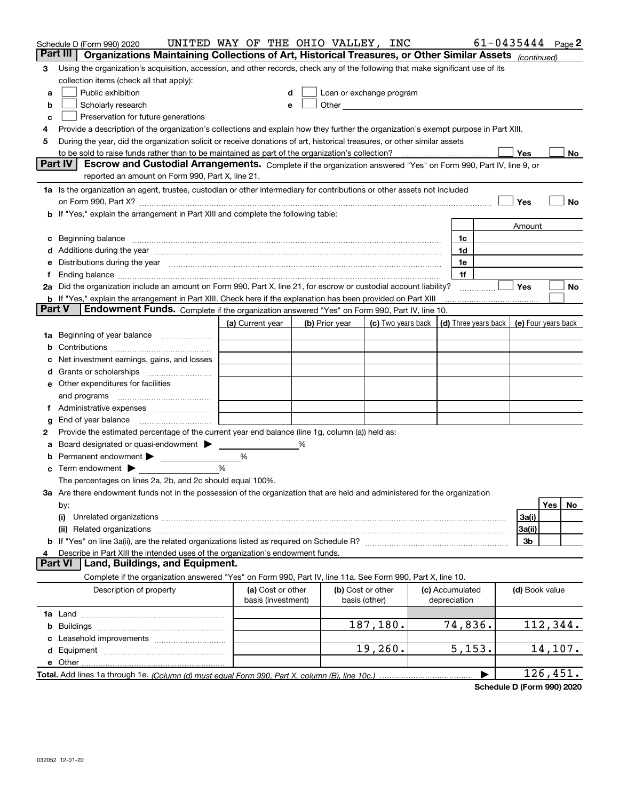|               | Schedule D (Form 990) 2020                                                                                                                                                                                                     | UNITED WAY OF THE OHIO VALLEY, INC      |   |                                    |                                                                                                                                                                                                                                |                                            | $61 - 0435444$ Page 2 |                |          |    |
|---------------|--------------------------------------------------------------------------------------------------------------------------------------------------------------------------------------------------------------------------------|-----------------------------------------|---|------------------------------------|--------------------------------------------------------------------------------------------------------------------------------------------------------------------------------------------------------------------------------|--------------------------------------------|-----------------------|----------------|----------|----|
|               | Organizations Maintaining Collections of Art, Historical Treasures, or Other Similar Assets (continued)<br>Part III                                                                                                            |                                         |   |                                    |                                                                                                                                                                                                                                |                                            |                       |                |          |    |
| 3             | Using the organization's acquisition, accession, and other records, check any of the following that make significant use of its                                                                                                |                                         |   |                                    |                                                                                                                                                                                                                                |                                            |                       |                |          |    |
|               | collection items (check all that apply):                                                                                                                                                                                       |                                         |   |                                    |                                                                                                                                                                                                                                |                                            |                       |                |          |    |
| a             | Public exhibition                                                                                                                                                                                                              |                                         |   |                                    | Loan or exchange program                                                                                                                                                                                                       |                                            |                       |                |          |    |
| b             | Scholarly research                                                                                                                                                                                                             |                                         |   |                                    | Other and the control of the control of the control of the control of the control of the control of the control of the control of the control of the control of the control of the control of the control of the control of th |                                            |                       |                |          |    |
| c             | Preservation for future generations                                                                                                                                                                                            |                                         |   |                                    |                                                                                                                                                                                                                                |                                            |                       |                |          |    |
|               | Provide a description of the organization's collections and explain how they further the organization's exempt purpose in Part XIII.                                                                                           |                                         |   |                                    |                                                                                                                                                                                                                                |                                            |                       |                |          |    |
| 5             | During the year, did the organization solicit or receive donations of art, historical treasures, or other similar assets                                                                                                       |                                         |   |                                    |                                                                                                                                                                                                                                |                                            |                       |                |          |    |
|               | to be sold to raise funds rather than to be maintained as part of the organization's collection?                                                                                                                               |                                         |   |                                    |                                                                                                                                                                                                                                |                                            |                       | Yes            |          | No |
|               | <b>Part IV</b><br>Escrow and Custodial Arrangements. Complete if the organization answered "Yes" on Form 990, Part IV, line 9, or                                                                                              |                                         |   |                                    |                                                                                                                                                                                                                                |                                            |                       |                |          |    |
|               | reported an amount on Form 990, Part X, line 21.                                                                                                                                                                               |                                         |   |                                    |                                                                                                                                                                                                                                |                                            |                       |                |          |    |
|               | 1a Is the organization an agent, trustee, custodian or other intermediary for contributions or other assets not included                                                                                                       |                                         |   |                                    |                                                                                                                                                                                                                                |                                            |                       |                |          |    |
|               | on Form 990, Part X? [11] matter and the contract of the contract of the contract of the contract of the contract of the contract of the contract of the contract of the contract of the contract of the contract of the contr |                                         |   |                                    |                                                                                                                                                                                                                                |                                            |                       | Yes            |          | No |
|               | b If "Yes," explain the arrangement in Part XIII and complete the following table:                                                                                                                                             |                                         |   |                                    |                                                                                                                                                                                                                                |                                            |                       |                |          |    |
|               |                                                                                                                                                                                                                                |                                         |   |                                    |                                                                                                                                                                                                                                |                                            |                       | Amount         |          |    |
| c             | Beginning balance                                                                                                                                                                                                              |                                         |   |                                    |                                                                                                                                                                                                                                | 1c                                         |                       |                |          |    |
|               | Additions during the year manufactured and an account of the year manufactured and account of the year manufactured and account of the year manufactured and account of the year manufactured and account of the year manufact |                                         |   |                                    |                                                                                                                                                                                                                                | 1d                                         |                       |                |          |    |
|               | Distributions during the year manufactured and continuum control of the year manufactured and control of the year manufactured and control of the year manufactured and control of the year manufactured and control of the ye |                                         |   |                                    |                                                                                                                                                                                                                                | 1e                                         |                       |                |          |    |
|               |                                                                                                                                                                                                                                |                                         |   |                                    |                                                                                                                                                                                                                                | 1f                                         |                       | Yes            |          |    |
|               | 2a Did the organization include an amount on Form 990, Part X, line 21, for escrow or custodial account liability?                                                                                                             |                                         |   |                                    |                                                                                                                                                                                                                                |                                            |                       |                |          | No |
| <b>Part V</b> | <b>b</b> If "Yes," explain the arrangement in Part XIII. Check here if the explanation has been provided on Part XIII<br>Endowment Funds. Complete if the organization answered "Yes" on Form 990, Part IV, line 10.           |                                         |   |                                    |                                                                                                                                                                                                                                |                                            |                       |                |          |    |
|               |                                                                                                                                                                                                                                | (a) Current year                        |   | (b) Prior year                     | (c) Two years back                                                                                                                                                                                                             | (d) Three years back   (e) Four years back |                       |                |          |    |
| 1a            | Beginning of year balance                                                                                                                                                                                                      |                                         |   |                                    |                                                                                                                                                                                                                                |                                            |                       |                |          |    |
|               |                                                                                                                                                                                                                                |                                         |   |                                    |                                                                                                                                                                                                                                |                                            |                       |                |          |    |
|               | Net investment earnings, gains, and losses                                                                                                                                                                                     |                                         |   |                                    |                                                                                                                                                                                                                                |                                            |                       |                |          |    |
|               |                                                                                                                                                                                                                                |                                         |   |                                    |                                                                                                                                                                                                                                |                                            |                       |                |          |    |
|               | e Other expenditures for facilities                                                                                                                                                                                            |                                         |   |                                    |                                                                                                                                                                                                                                |                                            |                       |                |          |    |
|               | and programs                                                                                                                                                                                                                   |                                         |   |                                    |                                                                                                                                                                                                                                |                                            |                       |                |          |    |
|               |                                                                                                                                                                                                                                |                                         |   |                                    |                                                                                                                                                                                                                                |                                            |                       |                |          |    |
| g             | End of year balance                                                                                                                                                                                                            |                                         |   |                                    |                                                                                                                                                                                                                                |                                            |                       |                |          |    |
| 2             | Provide the estimated percentage of the current year end balance (line 1g, column (a)) held as:                                                                                                                                |                                         |   |                                    |                                                                                                                                                                                                                                |                                            |                       |                |          |    |
|               | Board designated or quasi-endowment                                                                                                                                                                                            |                                         | % |                                    |                                                                                                                                                                                                                                |                                            |                       |                |          |    |
| b             | Permanent endowment                                                                                                                                                                                                            | %                                       |   |                                    |                                                                                                                                                                                                                                |                                            |                       |                |          |    |
| c             | Term endowment $\blacktriangleright$                                                                                                                                                                                           | %                                       |   |                                    |                                                                                                                                                                                                                                |                                            |                       |                |          |    |
|               | The percentages on lines 2a, 2b, and 2c should equal 100%.                                                                                                                                                                     |                                         |   |                                    |                                                                                                                                                                                                                                |                                            |                       |                |          |    |
|               | 3a Are there endowment funds not in the possession of the organization that are held and administered for the organization                                                                                                     |                                         |   |                                    |                                                                                                                                                                                                                                |                                            |                       |                |          |    |
|               | by:                                                                                                                                                                                                                            |                                         |   |                                    |                                                                                                                                                                                                                                |                                            |                       |                | Yes      | No |
|               | (i)                                                                                                                                                                                                                            |                                         |   |                                    |                                                                                                                                                                                                                                |                                            |                       | 3a(i)          |          |    |
|               | (ii)                                                                                                                                                                                                                           |                                         |   |                                    |                                                                                                                                                                                                                                |                                            |                       | 3a(ii)         |          |    |
|               |                                                                                                                                                                                                                                |                                         |   |                                    |                                                                                                                                                                                                                                |                                            |                       | 3b             |          |    |
|               | Describe in Part XIII the intended uses of the organization's endowment funds.                                                                                                                                                 |                                         |   |                                    |                                                                                                                                                                                                                                |                                            |                       |                |          |    |
|               | Land, Buildings, and Equipment.<br><b>Part VI</b>                                                                                                                                                                              |                                         |   |                                    |                                                                                                                                                                                                                                |                                            |                       |                |          |    |
|               | Complete if the organization answered "Yes" on Form 990, Part IV, line 11a. See Form 990, Part X, line 10.                                                                                                                     |                                         |   |                                    |                                                                                                                                                                                                                                |                                            |                       |                |          |    |
|               | Description of property                                                                                                                                                                                                        | (a) Cost or other<br>basis (investment) |   | (b) Cost or other<br>basis (other) |                                                                                                                                                                                                                                | (c) Accumulated<br>depreciation            |                       | (d) Book value |          |    |
|               |                                                                                                                                                                                                                                |                                         |   |                                    |                                                                                                                                                                                                                                |                                            |                       |                |          |    |
| b             |                                                                                                                                                                                                                                |                                         |   |                                    | 187,180.                                                                                                                                                                                                                       | 74,836.                                    |                       |                | 112,344. |    |
|               |                                                                                                                                                                                                                                |                                         |   |                                    |                                                                                                                                                                                                                                |                                            |                       |                |          |    |
|               |                                                                                                                                                                                                                                |                                         |   |                                    | 19,260.                                                                                                                                                                                                                        | 5,153.                                     |                       |                | 14,107.  |    |
|               | e Other                                                                                                                                                                                                                        |                                         |   |                                    |                                                                                                                                                                                                                                |                                            |                       |                |          |    |
|               |                                                                                                                                                                                                                                |                                         |   |                                    |                                                                                                                                                                                                                                |                                            |                       |                | 126,451. |    |

**Schedule D (Form 990) 2020**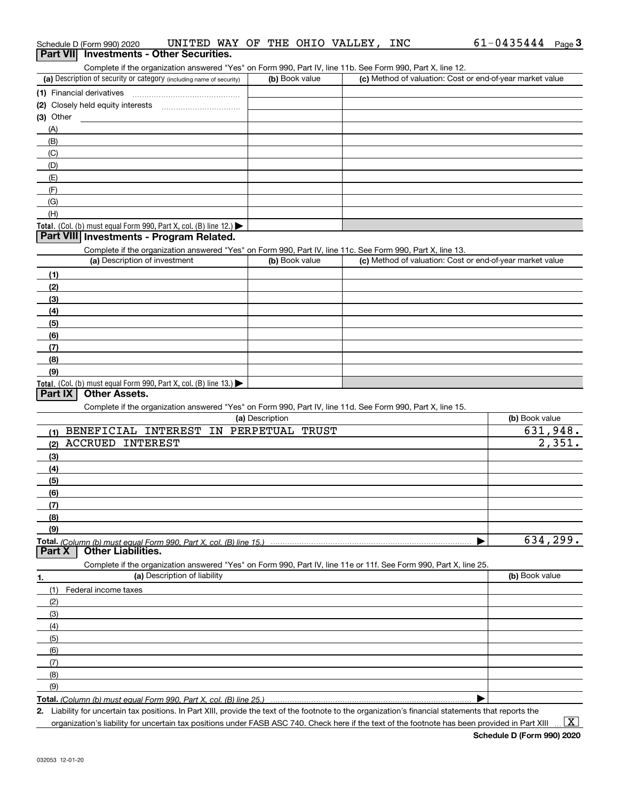|            | UNITED WAY OF THE OHIO VALLEY, INC<br>Schedule D (Form 990) 2020                                                                            |                    |  |  | $61 - 0435444$ Page 3                                     |                      |
|------------|---------------------------------------------------------------------------------------------------------------------------------------------|--------------------|--|--|-----------------------------------------------------------|----------------------|
|            | Part VII Investments - Other Securities.                                                                                                    |                    |  |  |                                                           |                      |
|            | Complete if the organization answered "Yes" on Form 990, Part IV, line 11b. See Form 990, Part X, line 12.                                  |                    |  |  |                                                           |                      |
|            | (a) Description of security or category (including name of security)                                                                        | (b) Book value     |  |  | (c) Method of valuation: Cost or end-of-year market value |                      |
|            | (1) Financial derivatives                                                                                                                   |                    |  |  |                                                           |                      |
|            | (2) Closely held equity interests [11] [12] Closely held equity interests                                                                   |                    |  |  |                                                           |                      |
| (3) Other  |                                                                                                                                             |                    |  |  |                                                           |                      |
| (A)        |                                                                                                                                             |                    |  |  |                                                           |                      |
| (B)        |                                                                                                                                             |                    |  |  |                                                           |                      |
| (C)        |                                                                                                                                             |                    |  |  |                                                           |                      |
| (D)        |                                                                                                                                             |                    |  |  |                                                           |                      |
| (E)        |                                                                                                                                             |                    |  |  |                                                           |                      |
| (F)        |                                                                                                                                             |                    |  |  |                                                           |                      |
| (G)        |                                                                                                                                             |                    |  |  |                                                           |                      |
| (H)        |                                                                                                                                             |                    |  |  |                                                           |                      |
|            | Total. (Col. (b) must equal Form 990, Part X, col. (B) line 12.)<br>Part VIII Investments - Program Related.                                |                    |  |  |                                                           |                      |
|            |                                                                                                                                             |                    |  |  |                                                           |                      |
|            | Complete if the organization answered "Yes" on Form 990, Part IV, line 11c. See Form 990, Part X, line 13.<br>(a) Description of investment | (b) Book value     |  |  | (c) Method of valuation: Cost or end-of-year market value |                      |
|            |                                                                                                                                             |                    |  |  |                                                           |                      |
| (1)        |                                                                                                                                             |                    |  |  |                                                           |                      |
| (2)        |                                                                                                                                             |                    |  |  |                                                           |                      |
| (3)        |                                                                                                                                             |                    |  |  |                                                           |                      |
| (4)        |                                                                                                                                             |                    |  |  |                                                           |                      |
| (5)        |                                                                                                                                             |                    |  |  |                                                           |                      |
| (6)<br>(7) |                                                                                                                                             |                    |  |  |                                                           |                      |
| (8)        |                                                                                                                                             |                    |  |  |                                                           |                      |
| (9)        |                                                                                                                                             |                    |  |  |                                                           |                      |
|            | Total. (Col. (b) must equal Form 990, Part X, col. (B) line 13.)                                                                            |                    |  |  |                                                           |                      |
| Part IX    | <b>Other Assets.</b>                                                                                                                        |                    |  |  |                                                           |                      |
|            | Complete if the organization answered "Yes" on Form 990, Part IV, line 11d. See Form 990, Part X, line 15.                                  |                    |  |  |                                                           |                      |
|            |                                                                                                                                             | (a) Description    |  |  | (b) Book value                                            |                      |
| (1)        | BENEFICIAL INTEREST                                                                                                                         | IN PERPETUAL TRUST |  |  |                                                           | 631,948.             |
| (2)        | <b>ACCRUED INTEREST</b>                                                                                                                     |                    |  |  |                                                           | $\overline{2,351}$ . |
| (3)        |                                                                                                                                             |                    |  |  |                                                           |                      |
| (4)        |                                                                                                                                             |                    |  |  |                                                           |                      |
| (5)        |                                                                                                                                             |                    |  |  |                                                           |                      |
| (6)        |                                                                                                                                             |                    |  |  |                                                           |                      |
| (7)        |                                                                                                                                             |                    |  |  |                                                           |                      |
| (8)        |                                                                                                                                             |                    |  |  |                                                           |                      |
| (9)        |                                                                                                                                             |                    |  |  |                                                           |                      |
|            |                                                                                                                                             |                    |  |  |                                                           | 634,299.             |
| Part X     | <b>Other Liabilities.</b>                                                                                                                   |                    |  |  |                                                           |                      |
|            | Complete if the organization answered "Yes" on Form 990, Part IV, line 11e or 11f. See Form 990, Part X, line 25.                           |                    |  |  |                                                           |                      |
| 1.         | (a) Description of liability                                                                                                                |                    |  |  | (b) Book value                                            |                      |
| (1)        | Federal income taxes                                                                                                                        |                    |  |  |                                                           |                      |
| (2)        |                                                                                                                                             |                    |  |  |                                                           |                      |
| (3)        |                                                                                                                                             |                    |  |  |                                                           |                      |
| (4)        |                                                                                                                                             |                    |  |  |                                                           |                      |
| (5)        |                                                                                                                                             |                    |  |  |                                                           |                      |
| (6)        |                                                                                                                                             |                    |  |  |                                                           |                      |
| (7)        |                                                                                                                                             |                    |  |  |                                                           |                      |
| (8)        |                                                                                                                                             |                    |  |  |                                                           |                      |
| (9)        |                                                                                                                                             |                    |  |  |                                                           |                      |
|            | Total. (Column (b) must equal Form 990, Part X, col. (B) line 25.)                                                                          |                    |  |  |                                                           |                      |

**2.** Liability for uncertain tax positions. In Part XIII, provide the text of the footnote to the organization's financial statements that reports the organization's liability for uncertain tax positions under FASB ASC 740. Check here if the text of the footnote has been provided in Part XIII

 $61-0435444$  Page 3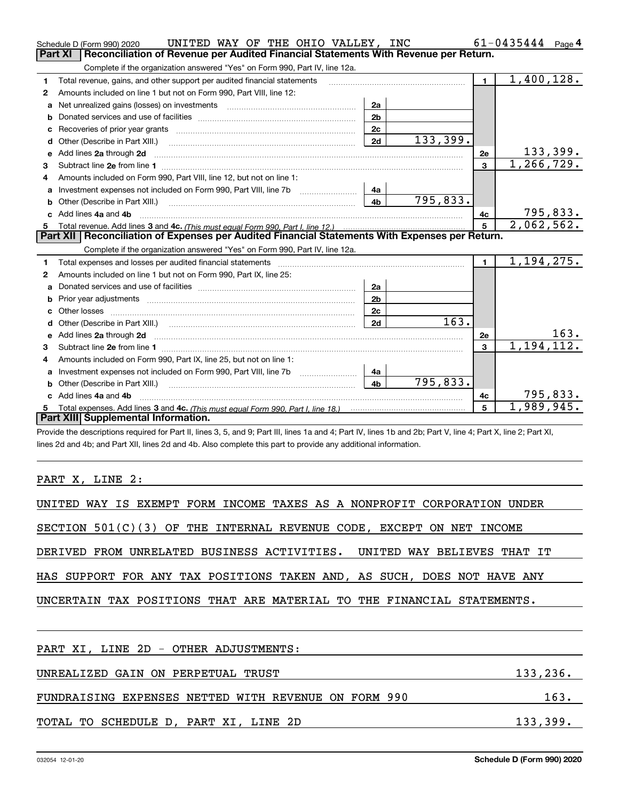|   | UNITED WAY OF THE OHIO VALLEY, INC<br>Schedule D (Form 990) 2020                                                                                                                                                                    |                |           |                | $61 - 0435444$ Page 4 |
|---|-------------------------------------------------------------------------------------------------------------------------------------------------------------------------------------------------------------------------------------|----------------|-----------|----------------|-----------------------|
|   | <b>Part XI</b><br>Reconciliation of Revenue per Audited Financial Statements With Revenue per Return.                                                                                                                               |                |           |                |                       |
|   | Complete if the organization answered "Yes" on Form 990, Part IV, line 12a.                                                                                                                                                         |                |           |                |                       |
| 1 | Total revenue, gains, and other support per audited financial statements                                                                                                                                                            |                |           | $\blacksquare$ | 1,400,128.            |
| 2 | Amounts included on line 1 but not on Form 990, Part VIII, line 12:                                                                                                                                                                 |                |           |                |                       |
| a | Net unrealized gains (losses) on investments [11] matter contracts and the unrealized gains (losses) on investments                                                                                                                 | 2a             |           |                |                       |
| b |                                                                                                                                                                                                                                     | 2 <sub>b</sub> |           |                |                       |
|   |                                                                                                                                                                                                                                     | 2c             |           |                |                       |
| d | Other (Describe in Part XIII.) <b>Construction Contract Construction</b> [                                                                                                                                                          | 2d             | 133,399.  |                |                       |
| е | Add lines 2a through 2d                                                                                                                                                                                                             |                |           | <b>2e</b>      | 133,399.              |
| 3 |                                                                                                                                                                                                                                     |                |           | 3              | 1, 266, 729.          |
| 4 | Amounts included on Form 990, Part VIII, line 12, but not on line 1:                                                                                                                                                                |                |           |                |                       |
| a | Investment expenses not included on Form 990, Part VIII, line 7b [100] [100] [100] [100] [100] [100] [100] [10                                                                                                                      | 4a             |           |                |                       |
|   | Other (Describe in Part XIII.) <b>Construction Contract Construction</b> Chemical Construction Chemical Chemical Chemical Chemical Chemical Chemical Chemical Chemical Chemical Chemical Chemical Chemical Chemical Chemical Chemic | 4 <sub>b</sub> | 795, 833. |                |                       |
|   | c Add lines 4a and 4b                                                                                                                                                                                                               |                |           | 4c             | 795,833.              |
|   |                                                                                                                                                                                                                                     |                |           |                |                       |
|   |                                                                                                                                                                                                                                     |                |           | 5              | 2,062,562.            |
|   | Part XII   Reconciliation of Expenses per Audited Financial Statements With Expenses per Return.                                                                                                                                    |                |           |                |                       |
|   | Complete if the organization answered "Yes" on Form 990, Part IV, line 12a.                                                                                                                                                         |                |           |                |                       |
| 1 | Total expenses and losses per audited financial statements                                                                                                                                                                          |                |           | $\blacksquare$ | 1,194,275.            |
| 2 | Amounts included on line 1 but not on Form 990, Part IX, line 25:                                                                                                                                                                   |                |           |                |                       |
| a |                                                                                                                                                                                                                                     | 2a             |           |                |                       |
| b |                                                                                                                                                                                                                                     | 2 <sub>b</sub> |           |                |                       |
|   |                                                                                                                                                                                                                                     | 2 <sub>c</sub> |           |                |                       |
| d |                                                                                                                                                                                                                                     | 2d             | 163.      |                |                       |
| e | Add lines 2a through 2d                                                                                                                                                                                                             |                |           | 2e             | 163.                  |
| з |                                                                                                                                                                                                                                     |                |           | $\overline{3}$ | 1,194,112.            |
| 4 | Amounts included on Form 990, Part IX, line 25, but not on line 1:                                                                                                                                                                  |                |           |                |                       |
| a | Investment expenses not included on Form 990, Part VIII, line 7b [1000000000000000000000000000000000                                                                                                                                | 4a             |           |                |                       |
|   | Other (Describe in Part XIII.)                                                                                                                                                                                                      | 4 <sub>b</sub> | 795,833.  |                |                       |
|   | c Add lines 4a and 4b                                                                                                                                                                                                               |                |           | 4c             | 795,833.              |
|   | Part XIII Supplemental Information.                                                                                                                                                                                                 |                |           | 5              | 1,989,945.            |

Provide the descriptions required for Part II, lines 3, 5, and 9; Part III, lines 1a and 4; Part IV, lines 1b and 2b; Part V, line 4; Part X, line 2; Part XI, lines 2d and 4b; and Part XII, lines 2d and 4b. Also complete this part to provide any additional information.

# PART X, LINE 2:

| UNITED WAY IS EXEMPT FORM INCOME TAXES AS A NONPROFIT CORPORATION UNDER |          |
|-------------------------------------------------------------------------|----------|
| SECTION $501(C)(3)$ OF THE INTERNAL REVENUE CODE, EXCEPT ON NET INCOME  |          |
| DERIVED FROM UNRELATED BUSINESS ACTIVITIES. UNITED WAY BELIEVES THAT IT |          |
| HAS SUPPORT FOR ANY TAX POSITIONS TAKEN AND, AS SUCH, DOES NOT HAVE ANY |          |
| UNCERTAIN TAX POSITIONS THAT ARE MATERIAL TO THE FINANCIAL STATEMENTS.  |          |
|                                                                         |          |
| PART XI, LINE 2D - OTHER ADJUSTMENTS:                                   |          |
| UNREALIZED GAIN ON PERPETUAL TRUST                                      | 133,236. |
| FUNDRAISING EXPENSES NETTED WITH REVENUE ON FORM 990                    | 163.     |
| TOTAL TO SCHEDULE D, PART XI, LINE 2D                                   | 133,399. |
|                                                                         |          |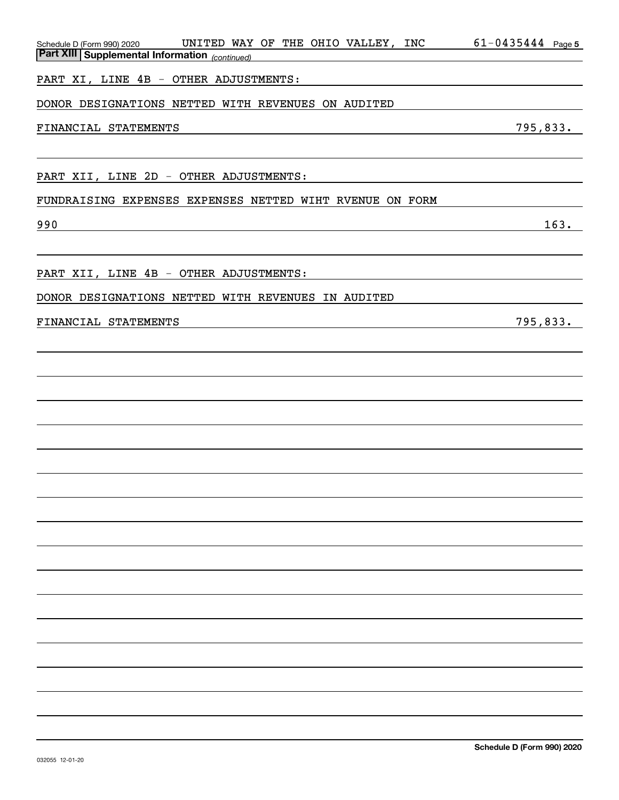| Schedule D (Form 990) 2020 UNITED WAY OF THE OHIO VALLEY, INC<br><b>Part XIII   Supplemental Information</b> (continued) | $61 - 0435444$ Page 5 |
|--------------------------------------------------------------------------------------------------------------------------|-----------------------|
| PART XI, LINE 4B - OTHER ADJUSTMENTS:                                                                                    |                       |
| DONOR DESIGNATIONS NETTED WITH REVENUES ON AUDITED                                                                       |                       |
| FINANCIAL STATEMENTS                                                                                                     | 795,833.              |
| PART XII, LINE 2D - OTHER ADJUSTMENTS:                                                                                   |                       |
| FUNDRAISING EXPENSES EXPENSES NETTED WIHT RVENUE ON FORM                                                                 |                       |
| 990                                                                                                                      | 163.                  |
| PART XII, LINE 4B - OTHER ADJUSTMENTS:                                                                                   |                       |
| DONOR DESIGNATIONS NETTED WITH REVENUES IN AUDITED                                                                       |                       |
| FINANCIAL STATEMENTS                                                                                                     | 795,833.              |
|                                                                                                                          |                       |
|                                                                                                                          |                       |
|                                                                                                                          |                       |
|                                                                                                                          |                       |
|                                                                                                                          |                       |
|                                                                                                                          |                       |
|                                                                                                                          |                       |
|                                                                                                                          |                       |
|                                                                                                                          |                       |
|                                                                                                                          |                       |
|                                                                                                                          |                       |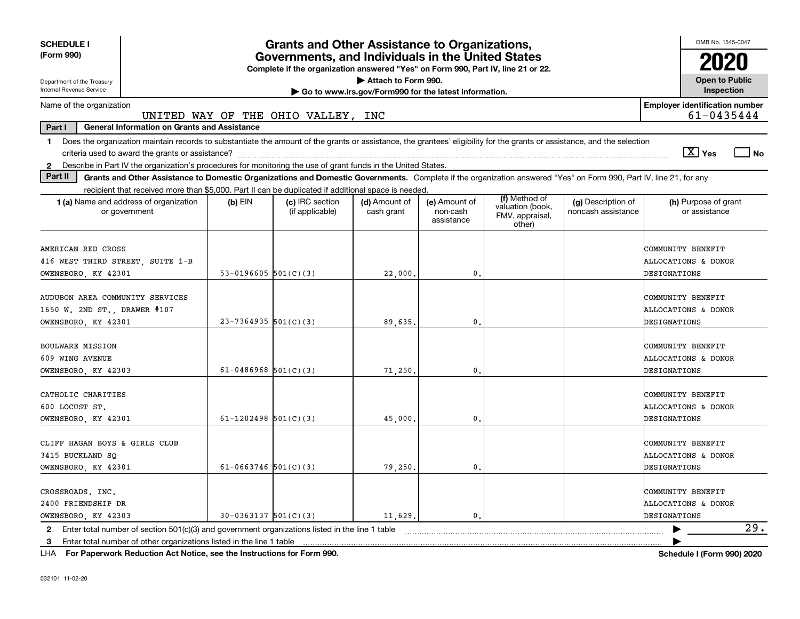| <b>SCHEDULE I</b>                                                                                                                                                              |                                                                                                                                       | <b>Grants and Other Assistance to Organizations,</b> |                                                       |                                         |                                                                |                                          | OMB No. 1545-0047                                                   |  |  |  |  |
|--------------------------------------------------------------------------------------------------------------------------------------------------------------------------------|---------------------------------------------------------------------------------------------------------------------------------------|------------------------------------------------------|-------------------------------------------------------|-----------------------------------------|----------------------------------------------------------------|------------------------------------------|---------------------------------------------------------------------|--|--|--|--|
| (Form 990)                                                                                                                                                                     | Governments, and Individuals in the United States<br>Complete if the organization answered "Yes" on Form 990, Part IV, line 21 or 22. |                                                      |                                                       |                                         |                                                                |                                          |                                                                     |  |  |  |  |
| 2020<br>Attach to Form 990.<br><b>Open to Public</b><br>Department of the Treasury                                                                                             |                                                                                                                                       |                                                      |                                                       |                                         |                                                                |                                          |                                                                     |  |  |  |  |
| Internal Revenue Service                                                                                                                                                       |                                                                                                                                       |                                                      | Go to www.irs.gov/Form990 for the latest information. |                                         |                                                                |                                          | Inspection                                                          |  |  |  |  |
| Name of the organization                                                                                                                                                       |                                                                                                                                       |                                                      |                                                       |                                         |                                                                |                                          | <b>Employer identification number</b>                               |  |  |  |  |
| <b>General Information on Grants and Assistance</b>                                                                                                                            |                                                                                                                                       | UNITED WAY OF THE OHIO VALLEY, INC                   |                                                       |                                         |                                                                |                                          | 61-0435444                                                          |  |  |  |  |
| Part I                                                                                                                                                                         |                                                                                                                                       |                                                      |                                                       |                                         |                                                                |                                          |                                                                     |  |  |  |  |
| Does the organization maintain records to substantiate the amount of the grants or assistance, the grantees' eligibility for the grants or assistance, and the selection<br>1. |                                                                                                                                       |                                                      |                                                       |                                         |                                                                |                                          | $\boxed{\text{X}}$ Yes<br>$\overline{\phantom{a}}$ No               |  |  |  |  |
| Describe in Part IV the organization's procedures for monitoring the use of grant funds in the United States.<br>$\mathbf{2}$                                                  |                                                                                                                                       |                                                      |                                                       |                                         |                                                                |                                          |                                                                     |  |  |  |  |
| Part II<br>Grants and Other Assistance to Domestic Organizations and Domestic Governments. Complete if the organization answered "Yes" on Form 990, Part IV, line 21, for any  |                                                                                                                                       |                                                      |                                                       |                                         |                                                                |                                          |                                                                     |  |  |  |  |
| recipient that received more than \$5,000. Part II can be duplicated if additional space is needed.                                                                            |                                                                                                                                       |                                                      |                                                       |                                         |                                                                |                                          |                                                                     |  |  |  |  |
| 1 (a) Name and address of organization<br>or government                                                                                                                        | $(b)$ EIN                                                                                                                             | (c) IRC section<br>(if applicable)                   | (d) Amount of<br>cash grant                           | (e) Amount of<br>non-cash<br>assistance | (f) Method of<br>valuation (book,<br>FMV, appraisal,<br>other) | (g) Description of<br>noncash assistance | (h) Purpose of grant<br>or assistance                               |  |  |  |  |
| AMERICAN RED CROSS<br>416 WEST THIRD STREET, SUITE 1-B                                                                                                                         |                                                                                                                                       |                                                      |                                                       |                                         |                                                                |                                          | COMMUNITY BENEFIT<br>ALLOCATIONS & DONOR                            |  |  |  |  |
| OWENSBORO, KY 42301                                                                                                                                                            | 53-0196605 $501(C)(3)$                                                                                                                |                                                      | 22,000                                                | 0.                                      |                                                                |                                          | DESIGNATIONS                                                        |  |  |  |  |
| AUDUBON AREA COMMUNITY SERVICES<br>1650 W. 2ND ST., DRAWER #107<br>OWENSBORO, KY 42301                                                                                         | $23 - 7364935$ 501(C)(3)                                                                                                              |                                                      | 89,635.                                               | 0.                                      |                                                                |                                          | COMMUNITY BENEFIT<br>ALLOCATIONS & DONOR<br>DESIGNATIONS            |  |  |  |  |
| <b>BOULWARE MISSION</b><br>609 WING AVENUE<br>OWENSBORO, KY 42303                                                                                                              | 61-0486968 $501(C)(3)$                                                                                                                |                                                      | 71,250.                                               | 0.                                      |                                                                |                                          | COMMUNITY BENEFIT<br><b>ALLOCATIONS &amp; DONOR</b><br>DESIGNATIONS |  |  |  |  |
| CATHOLIC CHARITIES<br>600 LOCUST ST.<br>OWENSBORO, KY 42301                                                                                                                    | $61 - 1202498$ 501(C)(3)                                                                                                              |                                                      | 45,000.                                               | 0.                                      |                                                                |                                          | COMMUNITY BENEFIT<br>ALLOCATIONS & DONOR<br>DESIGNATIONS            |  |  |  |  |
| CLIFF HAGAN BOYS & GIRLS CLUB<br>3415 BUCKLAND SO<br>OWENSBORO, KY 42301                                                                                                       | 61-0663746 $501(C)(3)$                                                                                                                |                                                      | 79,250.                                               | 0.                                      |                                                                |                                          | COMMUNITY BENEFIT<br><b>ALLOCATIONS &amp; DONOR</b><br>DESIGNATIONS |  |  |  |  |
| CROSSROADS. INC.<br>2400 FRIENDSHIP DR<br>OWENSBORO, KY 42303                                                                                                                  | $30-0363137$ $501(C)(3)$                                                                                                              |                                                      | 11,629.                                               | 0.                                      |                                                                |                                          | COMMUNITY BENEFIT<br>ALLOCATIONS & DONOR<br>DESIGNATIONS            |  |  |  |  |
| 2 Enter total number of section 501(c)(3) and government organizations listed in the line 1 table                                                                              |                                                                                                                                       |                                                      |                                                       |                                         |                                                                |                                          | 29.                                                                 |  |  |  |  |
| Enter total number of other organizations listed in the line 1 table<br>3                                                                                                      |                                                                                                                                       |                                                      |                                                       |                                         |                                                                |                                          |                                                                     |  |  |  |  |

**For Paperwork Reduction Act Notice, see the Instructions for Form 990. Schedule I (Form 990) 2020** LHA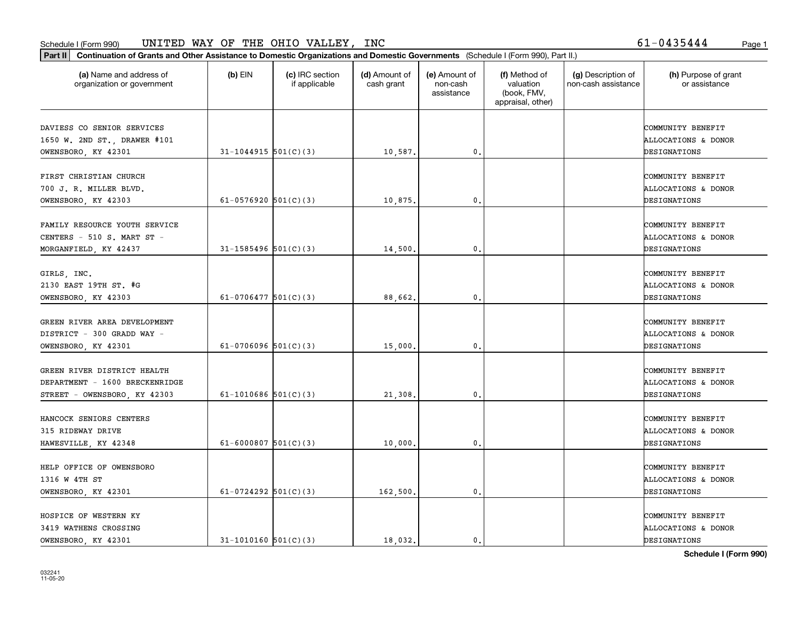### Schedule I (Form 990) Page 1 UNITED WAY OF THE OHIO VALLEY, INC 61-0435444

| (a) Name and address of<br>organization or government                                         | $(b)$ EIN                  | (c) IRC section<br>if applicable | (d) Amount of<br>cash grant | (e) Amount of<br>non-cash<br>assistance | (f) Method of<br>valuation<br>(book, FMV,<br>appraisal, other) | (g) Description of<br>non-cash assistance | (h) Purpose of grant<br>or assistance                               |
|-----------------------------------------------------------------------------------------------|----------------------------|----------------------------------|-----------------------------|-----------------------------------------|----------------------------------------------------------------|-------------------------------------------|---------------------------------------------------------------------|
| DAVIESS CO SENIOR SERVICES<br>1650 W. 2ND ST., DRAWER #101                                    |                            |                                  |                             |                                         |                                                                |                                           | COMMUNITY BENEFIT<br><b>ALLOCATIONS &amp; DONOR</b>                 |
| OWENSBORO, KY 42301                                                                           | $31-1044915$ 501(C)(3)     |                                  | 10,587.                     | 0.                                      |                                                                |                                           | DESIGNATIONS                                                        |
| FIRST CHRISTIAN CHURCH<br>700 J. R. MILLER BLVD.<br>OWENSBORO, KY 42303                       | $61-0576920$ $501(C)(3)$   |                                  | 10,875.                     | 0.                                      |                                                                |                                           | COMMUNITY BENEFIT<br><b>ALLOCATIONS &amp; DONOR</b><br>DESIGNATIONS |
| FAMILY RESOURCE YOUTH SERVICE<br>CENTERS - 510 S. MART ST -<br>MORGANFIELD, KY 42437          | $31 - 1585496$ $501(C)(3)$ |                                  | 14,500.                     | 0.                                      |                                                                |                                           | COMMUNITY BENEFIT<br><b>ALLOCATIONS &amp; DONOR</b><br>DESIGNATIONS |
| GIRLS, INC.<br>2130 EAST 19TH ST. #G<br>OWENSBORO, KY 42303                                   | 61-0706477 $ 501(C)(3) $   |                                  | 88,662.                     | 0.                                      |                                                                |                                           | COMMUNITY BENEFIT<br>ALLOCATIONS & DONOR<br>DESIGNATIONS            |
| GREEN RIVER AREA DEVELOPMENT<br>DISTRICT - 300 GRADD WAY -<br>OWENSBORO, KY 42301             | 61-0706096 $501(C)(3)$     |                                  | 15,000.                     | 0.                                      |                                                                |                                           | COMMUNITY BENEFIT<br><b>ALLOCATIONS &amp; DONOR</b><br>DESIGNATIONS |
| GREEN RIVER DISTRICT HEALTH<br>DEPARTMENT - 1600 BRECKENRIDGE<br>STREET - OWENSBORO, KY 42303 | 61-1010686 $501(C)(3)$     |                                  | 21,308.                     | $\mathbf{0}$ .                          |                                                                |                                           | COMMUNITY BENEFIT<br><b>ALLOCATIONS &amp; DONOR</b><br>DESIGNATIONS |
| HANCOCK SENIORS CENTERS<br>315 RIDEWAY DRIVE<br>HAWESVILLE, KY 42348                          | 61-6000807 $501(C)(3)$     |                                  | 10,000                      | $\mathbf{0}$ .                          |                                                                |                                           | COMMUNITY BENEFIT<br><b>ALLOCATIONS &amp; DONOR</b><br>DESIGNATIONS |
| HELP OFFICE OF OWENSBORO<br>1316 W 4TH ST<br>OWENSBORO, KY 42301                              | 61-0724292 $501(C)(3)$     |                                  | 162,500.                    | 0.                                      |                                                                |                                           | COMMUNITY BENEFIT<br><b>ALLOCATIONS &amp; DONOR</b><br>DESIGNATIONS |
| HOSPICE OF WESTERN KY<br>3419 WATHENS CROSSING<br>OWENSBORO, KY 42301                         | $31-1010160$ $501(C)(3)$   |                                  | 18,032.                     | $\mathbf{0}$ .                          |                                                                |                                           | COMMUNITY BENEFIT<br><b>ALLOCATIONS &amp; DONOR</b><br>DESIGNATIONS |

**Schedule I (Form 990)**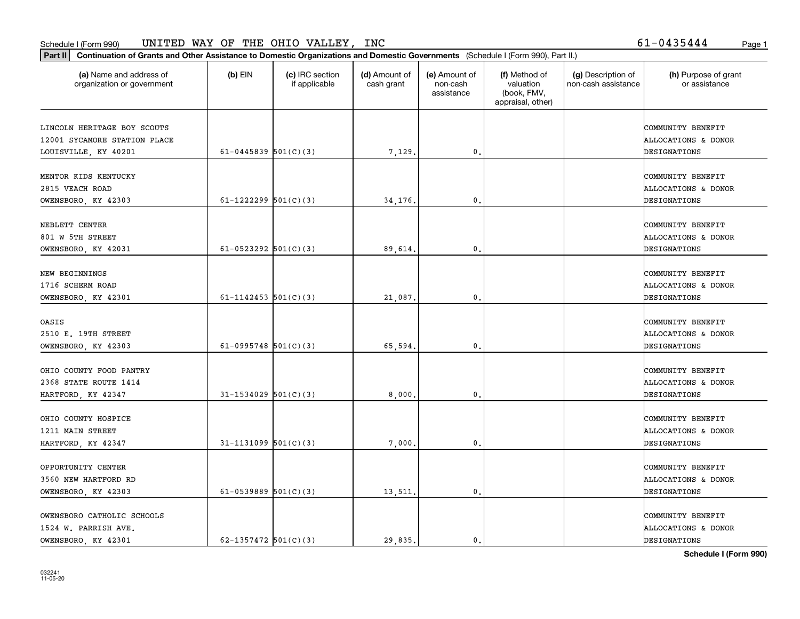### Schedule I (Form 990) Page 1 UNITED WAY OF THE OHIO VALLEY, INC 61-0435444

| (a) Name and address of<br>organization or government | $(b)$ EIN                  | (c) IRC section<br>if applicable | (d) Amount of<br>cash grant | (e) Amount of<br>non-cash | (f) Method of<br>valuation       | (g) Description of<br>non-cash assistance | (h) Purpose of grant<br>or assistance |
|-------------------------------------------------------|----------------------------|----------------------------------|-----------------------------|---------------------------|----------------------------------|-------------------------------------------|---------------------------------------|
|                                                       |                            |                                  |                             | assistance                | (book, FMV,<br>appraisal, other) |                                           |                                       |
| LINCOLN HERITAGE BOY SCOUTS                           |                            |                                  |                             |                           |                                  |                                           | COMMUNITY BENEFIT                     |
| 12001 SYCAMORE STATION PLACE                          |                            |                                  |                             |                           |                                  |                                           | ALLOCATIONS & DONOR                   |
| LOUISVILLE, KY 40201                                  | 61-0445839 $501(C)(3)$     |                                  | 7,129.                      | $\mathfrak{o}$ .          |                                  |                                           | DESIGNATIONS                          |
| MENTOR KIDS KENTUCKY                                  |                            |                                  |                             |                           |                                  |                                           | COMMUNITY BENEFIT                     |
| 2815 VEACH ROAD                                       |                            |                                  |                             |                           |                                  |                                           | ALLOCATIONS & DONOR                   |
| OWENSBORO, KY 42303                                   | 61-1222299 $501(C)(3)$     |                                  | 34,176.                     | $\mathbf{0}$ .            |                                  |                                           | DESIGNATIONS                          |
| NEBLETT CENTER                                        |                            |                                  |                             |                           |                                  |                                           | COMMUNITY BENEFIT                     |
| 801 W 5TH STREET                                      |                            |                                  |                             |                           |                                  |                                           | ALLOCATIONS & DONOR                   |
| OWENSBORO, KY 42031                                   | 61-0523292 $501(C)(3)$     |                                  | 89,614                      | $\mathbf{0}$ .            |                                  |                                           | DESIGNATIONS                          |
| NEW BEGINNINGS                                        |                            |                                  |                             |                           |                                  |                                           | COMMUNITY BENEFIT                     |
| 1716 SCHERM ROAD                                      |                            |                                  |                             |                           |                                  |                                           | ALLOCATIONS & DONOR                   |
| OWENSBORO, KY 42301                                   | 61-1142453 $501(C)(3)$     |                                  | 21,087.                     | 0.                        |                                  |                                           | DESIGNATIONS                          |
|                                                       |                            |                                  |                             |                           |                                  |                                           |                                       |
| OASIS                                                 |                            |                                  |                             |                           |                                  |                                           | COMMUNITY BENEFIT                     |
| 2510 E. 19TH STREET                                   |                            |                                  |                             |                           |                                  |                                           | ALLOCATIONS & DONOR                   |
| OWENSBORO, KY 42303                                   | $61-0995748$ 501(C)(3)     |                                  | 65,594                      | 0.                        |                                  |                                           | DESIGNATIONS                          |
| OHIO COUNTY FOOD PANTRY                               |                            |                                  |                             |                           |                                  |                                           | COMMUNITY BENEFIT                     |
| 2368 STATE ROUTE 1414                                 |                            |                                  |                             |                           |                                  |                                           | ALLOCATIONS & DONOR                   |
| HARTFORD, KY 42347                                    | $31 - 1534029$ $501(C)(3)$ |                                  | 8,000                       | 0.                        |                                  |                                           | DESIGNATIONS                          |
| OHIO COUNTY HOSPICE                                   |                            |                                  |                             |                           |                                  |                                           | COMMUNITY BENEFIT                     |
| 1211 MAIN STREET                                      |                            |                                  |                             |                           |                                  |                                           | ALLOCATIONS & DONOR                   |
| HARTFORD, KY 42347                                    | $31-1131099$ $501(C)(3)$   |                                  | 7,000                       | $\mathbf{0}$ .            |                                  |                                           | DESIGNATIONS                          |
| OPPORTUNITY CENTER                                    |                            |                                  |                             |                           |                                  |                                           | COMMUNITY BENEFIT                     |
| 3560 NEW HARTFORD RD                                  |                            |                                  |                             |                           |                                  |                                           | ALLOCATIONS & DONOR                   |
| OWENSBORO, KY 42303                                   | 61-0539889 $501(C)(3)$     |                                  | 13,511                      | 0.                        |                                  |                                           | DESIGNATIONS                          |
| OWENSBORO CATHOLIC SCHOOLS                            |                            |                                  |                             |                           |                                  |                                           | COMMUNITY BENEFIT                     |
| 1524 W. PARRISH AVE.                                  |                            |                                  |                             |                           |                                  |                                           | ALLOCATIONS & DONOR                   |
| OWENSBORO, KY 42301                                   | 62-1357472 $501(C)(3)$     |                                  | 29.835.                     | $\mathbf{0}$ .            |                                  |                                           | DESIGNATIONS                          |

**Schedule I (Form 990)**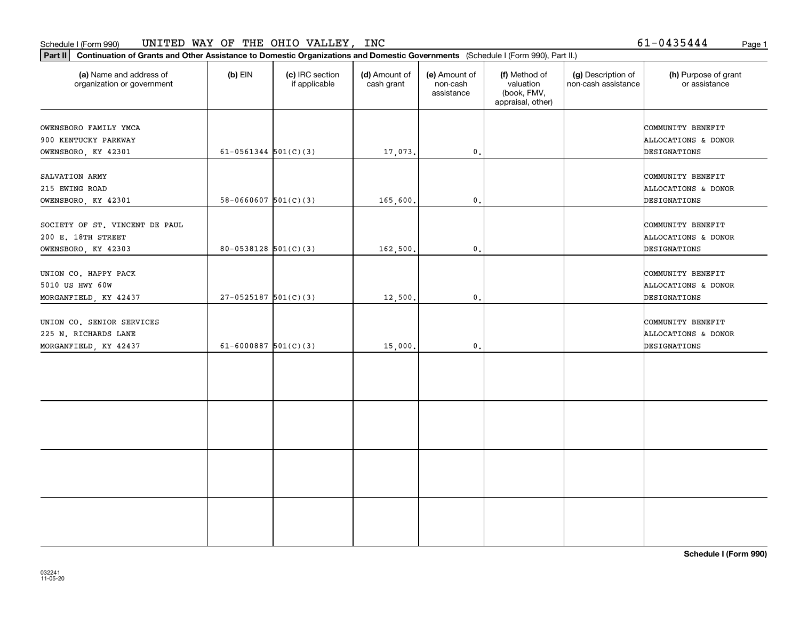### Schedule I (Form 990) Page 1 UNITED WAY OF THE OHIO VALLEY, INC

61-0435444

| (a) Name and address of<br>organization or government                       | $(b)$ EIN                  | (c) IRC section<br>if applicable | (d) Amount of<br>cash grant | (e) Amount of<br>non-cash<br>assistance | (f) Method of<br>valuation<br>(book, FMV,<br>appraisal, other) | (g) Description of<br>non-cash assistance | (h) Purpose of grant<br>or assistance                    |
|-----------------------------------------------------------------------------|----------------------------|----------------------------------|-----------------------------|-----------------------------------------|----------------------------------------------------------------|-------------------------------------------|----------------------------------------------------------|
| OWENSBORO FAMILY YMCA<br>900 KENTUCKY PARKWAY<br>OWENSBORO, KY 42301        | $61-0561344$ $501(C)(3)$   |                                  | 17,073.                     | $\mathfrak{o}$ .                        |                                                                |                                           | COMMUNITY BENEFIT<br>ALLOCATIONS & DONOR<br>DESIGNATIONS |
| SALVATION ARMY<br>215 EWING ROAD<br>OWENSBORO, KY 42301                     | $58 - 0660607$ $501(C)(3)$ |                                  | 165,600.                    | $\mathfrak{o}$ .                        |                                                                |                                           | COMMUNITY BENEFIT<br>ALLOCATIONS & DONOR<br>DESIGNATIONS |
| SOCIETY OF ST. VINCENT DE PAUL<br>200 E. 18TH STREET<br>OWENSBORO, KY 42303 | $80 - 0538128$ $501(C)(3)$ |                                  | 162,500.                    | $\mathbf{0}$ .                          |                                                                |                                           | COMMUNITY BENEFIT<br>ALLOCATIONS & DONOR<br>DESIGNATIONS |
| UNION CO. HAPPY PACK<br>5010 US HWY 60W<br>MORGANFIELD, KY 42437            | $27-0525187$ 501(C)(3)     |                                  | 12,500.                     | $^{\circ}$ .                            |                                                                |                                           | COMMUNITY BENEFIT<br>ALLOCATIONS & DONOR<br>DESIGNATIONS |
| UNION CO. SENIOR SERVICES<br>225 N. RICHARDS LANE<br>MORGANFIELD, KY 42437  | $61 - 6000887$ 501(C)(3)   |                                  | 15,000.                     | $\mathbf{0}$ .                          |                                                                |                                           | COMMUNITY BENEFIT<br>ALLOCATIONS & DONOR<br>DESIGNATIONS |
|                                                                             |                            |                                  |                             |                                         |                                                                |                                           |                                                          |
|                                                                             |                            |                                  |                             |                                         |                                                                |                                           |                                                          |
|                                                                             |                            |                                  |                             |                                         |                                                                |                                           |                                                          |
|                                                                             |                            |                                  |                             |                                         |                                                                |                                           |                                                          |

**Schedule I (Form 990)**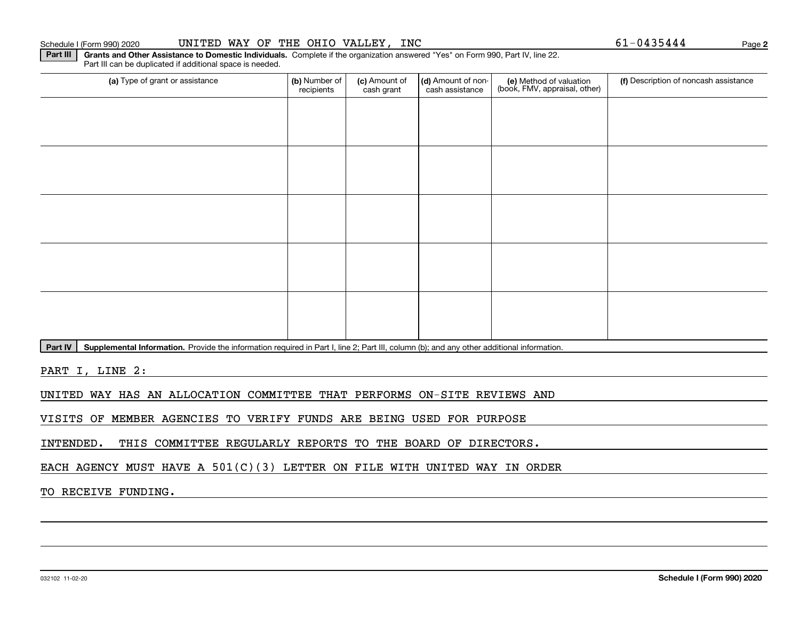### Schedule I (Form 990) 2020 UNITED WAY OF THE OHIO VALLEY, INC Page

**Part III** | Grants and Other Assistance to Domestic Individuals. Complete if the organization answered "Yes" on Form 990, Part IV, line 22. Part III can be duplicated if additional space is needed.

| (a) Type of grant or assistance | (b) Number of<br>recipients | (c) Amount of<br>cash grant | (d) Amount of non-<br>cash assistance | (e) Method of valuation<br>(book, FMV, appraisal, other) | (f) Description of noncash assistance |
|---------------------------------|-----------------------------|-----------------------------|---------------------------------------|----------------------------------------------------------|---------------------------------------|
|                                 |                             |                             |                                       |                                                          |                                       |
|                                 |                             |                             |                                       |                                                          |                                       |
|                                 |                             |                             |                                       |                                                          |                                       |
|                                 |                             |                             |                                       |                                                          |                                       |
|                                 |                             |                             |                                       |                                                          |                                       |
|                                 |                             |                             |                                       |                                                          |                                       |
|                                 |                             |                             |                                       |                                                          |                                       |
|                                 |                             |                             |                                       |                                                          |                                       |
|                                 |                             |                             |                                       |                                                          |                                       |
|                                 |                             |                             |                                       |                                                          |                                       |

Part IV | Supplemental Information. Provide the information required in Part I, line 2; Part III, column (b); and any other additional information.

PART I, LINE 2:

UNITED WAY HAS AN ALLOCATION COMMITTEE THAT PERFORMS ON-SITE REVIEWS AND

VISITS OF MEMBER AGENCIES TO VERIFY FUNDS ARE BEING USED FOR PURPOSE

INTENDED. THIS COMMITTEE REGULARLY REPORTS TO THE BOARD OF DIRECTORS.

EACH AGENCY MUST HAVE A  $501(C)(3)$  LETTER ON FILE WITH UNITED WAY IN ORDER

TO RECEIVE FUNDING.